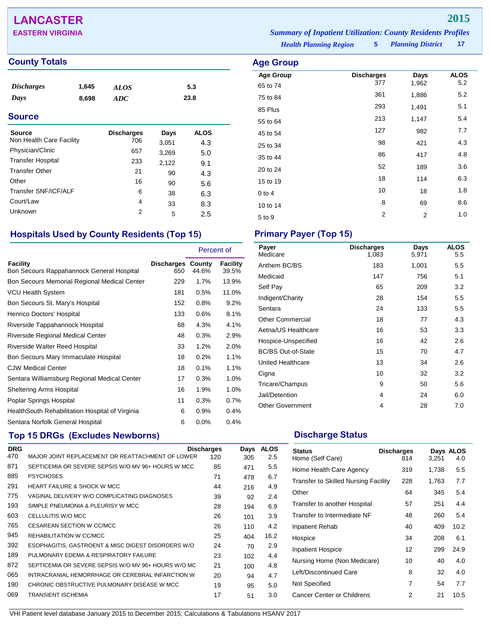# **LANCASTER 2015**

## **County Totals Age Group Age Group**

| <i><b>Discharges</b></i> | 1,645 | <b>ALOS</b> | 5.3  |
|--------------------------|-------|-------------|------|
| Days                     | 8,698 | ADC         | 23.8 |

### **Source**

| <b>Source</b><br>Non Health Care Facility | <b>Discharges</b><br>706 | Days           | <b>ALOS</b> |
|-------------------------------------------|--------------------------|----------------|-------------|
| Physician/Clinic                          | 657                      | 3,051          | 4.3         |
| <b>Transfer Hospital</b>                  | 233                      | 3,269<br>2,122 | 5.0         |
| <b>Transfer Other</b>                     | 21                       | 90             | 9.1<br>4.3  |
| Other                                     | 16                       | 90             | 5.6         |
| Transfer SNF/ICF/ALF                      | 6                        | 38             | 6.3         |
| Court/Law                                 | 4                        | 33             | 8.3         |
| Unknown                                   | 2                        | 5              | 2.5         |
|                                           |                          |                |             |

## **Hospitals Used by County Residents (Top 15) Primary Payer (Top 15)**

|                                                       |                                 | Percent of |                          |
|-------------------------------------------------------|---------------------------------|------------|--------------------------|
| Facility<br>Bon Secours Rappahannock General Hospital | <b>Discharges County</b><br>650 | 44.6%      | <b>Facility</b><br>39.5% |
| Bon Secours Memorial Regional Medical Center          | 229                             | $1.7\%$    | 13.9%                    |
| VCU Health System                                     | 181                             | 0.5%       | 11.0%                    |
| Bon Secours St. Mary's Hospital                       | 152                             | 0.8%       | 9.2%                     |
| Henrico Doctors' Hospital                             | 133                             | 0.6%       | 8.1%                     |
| Riverside Tappahannock Hospital                       | 68                              | 4.3%       | 4.1%                     |
| Riverside Regional Medical Center                     | 48                              | 0.3%       | 2.9%                     |
| Riverside Walter Reed Hospital                        | 33                              | 1.2%       | 2.0%                     |
| Bon Secours Mary Immaculate Hospital                  | 18                              | 0.2%       | 1.1%                     |
| <b>CJW Medical Center</b>                             | 18                              | 0.1%       | 1.1%                     |
| Sentara Williamsburg Regional Medical Center          | 17                              | 0.3%       | 1.0%                     |
| <b>Sheltering Arms Hospital</b>                       | 16                              | 1.9%       | 1.0%                     |
| Poplar Springs Hospital                               | 11                              | 0.3%       | 0.7%                     |
| Health South Rehabilitation Hospital of Virginia      | 6                               | 0.9%       | 0.4%                     |
| Sentara Norfolk General Hospital                      | 6                               | 0.0%       | 0.4%                     |

## **Top 15 DRGs (Excludes Newborns) Discharge Status Discharge Status**

| <b>DRG</b> |                                                     | <b>Discharges</b> | Days | <b>ALOS</b> |
|------------|-----------------------------------------------------|-------------------|------|-------------|
| 470        | MAJOR JOINT REPLACEMENT OR REATTACHMENT OF LOWER    | 120               | 305  | 2.5         |
| 871        | SEPTICEMIA OR SEVERE SEPSIS W/O MV 96+ HOURS W MCC  | 85                | 471  | 5.5         |
| 885        | <b>PSYCHOSES</b>                                    | 71                | 478  | 6.7         |
| 291        | <b>HEART FAILURE &amp; SHOCK W MCC</b>              | 44                | 216  | 4.9         |
| 775        | VAGINAL DELIVERY W/O COMPLICATING DIAGNOSES         | 39                | 92   | 2.4         |
| 193        | SIMPLE PNEUMONIA & PLEURISY W MCC                   | 28                | 194  | 6.9         |
| 603        | CELLULITIS W/O MCC                                  | 26                | 101  | 3.9         |
| 765        | CESAREAN SECTION W CC/MCC                           | 26                | 110  | 4.2         |
| 945        | REHABILITATION W CC/MCC                             | 25                | 404  | 16.2        |
| 392        | ESOPHAGITIS, GASTROENT & MISC DIGEST DISORDERS W/O  | 24                | 70   | 2.9         |
| 189        | PULMONARY EDEMA & RESPIRATORY FAILURE               | 23                | 102  | 4.4         |
| 872        | SEPTICEMIA OR SEVERE SEPSIS W/O MV 96+ HOURS W/O MC | 21                | 100  | 4.8         |
| 065        | INTRACRANIAL HEMORRHAGE OR CEREBRAL INFARCTION W    | 20                | 94   | 4.7         |
| 190        | CHRONIC OBSTRUCTIVE PULMONARY DISEASE W MCC         | 19                | 95   | 5.0         |
| 069        | TRANSIENT ISCHEMIA                                  | 17                | 51   | 3.0         |

*Planning District* **17 EASTERN VIRGINIA** *Summary of Inpatient Utilization: County Residents Profiles*

*Health Planning Region* **5**

| <b>Age Group</b>    |                          |                |                    |
|---------------------|--------------------------|----------------|--------------------|
| <b>Age Group</b>    | <b>Discharges</b><br>377 | Days<br>1,962  | <b>ALOS</b><br>5.2 |
| 65 to 74            | 361                      | 1,886          | 5.2                |
| 75 to 84<br>85 Plus | 293                      | 1,491          | 5.1                |
| 55 to 64            | 213                      | 1,147          | 5.4                |
| 45 to 54            | 127                      | 982            | 7.7                |
| 25 to 34            | 98                       | 421            | 4.3                |
| 35 to 44            | 86                       | 417            | 4.8                |
| 20 to 24            | 52                       | 189            | 3.6                |
| 15 to 19            | 18                       | 114            | 6.3                |
| $0$ to 4            | 10                       | 18             | 1.8                |
| 10 to 14            | 8                        | 69             | 8.6                |
| 5 to 9              | 2                        | $\overline{2}$ | 1.0                |

| Payer<br>Medicare         | <b>Discharges</b><br>1,083 | Days<br>5,971 | <b>ALOS</b><br>5.5 |
|---------------------------|----------------------------|---------------|--------------------|
| Anthem BC/BS              | 183                        | 1,001         | 5.5                |
| Medicaid                  | 147                        | 756           | 5.1                |
| Self Pay                  | 65                         | 209           | 3.2                |
| Indigent/Charity          | 28                         | 154           | 5.5                |
| Sentara                   | 24                         | 133           | 5.5                |
| <b>Other Commercial</b>   | 18                         | 77            | 4.3                |
| Aetna/US Healthcare       | 16                         | 53            | 3.3                |
| Hospice-Unspecified       | 16                         | 42            | 2.6                |
| <b>BC/BS Out-of-State</b> | 15                         | 70            | 4.7                |
| United Healthcare         | 13                         | 34            | 2.6                |
| Cigna                     | 10                         | 32            | 3.2                |
| Tricare/Champus           | 9                          | 50            | 5.6                |
| Jail/Detention            | 4                          | 24            | 6.0                |
| <b>Other Government</b>   | 4                          | 28            | 7.0                |

| <b>Status</b><br>Home (Self Care)           | <b>Discharges</b><br>814 | 3,251 | Days ALOS<br>4.0 |
|---------------------------------------------|--------------------------|-------|------------------|
| Home Health Care Agency                     | 319                      | 1,738 | 5.5              |
| <b>Transfer to Skilled Nursing Facility</b> | 228                      | 1,763 | 7.7              |
| Other                                       | 64                       | 345   | 5.4              |
| Transfer to another Hospital                | 57                       | 251   | 4.4              |
| Transfer to Intermediate NF                 | 48                       | 260   | 5.4              |
| Inpatient Rehab                             | 40                       | 409   | 10.2             |
| Hospice                                     | 34                       | 208   | 6.1              |
| Inpatient Hospice                           | 12                       | 299   | 24.9             |
| Nursing Home (Non Medicare)                 | 10                       | 40    | 4.0              |
| Left/Discontinued Care                      | 8                        | 32    | 4.0              |
| Not Specified                               | 7                        | 54    | 7.7              |
| <b>Cancer Center or Childrens</b>           | 2                        | 21    | 10.5             |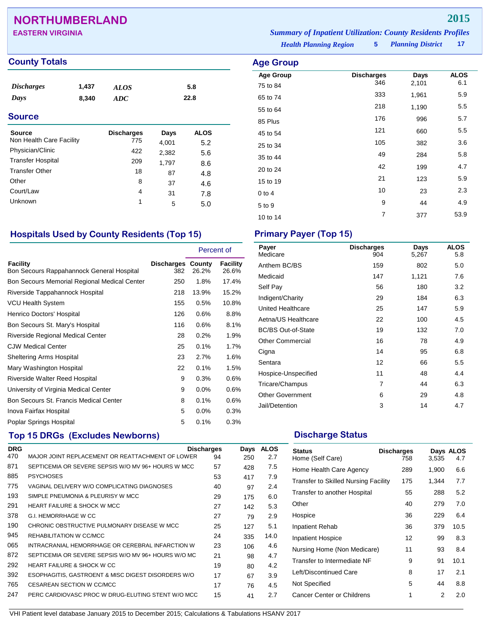# **NORTHUMBERLAND 2015**

## **County Totals Age Group Age Group Age Group**

| <i>Discharges</i><br>Days<br><b>Source</b> | 1,437<br>8,340 | <b>ALOS</b><br><b>ADC</b> |       | 5.8<br>22.8 |  |
|--------------------------------------------|----------------|---------------------------|-------|-------------|--|
| Source                                     |                | <b>Discharges</b>         | Days  | <b>ALOS</b> |  |
| Non Health Care Facility                   |                | 775                       | 4,001 | 5.2         |  |
| Physician/Clinic                           |                | 422                       | 2,382 | 5.6         |  |
| <b>Transfer Hospital</b>                   |                | 209                       | 1,797 | 8.6         |  |
| <b>Transfer Other</b>                      |                | 18                        | 87    | 4.8         |  |

*Planning District* **17 EASTERN VIRGINIA** *Summary of Inpatient Utilization: County Residents Profiles*

*Health Planning Region* **5**

| Age Group        |                   |       |             |
|------------------|-------------------|-------|-------------|
| <b>Age Group</b> | <b>Discharges</b> | Days  | <b>ALOS</b> |
| 75 to 84         | 346               | 2,101 | 6.1         |
| 65 to 74         | 333               | 1,961 | 5.9         |
| 55 to 64         | 218               | 1,190 | 5.5         |
| 85 Plus          | 176               | 996   | 5.7         |
| 45 to 54         | 121               | 660   | 5.5         |
| 25 to 34         | 105               | 382   | 3.6         |
| 35 to 44         | 49                | 284   | 5.8         |
| 20 to 24         | 42                | 199   | 4.7         |
| 15 to 19         | 21                | 123   | 5.9         |
| $0$ to 4         | 10                | 23    | 2.3         |
| 5 to 9           | 9                 | 44    | 4.9         |
| 10 to 14         | 7                 | 377   | 53.9        |

## **Hospitals Used by County Residents (Top 15) Primary Payer (Top 15)**

Other 8 37 4.6 Court/Law <sup>4</sup> <sup>31</sup> 7.8 Unknown 1 5 5.0

|                                                              |                                 | Percent of |                   |
|--------------------------------------------------------------|---------------------------------|------------|-------------------|
| <b>Facility</b><br>Bon Secours Rappahannock General Hospital | <b>Discharges County</b><br>382 | 26.2%      | Facility<br>26.6% |
| Bon Secours Memorial Regional Medical Center                 | 250                             | 1.8%       | 17.4%             |
| Riverside Tappahannock Hospital                              | 218                             | 13.9%      | 15.2%             |
| <b>VCU Health System</b>                                     | 155                             | 0.5%       | 10.8%             |
| Henrico Doctors' Hospital                                    | 126                             | 0.6%       | 8.8%              |
| Bon Secours St. Mary's Hospital                              | 116                             | 0.6%       | 8.1%              |
| Riverside Regional Medical Center                            | 28                              | 0.2%       | 1.9%              |
| CJW Medical Center                                           | 25                              | 0.1%       | 1.7%              |
| <b>Sheltering Arms Hospital</b>                              | 23                              | 2.7%       | 1.6%              |
| Mary Washington Hospital                                     | 22                              | 0.1%       | 1.5%              |
| Riverside Walter Reed Hospital                               | 9                               | 0.3%       | $0.6\%$           |
| University of Virginia Medical Center                        | 9                               | $0.0\%$    | 0.6%              |
| Bon Secours St. Francis Medical Center                       | 8                               | 0.1%       | 0.6%              |
| Inova Fairfax Hospital                                       | 5                               | $0.0\%$    | 0.3%              |
| Poplar Springs Hospital                                      | 5                               | 0.1%       | 0.3%              |

## **Top 15 DRGs (Excludes Newborns) Discharge Status Discharge Status**

| <b>DRG</b> |                                                     | <b>Discharges</b> | Days | <b>ALOS</b> |
|------------|-----------------------------------------------------|-------------------|------|-------------|
| 470        | MAJOR JOINT REPLACEMENT OR REATTACHMENT OF LOWER    | 94                | 250  | 2.7         |
| 871        | SEPTICEMIA OR SEVERE SEPSIS W/O MV 96+ HOURS W MCC  | 57                | 428  | 7.5         |
| 885        | <b>PSYCHOSES</b>                                    | 53                | 417  | 7.9         |
| 775        | VAGINAL DELIVERY W/O COMPLICATING DIAGNOSES         | 40                | 97   | 2.4         |
| 193        | SIMPLE PNEUMONIA & PLEURISY W MCC                   | 29                | 175  | 6.0         |
| 291        | <b>HEART FAILURE &amp; SHOCK W MCC</b>              | 27                | 142  | 5.3         |
| 378        | <b>G.I. HEMORRHAGE W CC</b>                         | 27                | 79   | 2.9         |
| 190        | CHRONIC OBSTRUCTIVE PULMONARY DISEASE W MCC         | 25                | 127  | 5.1         |
| 945        | REHABILITATION W CC/MCC                             | 24                | 335  | 14.0        |
| 065        | INTRACRANIAL HEMORRHAGE OR CEREBRAL INFARCTION W    | 23                | 106  | 4.6         |
| 872        | SEPTICEMIA OR SEVERE SEPSIS W/O MV 96+ HOURS W/O MC | 21                | 98   | 4.7         |
| 292        | <b>HEART FAILURE &amp; SHOCK W CC</b>               | 19                | 80   | 4.2         |
| 392        | ESOPHAGITIS, GASTROENT & MISC DIGEST DISORDERS W/O  | 17                | 67   | 3.9         |
| 765        | CESAREAN SECTION W CC/MCC                           | 17                | 76   | 4.5         |
| 247        | PERC CARDIOVASC PROC W DRUG-ELUTING STENT W/O MCC   | 15                | 41   | 2.7         |

| <b>Discharges</b><br>904 | Days<br>5,267 | <b>ALOS</b><br>5.8 |
|--------------------------|---------------|--------------------|
| 159                      | 802           | 5.0                |
| 147                      | 1,121         | 7.6                |
| 56                       | 180           | 3.2                |
| 29                       | 184           | 6.3                |
| 25                       | 147           | 5.9                |
| 22                       | 100           | 4.5                |
| 19                       | 132           | 7.0                |
| 16                       | 78            | 4.9                |
| 14                       | 95            | 6.8                |
| 12                       | 66            | 5.5                |
| 11                       | 48            | 4.4                |
| 7                        | 44            | 6.3                |
| 6                        | 29            | 4.8                |
| 3                        | 14            | 4.7                |
|                          |               |                    |

| <b>Status</b><br>Home (Self Care)           | <b>Discharges</b><br>758 | 3,535 | Days ALOS<br>4.7 |
|---------------------------------------------|--------------------------|-------|------------------|
| Home Health Care Agency                     | 289                      | 1,900 | 6.6              |
| <b>Transfer to Skilled Nursing Facility</b> | 175                      | 1,344 | 7.7              |
| Transfer to another Hospital                | 55                       | 288   | 5.2              |
| Other                                       | 40                       | 279   | 7.0              |
| Hospice                                     | 36                       | 229   | 6.4              |
| <b>Inpatient Rehab</b>                      | 36                       | 379   | 10.5             |
| <b>Inpatient Hospice</b>                    | 12                       | 99    | 8.3              |
| Nursing Home (Non Medicare)                 | 11                       | 93    | 8.4              |
| Transfer to Intermediate NF                 | 9                        | 91    | 10.1             |
| Left/Discontinued Care                      | 8                        | 17    | 2.1              |
| Not Specified                               | 5                        | 44    | 8.8              |
| Cancer Center or Childrens                  | 1                        | 2     | 2.0              |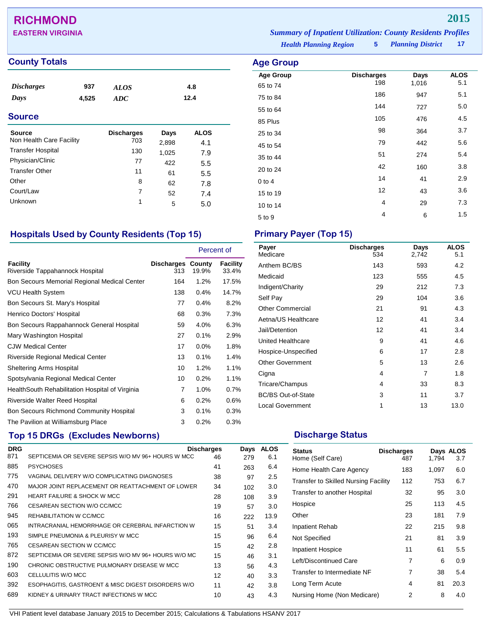# **RICHMOND 2015**

## **County Totals Age Group**

| <b>Discharges</b><br>Days | 937<br>4,525 | <b>ALOS</b><br><b>ADC</b> |       | 4.8<br>12.4 |  |
|---------------------------|--------------|---------------------------|-------|-------------|--|
| <b>Source</b>             |              |                           |       |             |  |
| <b>Source</b>             |              | <b>Discharges</b>         | Days  | <b>ALOS</b> |  |
| Non Health Care Facility  |              | 703                       | 2,898 | 4.1         |  |
| <b>Transfer Hospital</b>  |              | 130                       | 1,025 | 7.9         |  |
| Physician/Clinic          |              | 77                        | 422   | 5.5         |  |
| <b>Transfer Other</b>     |              | 11                        | 61    | 5.5         |  |
| Other                     |              | 8                         | 62    | 7 R         |  |

*Health Planning Region* **5 EASTERN VIRGINIA** *Summary of Inpatient Utilization: County Residents Profiles*

# *Planning District* **17**

| Age Group        |                   |       |             |
|------------------|-------------------|-------|-------------|
| <b>Age Group</b> | <b>Discharges</b> | Days  | <b>ALOS</b> |
| 65 to 74         | 198               | 1,016 | 5.1         |
| 75 to 84         | 186               | 947   | 5.1         |
| 55 to 64         | 144               | 727   | 5.0         |
| 85 Plus          | 105               | 476   | 4.5         |
| 25 to 34         | 98                | 364   | 3.7         |
| 45 to 54         | 79                | 442   | 5.6         |
| 35 to 44         | 51                | 274   | 5.4         |
| 20 to 24         | 42                | 160   | 3.8         |
| $0$ to $4$       | 14                | 41    | 2.9         |
| 15 to 19         | 12                | 43    | 3.6         |
| 10 to 14         | 4                 | 29    | 7.3         |
| 5 to 9           | 4                 | 6     | 1.5         |
|                  |                   |       |             |

## **Hospitals Used by County Residents (Top 15) Primary Payer (Top 15)**

Other 8 62 7.8 Court/Law <sup>7</sup> <sup>52</sup> 7.4 Unknown 1 5 5.0

|                                                  |                                 | Percent of |                   |
|--------------------------------------------------|---------------------------------|------------|-------------------|
| Facility<br>Riverside Tappahannock Hospital      | <b>Discharges County</b><br>313 | 19.9%      | Facility<br>33.4% |
| Bon Secours Memorial Regional Medical Center     | 164                             | 1.2%       | 17.5%             |
| <b>VCU Health System</b>                         | 138                             | 0.4%       | 14.7%             |
| Bon Secours St. Mary's Hospital                  | 77                              | 0.4%       | 8.2%              |
| Henrico Doctors' Hospital                        | 68                              | 0.3%       | 7.3%              |
| Bon Secours Rappahannock General Hospital        | 59                              | 4.0%       | 6.3%              |
| Mary Washington Hospital                         | 27                              | 0.1%       | 2.9%              |
| <b>CJW Medical Center</b>                        | 17                              | 0.0%       | 1.8%              |
| <b>Riverside Regional Medical Center</b>         | 13                              | 0.1%       | 1.4%              |
| <b>Sheltering Arms Hospital</b>                  | 10                              | 1.2%       | 1.1%              |
| Spotsylvania Regional Medical Center             | 10                              | 0.2%       | 1.1%              |
| Health South Rehabilitation Hospital of Virginia | 7                               | 1.0%       | 0.7%              |
| Riverside Walter Reed Hospital                   | 6                               | 0.2%       | 0.6%              |
| Bon Secours Richmond Community Hospital          | 3                               | 0.1%       | 0.3%              |
| The Pavilion at Williamsburg Place               | 3                               | 0.2%       | 0.3%              |

# **Top 15 DRGs (Excludes Newborns) Discharge Status Discharge Status**

| <b>DRG</b> |                                                     | <b>Discharges</b> | Days | <b>ALOS</b> |
|------------|-----------------------------------------------------|-------------------|------|-------------|
| 871        | SEPTICEMIA OR SEVERE SEPSIS W/O MV 96+ HOURS W MCC  | 46                | 279  | 6.1         |
| 885        | <b>PSYCHOSES</b>                                    | 41                | 263  | 6.4         |
| 775        | VAGINAL DELIVERY W/O COMPLICATING DIAGNOSES         | 38                | 97   | 2.5         |
| 470        | MAJOR JOINT REPLACEMENT OR REATTACHMENT OF LOWER    | 34                | 102  | 3.0         |
| 291        | <b>HEART FAILURE &amp; SHOCK W MCC</b>              | 28                | 108  | 3.9         |
| 766        | CESAREAN SECTION W/O CC/MCC                         | 19                | 57   | 3.0         |
| 945        | REHABILITATION W CC/MCC                             | 16                | 222  | 13.9        |
| 065        | INTRACRANIAL HEMORRHAGE OR CEREBRAL INFARCTION W    | 15                | 51   | 3.4         |
| 193        | SIMPLE PNEUMONIA & PLEURISY W MCC                   | 15                | 96   | 6.4         |
| 765        | CESAREAN SECTION W CC/MCC                           | 15                | 42   | 2.8         |
| 872        | SEPTICEMIA OR SEVERE SEPSIS W/O MV 96+ HOURS W/O MC | 15                | 46   | 3.1         |
| 190        | CHRONIC OBSTRUCTIVE PULMONARY DISEASE W MCC         | 13                | 56   | 4.3         |
| 603        | CELLULITIS W/O MCC                                  | 12                | 40   | 3.3         |
| 392        | ESOPHAGITIS, GASTROENT & MISC DIGEST DISORDERS W/O  | 11                | 42   | 3.8         |
| 689        | KIDNEY & URINARY TRACT INFECTIONS W MCC             | 10                | 43   | 4.3         |

| Payer<br>Medicare         | <b>Discharges</b><br>534 | Days<br>2,742 | <b>ALOS</b><br>5.1 |
|---------------------------|--------------------------|---------------|--------------------|
| Anthem BC/BS              | 143                      | 593           | 4.2                |
| Medicaid                  | 123                      | 555           | 4.5                |
| Indigent/Charity          | 29                       | 212           | 7.3                |
| Self Pay                  | 29                       | 104           | 3.6                |
| <b>Other Commercial</b>   | 21                       | 91            | 4.3                |
| Aetna/US Healthcare       | 12                       | 41            | 3.4                |
| Jail/Detention            | 12                       | 41            | 3.4                |
| United Healthcare         | 9                        | 41            | 4.6                |
| Hospice-Unspecified       | 6                        | 17            | 2.8                |
| <b>Other Government</b>   | 5                        | 13            | 2.6                |
| Cigna                     | 4                        | 7             | 1.8                |
| Tricare/Champus           | 4                        | 33            | 8.3                |
| <b>BC/BS Out-of-State</b> | 3                        | 11            | 3.7                |
| <b>Local Government</b>   | 1                        | 13            | 13.0               |
|                           |                          |               |                    |

| <b>Status</b><br>Home (Self Care)           | <b>Discharges</b><br>487 | 1.794 | Days ALOS<br>3.7 |
|---------------------------------------------|--------------------------|-------|------------------|
| Home Health Care Agency                     | 183                      | 1,097 | 6.0              |
| <b>Transfer to Skilled Nursing Facility</b> | 112                      | 753   | 6.7              |
| Transfer to another Hospital                | 32                       | 95    | 3.0              |
| Hospice                                     | 25                       | 113   | 4.5              |
| Other                                       | 23                       | 181   | 7.9              |
| <b>Inpatient Rehab</b>                      | 22                       | 215   | 9.8              |
| Not Specified                               | 21                       | 81    | 3.9              |
| Inpatient Hospice                           | 11                       | 61    | 5.5              |
| Left/Discontinued Care                      | 7                        | 6     | 0.9              |
| Transfer to Intermediate NF                 | 7                        | 38    | 5.4              |
| Long Term Acute                             | 4                        | 81    | 20.3             |
| Nursing Home (Non Medicare)                 | 2                        | 8     | 4.0              |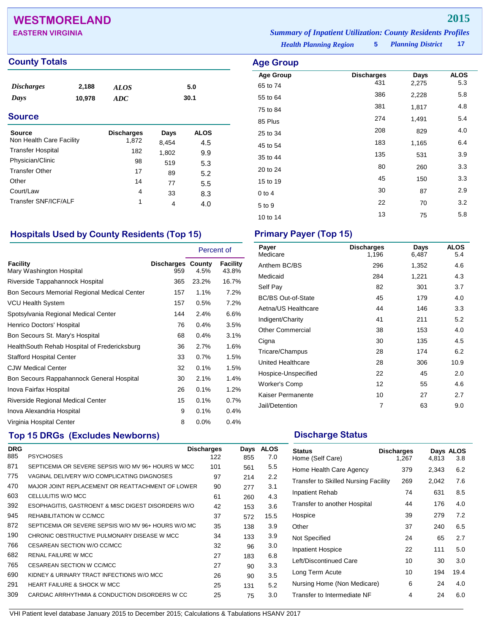# **WESTMORELAND 2015**

### **County Totals Age Group**

| <i><b>Discharges</b></i><br>Days<br><b>Source</b> | 2,188<br>10,978 | ALOS<br>ADC                |       | 5.0<br>30.1 |  |
|---------------------------------------------------|-----------------|----------------------------|-------|-------------|--|
| <b>Source</b><br>Non Health Care Facility         |                 | <b>Discharges</b><br>1,872 | Days  | <b>ALOS</b> |  |
| <b>Transfer Hospital</b>                          |                 |                            | 8,454 | 4.5         |  |
|                                                   |                 | 182                        | 1,802 | 9.9         |  |
| Physician/Clinic                                  |                 | 98                         | 519   | 5.3         |  |
| <b>Transfer Other</b>                             |                 | 17                         | 89    | 5.2         |  |

*Planning District* **17 EASTERN VIRGINIA** *Summary of Inpatient Utilization: County Residents Profiles*

*Health Planning Region* **5**

| nya vi vup       |                   |       |             |
|------------------|-------------------|-------|-------------|
| <b>Age Group</b> | <b>Discharges</b> | Days  | <b>ALOS</b> |
| 65 to 74         | 431               | 2,275 | 5.3         |
| 55 to 64         | 386               | 2,228 | 5.8         |
| 75 to 84         | 381               | 1,817 | 4.8         |
| 85 Plus          | 274               | 1,491 | 5.4         |
| 25 to 34         | 208               | 829   | 4.0         |
| 45 to 54         | 183               | 1,165 | 6.4         |
| 35 to 44         | 135               | 531   | 3.9         |
| 20 to 24         | 80                | 260   | 3.3         |
| 15 to 19         | 45                | 150   | 3.3         |
| $0$ to $4$       | 30                | 87    | 2.9         |
| 5 to 9           | 22                | 70    | 3.2         |
| 10 to 14         | 13                | 75    | 5.8         |
|                  |                   |       |             |

## **Hospitals Used by County Residents (Top 15) Primary Payer (Top 15)**

Other 14 77 5.5  $C$ ourt/Law  $4$  33 8.3 Transfer SNF/ICF/ALF 1 4 4.0

|                                              |                                 | Percent of |                   |
|----------------------------------------------|---------------------------------|------------|-------------------|
| Facility<br>Mary Washington Hospital         | <b>Discharges County</b><br>959 | 4.5%       | Facility<br>43.8% |
| Riverside Tappahannock Hospital              | 365                             | 23.2%      | 16.7%             |
| Bon Secours Memorial Regional Medical Center | 157                             | 1.1%       | 7.2%              |
| VCU Health System                            | 157                             | 0.5%       | 7.2%              |
| Spotsylvania Regional Medical Center         | 144                             | 2.4%       | 6.6%              |
| Henrico Doctors' Hospital                    | 76                              | 0.4%       | 3.5%              |
| Bon Secours St. Mary's Hospital              | 68                              | 0.4%       | 3.1%              |
| HealthSouth Rehab Hospital of Fredericksburg | 36                              | 2.7%       | 1.6%              |
| <b>Stafford Hospital Center</b>              | 33                              | 0.7%       | 1.5%              |
| <b>CJW Medical Center</b>                    | 32                              | 0.1%       | 1.5%              |
| Bon Secours Rappahannock General Hospital    | 30                              | 2.1%       | 1.4%              |
| Inova Fairfax Hospital                       | 26                              | 0.1%       | 1.2%              |
| Riverside Regional Medical Center            | 15                              | 0.1%       | 0.7%              |
| Inova Alexandria Hospital                    | 9                               | 0.1%       | 0.4%              |
| Virginia Hospital Center                     | 8                               | 0.0%       | 0.4%              |

## **Top 15 DRGs (Excludes Newborns) Discharge Status Discharge Status**

| <b>DRG</b> |                                                     | <b>Discharges</b> | Days | <b>ALOS</b> |
|------------|-----------------------------------------------------|-------------------|------|-------------|
| 885        | <b>PSYCHOSES</b>                                    | 122               | 855  | 7.0         |
| 871        | SEPTICEMIA OR SEVERE SEPSIS W/O MV 96+ HOURS W MCC  | 101               | 561  | 5.5         |
| 775        | VAGINAL DELIVERY W/O COMPLICATING DIAGNOSES         | 97                | 214  | 2.2         |
| 470        | MAJOR JOINT REPLACEMENT OR REATTACHMENT OF LOWER    | 90                | 277  | 3.1         |
| 603        | CELLULITIS W/O MCC                                  | 61                | 260  | 4.3         |
| 392        | ESOPHAGITIS, GASTROENT & MISC DIGEST DISORDERS W/O  | 42                | 153  | 3.6         |
| 945        | REHABILITATION W CC/MCC                             | 37                | 572  | 15.5        |
| 872        | SEPTICEMIA OR SEVERE SEPSIS W/O MV 96+ HOURS W/O MC | 35                | 138  | 3.9         |
| 190        | CHRONIC OBSTRUCTIVE PULMONARY DISEASE W MCC         | 34                | 133  | 3.9         |
| 766        | CESAREAN SECTION W/O CC/MCC                         | 32                | 96   | 3.0         |
| 682        | <b>RENAL FAILURE W MCC</b>                          | 27                | 183  | 6.8         |
| 765        | CESAREAN SECTION W CC/MCC                           | 27                | 90   | 3.3         |
| 690        | KIDNEY & URINARY TRACT INFECTIONS W/O MCC           | 26                | 90   | 3.5         |
| 291        | <b>HEART FAILURE &amp; SHOCK W MCC</b>              | 25                | 131  | 5.2         |
| 309        | CARDIAC ARRHYTHMIA & CONDUCTION DISORDERS W CC      | 25                | 75   | 3.0         |

| Payer<br>Medicare         | <b>Discharges</b><br>1,196 | Days<br>6,487 | <b>ALOS</b><br>5.4 |
|---------------------------|----------------------------|---------------|--------------------|
| Anthem BC/BS              | 296                        | 1,352         | 4.6                |
| Medicaid                  | 284                        | 1,221         | 4.3                |
| Self Pay                  | 82                         | 301           | 3.7                |
| <b>BC/BS Out-of-State</b> | 45                         | 179           | 4.0                |
| Aetna/US Healthcare       | 44                         | 146           | 3.3                |
| Indigent/Charity          | 41                         | 211           | 5.2                |
| <b>Other Commercial</b>   | 38                         | 153           | 4.0                |
| Cigna                     | 30                         | 135           | 4.5                |
| Tricare/Champus           | 28                         | 174           | 6.2                |
| United Healthcare         | 28                         | 306           | 10.9               |
| Hospice-Unspecified       | 22                         | 45            | 2.0                |
| Worker's Comp             | 12                         | 55            | 4.6                |
| Kaiser Permanente         | 10                         | 27            | 2.7                |
| Jail/Detention            | 7                          | 63            | 9.0                |

| <b>Status</b><br>Home (Self Care)    | <b>Discharges</b><br>1,267 | 4.813 | Days ALOS<br>3.8 |
|--------------------------------------|----------------------------|-------|------------------|
| Home Health Care Agency              | 379                        | 2,343 | 6.2              |
| Transfer to Skilled Nursing Facility | 269                        | 2,042 | 7.6              |
| <b>Inpatient Rehab</b>               | 74                         | 631   | 8.5              |
| Transfer to another Hospital         | 44                         | 176   | 4.0              |
| Hospice                              | 39                         | 279   | 7.2              |
| Other                                | 37                         | 240   | 6.5              |
| Not Specified                        | 24                         | 65    | 2.7              |
| Inpatient Hospice                    | 22                         | 111   | 5.0              |
| Left/Discontinued Care               | 10                         | 30    | 3.0              |
| Long Term Acute                      | 10                         | 194   | 19.4             |
| Nursing Home (Non Medicare)          | 6                          | 24    | 4.0              |
| Transfer to Intermediate NF          | 4                          | 24    | 6.0              |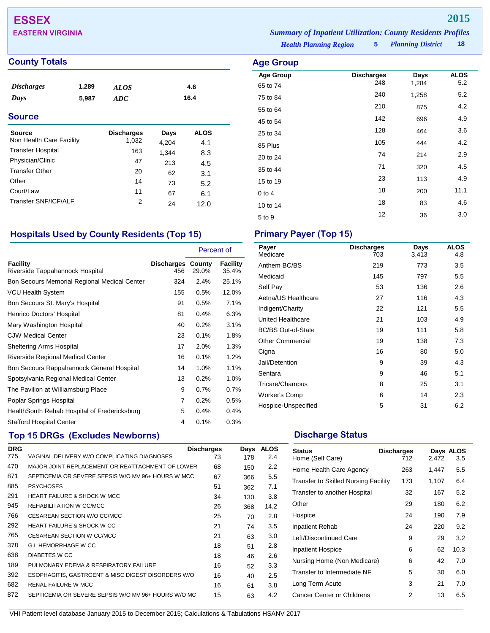# **ESSEX 2015**

### **County Totals Age Group**

| <b>Discharges</b>        | 1,289 | ALOS              |       | 4.6         |
|--------------------------|-------|-------------------|-------|-------------|
| Days                     | 5,987 | ADC               |       | 16.4        |
|                          |       |                   |       |             |
| <b>Source</b>            |       |                   |       |             |
| Source                   |       | <b>Discharges</b> | Days  | <b>ALOS</b> |
| Non Health Care Facility |       | 1,032             | 4,204 | 4.1         |
| <b>Transfer Hospital</b> |       | 163               | 1,344 | 8.3         |
| Physician/Clinic         |       | 47                | 213   | 4.5         |
| <b>Transfer Other</b>    |       | 20                | 62    | 3.1         |
| Other                    |       | 14                | 73    | 5.2         |
| Court/Law                |       | 11                | 67    | 6.1         |
| Transfer SNF/ICF/ALF     |       | 2                 | 24    | 12.0        |
|                          |       |                   |       |             |
|                          |       |                   |       |             |

# **Hospitals Used by County Residents (Top 15) Primary Payer (Top 15)**

|                                                    |                                 | Percent of |                   |
|----------------------------------------------------|---------------------------------|------------|-------------------|
| <b>Facility</b><br>Riverside Tappahannock Hospital | <b>Discharges County</b><br>456 | 29.0%      | Facility<br>35.4% |
| Bon Secours Memorial Regional Medical Center       | 324                             | 2.4%       | 25.1%             |
| VCU Health System                                  | 155                             | 0.5%       | 12.0%             |
| Bon Secours St. Mary's Hospital                    | 91                              | 0.5%       | 7.1%              |
| Henrico Doctors' Hospital                          | 81                              | 0.4%       | 6.3%              |
| Mary Washington Hospital                           | 40                              | 0.2%       | 3.1%              |
| <b>CJW Medical Center</b>                          | 23                              | 0.1%       | 1.8%              |
| <b>Sheltering Arms Hospital</b>                    | 17                              | 2.0%       | 1.3%              |
| Riverside Regional Medical Center                  | 16                              | 0.1%       | 1.2%              |
| Bon Secours Rappahannock General Hospital          | 14                              | 1.0%       | 1.1%              |
| Spotsylvania Regional Medical Center               | 13                              | 0.2%       | 1.0%              |
| The Pavilion at Williamsburg Place                 | 9                               | 0.7%       | 0.7%              |
| Poplar Springs Hospital                            | $\overline{7}$                  | 0.2%       | $0.5\%$           |
| HealthSouth Rehab Hospital of Fredericksburg       | 5                               | 0.4%       | 0.4%              |
| <b>Stafford Hospital Center</b>                    | 4                               | 0.1%       | 0.3%              |

## **Top 15 DRGs (Excludes Newborns) Discharge Status Discharge Status**

| <b>DRG</b> |                                                     | <b>Discharges</b> | Days | <b>ALOS</b> |
|------------|-----------------------------------------------------|-------------------|------|-------------|
| 775        | VAGINAL DELIVERY W/O COMPLICATING DIAGNOSES         | 73                | 178  | 2.4         |
| 470        | MAJOR JOINT REPLACEMENT OR REATTACHMENT OF LOWER    | 68                | 150  | 2.2         |
| 871        | SEPTICEMIA OR SEVERE SEPSIS W/O MV 96+ HOURS W MCC  | 67                | 366  | 5.5         |
| 885        | <b>PSYCHOSES</b>                                    | 51                | 362  | 7.1         |
| 291        | <b>HEART FAILURE &amp; SHOCK W MCC</b>              | 34                | 130  | 3.8         |
| 945        | REHABILITATION W CC/MCC                             | 26                | 368  | 14.2        |
| 766        | CESAREAN SECTION W/O CC/MCC                         | 25                | 70   | 2.8         |
| 292        | <b>HEART FAILURE &amp; SHOCK W CC</b>               | 21                | 74   | 3.5         |
| 765        | CESAREAN SECTION W CC/MCC                           | 21                | 63   | 3.0         |
| 378        | G.I. HEMORRHAGE W CC                                | 18                | 51   | 2.8         |
| 638        | DIABETES W CC                                       | 18                | 46   | 2.6         |
| 189        | PULMONARY EDEMA & RESPIRATORY FAILURE               | 16                | 52   | 3.3         |
| 392        | ESOPHAGITIS, GASTROENT & MISC DIGEST DISORDERS W/O  | 16                | 40   | 2.5         |
| 682        | <b>RENAL FAILURE W MCC</b>                          | 16                | 61   | 3.8         |
| 872        | SEPTICEMIA OR SEVERE SEPSIS W/O MV 96+ HOURS W/O MC | 15                | 63   | 4.2         |
|            |                                                     |                   |      |             |

*Health Planning Region* **5** *Planning District* **18 EASTERN VIRGINIA** *Summary of Inpatient Utilization: County Residents Profiles*

| <b>ge Group</b>              |                          |               |                    |
|------------------------------|--------------------------|---------------|--------------------|
| <b>Age Group</b><br>65 to 74 | <b>Discharges</b><br>248 | Days<br>1,284 | <b>ALOS</b><br>5.2 |
| 75 to 84                     | 240                      | 1,258         | 5.2                |
| 55 to 64                     | 210                      | 875           | 4.2                |
| 45 to 54                     | 142                      | 696           | 4.9                |
| 25 to 34                     | 128                      | 464           | 3.6                |
| 85 Plus                      | 105                      | 444           | 4.2                |
| 20 to 24                     | 74                       | 214           | 2.9                |
| 35 to 44                     | 71                       | 320           | 4.5                |
| 15 to 19                     | 23                       | 113           | 4.9                |
| $0$ to 4                     | 18                       | 200           | 11.1               |
| 10 to 14                     | 18                       | 83            | 4.6                |
| 5 to 9                       | 12                       | 36            | 3.0                |

| Payer<br>Medicare         | <b>Discharges</b><br>703 | Days<br>3,413 | <b>ALOS</b><br>4.8 |
|---------------------------|--------------------------|---------------|--------------------|
| Anthem BC/BS              | 219                      | 773           | 3.5                |
| Medicaid                  | 145                      | 797           | 5.5                |
| Self Pay                  | 53                       | 136           | 2.6                |
| Aetna/US Healthcare       | 27                       | 116           | 4.3                |
| Indigent/Charity          | 22                       | 121           | 5.5                |
| United Healthcare         | 21                       | 103           | 4.9                |
| <b>BC/BS Out-of-State</b> | 19                       | 111           | 5.8                |
| <b>Other Commercial</b>   | 19                       | 138           | 7.3                |
| Cigna                     | 16                       | 80            | 5.0                |
| Jail/Detention            | 9                        | 39            | 4.3                |
| Sentara                   | 9                        | 46            | 5.1                |
| Tricare/Champus           | 8                        | 25            | 3.1                |
| Worker's Comp             | 6                        | 14            | 2.3                |
| Hospice-Unspecified       | 5                        | 31            | 6.2                |

| <b>Status</b><br>Home (Self Care)           | <b>Discharges</b><br>712 | 2,472 | Days ALOS<br>3.5 |
|---------------------------------------------|--------------------------|-------|------------------|
| Home Health Care Agency                     | 263                      | 1,447 | 5.5              |
| <b>Transfer to Skilled Nursing Facility</b> | 173                      | 1,107 | 6.4              |
| Transfer to another Hospital                | 32                       | 167   | 5.2              |
| Other                                       | 29                       | 180   | 6.2              |
| Hospice                                     | 24                       | 190   | 7.9              |
| <b>Inpatient Rehab</b>                      | 24                       | 220   | 9.2              |
| Left/Discontinued Care                      | 9                        | 29    | 3.2              |
| Inpatient Hospice                           | 6                        | 62    | 10.3             |
| Nursing Home (Non Medicare)                 | 6                        | 42    | 7.0              |
| Transfer to Intermediate NF                 | 5                        | 30    | 6.0              |
| Long Term Acute                             | 3                        | 21    | 7.0              |
| Cancer Center or Childrens                  | 2                        | 13    | 6.5              |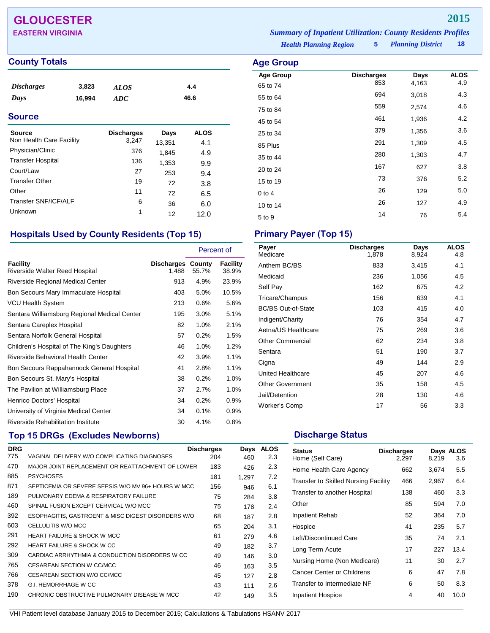# **GLOUCESTER 2015**

## **County Totals Age Group**

| <b>Discharges</b> | 3,823  | <b>ALOS</b> | 4.4  |  |
|-------------------|--------|-------------|------|--|
| Days              | 16,994 | ADC         | 46.6 |  |
| <b>Source</b>     |        |             |      |  |

| <b>Source</b><br>Non Health Care Facility | <b>Discharges</b><br>3,247 | Days<br>13,351 | <b>ALOS</b><br>4.1 |
|-------------------------------------------|----------------------------|----------------|--------------------|
| Physician/Clinic                          | 376                        | 1,845          | 4.9                |
| <b>Transfer Hospital</b>                  | 136                        | 1,353          | 9.9                |
| Court/Law                                 | 27                         | 253            | 9.4                |
| <b>Transfer Other</b>                     | 19                         | 72             | 3.8                |
| Other                                     | 11                         | 72             | 6.5                |
| Transfer SNF/ICF/ALF                      | 6                          | 36             | 6.0                |
| Unknown                                   | 1                          | 12             | 12.0               |

## **Hospitals Used by County Residents (Top 15) Primary Payer (Top 15)**

|                                              |                                   | Percent of |                   |
|----------------------------------------------|-----------------------------------|------------|-------------------|
| Facility<br>Riverside Walter Reed Hospital   | <b>Discharges County</b><br>1,488 | 55.7%      | Facility<br>38.9% |
| Riverside Regional Medical Center            | 913                               | 4.9%       | 23.9%             |
| Bon Secours Mary Immaculate Hospital         | 403                               | 5.0%       | 10.5%             |
| VCU Health System                            | 213                               | 0.6%       | 5.6%              |
| Sentara Williamsburg Regional Medical Center | 195                               | 3.0%       | 5.1%              |
| Sentara Careplex Hospital                    | 82                                | 1.0%       | 2.1%              |
| Sentara Norfolk General Hospital             | 57                                | 0.2%       | 1.5%              |
| Children's Hospital of The King's Daughters  | 46                                | 1.0%       | 1.2%              |
| Riverside Behavioral Health Center           | 42                                | $3.9\%$    | 1.1%              |
| Bon Secours Rappahannock General Hospital    | 41                                | 2.8%       | 1.1%              |
| Bon Secours St. Mary's Hospital              | 38                                | 0.2%       | 1.0%              |
| The Pavilion at Williamsburg Place           | 37                                | 2.7%       | 1.0%              |
| Henrico Doctors' Hospital                    | 34                                | 0.2%       | 0.9%              |
| University of Virginia Medical Center        | 34                                | 0.1%       | 0.9%              |
| Riverside Rehabilitation Institute           | 30                                | 4.1%       | 0.8%              |

# **Top 15 DRGs (Excludes Newborns) Discharge Status Discharge Status**

| <b>ALOS</b> |
|-------------|
| 2.3         |
| 2.3         |
| 7.2         |
| 6.1         |
| 3.8         |
| 2.4         |
| 2.8         |
| 3.1         |
| 4.6         |
| 3.7         |
| 3.0         |
| 3.5         |
| 2.8         |
| 2.6         |
| 3.5         |
|             |

*Health Planning Region* **5** *Planning District* **18 EASTERN VIRGINIA** *Summary of Inpatient Utilization: County Residents Profiles*

| ge Group         |                   |       |             |
|------------------|-------------------|-------|-------------|
| <b>Age Group</b> | <b>Discharges</b> | Days  | <b>ALOS</b> |
| 65 to 74         | 853               | 4,163 | 4.9         |
| 55 to 64         | 694               | 3,018 | 4.3         |
| 75 to 84         | 559               | 2,574 | 4.6         |
| 45 to 54         | 461               | 1,936 | 4.2         |
| 25 to 34         | 379               | 1,356 | 3.6         |
| 85 Plus          | 291               | 1,309 | 4.5         |
| 35 to 44         | 280               | 1,303 | 4.7         |
| 20 to 24         | 167               | 627   | 3.8         |
| 15 to 19         | 73                | 376   | 5.2         |
| 0 to 4           | 26                | 129   | 5.0         |
| 10 to 14         | 26                | 127   | 4.9         |
| 5 to 9           | 14                | 76    | 5.4         |

| Payer<br>Medicare         | <b>Discharges</b><br>1,878 | Days<br>8,924 | <b>ALOS</b><br>4.8 |
|---------------------------|----------------------------|---------------|--------------------|
| Anthem BC/BS              | 833                        | 3,415         | 4.1                |
| Medicaid                  | 236                        | 1,056         | 4.5                |
| Self Pay                  | 162                        | 675           | 4.2                |
| Tricare/Champus           | 156                        | 639           | 4.1                |
| <b>BC/BS Out-of-State</b> | 103                        | 415           | 4.0                |
| Indigent/Charity          | 76                         | 354           | 4.7                |
| Aetna/US Healthcare       | 75                         | 269           | 3.6                |
| <b>Other Commercial</b>   | 62                         | 234           | 3.8                |
| Sentara                   | 51                         | 190           | 3.7                |
| Cigna                     | 49                         | 144           | 2.9                |
| United Healthcare         | 45                         | 207           | 4.6                |
| <b>Other Government</b>   | 35                         | 158           | 4.5                |
| Jail/Detention            | 28                         | 130           | 4.6                |
| Worker's Comp             | 17                         | 56            | 3.3                |

| <b>Status</b><br>Home (Self Care)           | <b>Discharges</b><br>2,297 | 8,219 | Days ALOS<br>3.6 |
|---------------------------------------------|----------------------------|-------|------------------|
| Home Health Care Agency                     | 662                        | 3,674 | 5.5              |
| <b>Transfer to Skilled Nursing Facility</b> | 466                        | 2,967 | 6.4              |
| Transfer to another Hospital                | 138                        | 460   | 3.3              |
| Other                                       | 85                         | 594   | 7.0              |
| <b>Inpatient Rehab</b>                      | 52                         | 364   | 7.0              |
| Hospice                                     | 41                         | 235   | 5.7              |
| Left/Discontinued Care                      | 35                         | 74    | 2.1              |
| Long Term Acute                             | 17                         | 227   | 13.4             |
| Nursing Home (Non Medicare)                 | 11                         | 30    | 2.7              |
| Cancer Center or Childrens                  | 6                          | 47    | 7.8              |
| Transfer to Intermediate NF                 | 6                          | 50    | 8.3              |
| Inpatient Hospice                           | 4                          | 40    | 10.0             |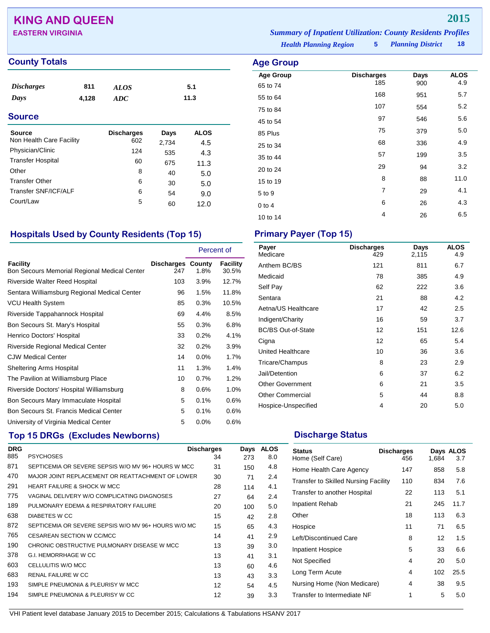# **KING AND QUEEN 2015**

### **County Totals Age Group Age Group**

| <b>Discharges</b> | 811   | <b>ALOS</b> | 5.1  |  |
|-------------------|-------|-------------|------|--|
| Days              | 4,128 | ADC         | 11.3 |  |
| $\sim$            |       |             |      |  |

## **Source** Source **Discharges** Days ALOS Non Health Care Facility 602 2,734 4.5 Physician/Clinic 124 535 4.3 Transfer Hospital 60 675 11.3<br>Other 8 40 5.0 Other 8 40 5.0 Transfer Other 6 30 5.0 Transfer SNF/ICF/ALF 6 54 9.0<br>Court/Law 5 6 12.0 Court/Law <sup>5</sup> <sup>60</sup> 12.0

## **Hospitals Used by County Residents (Top 15) Primary Payer (Top 15)**

|                                                          |                                 | Percent of |                   |
|----------------------------------------------------------|---------------------------------|------------|-------------------|
| Facility<br>Bon Secours Memorial Regional Medical Center | <b>Discharges County</b><br>247 | 1.8%       | Facility<br>30.5% |
| Riverside Walter Reed Hospital                           | 103                             | $3.9\%$    | 12.7%             |
| Sentara Williamsburg Regional Medical Center             | 96                              | 1.5%       | 11.8%             |
| <b>VCU Health System</b>                                 | 85                              | 0.3%       | 10.5%             |
| Riverside Tappahannock Hospital                          | 69                              | 4.4%       | 8.5%              |
| Bon Secours St. Mary's Hospital                          | 55                              | 0.3%       | 6.8%              |
| Henrico Doctors' Hospital                                | 33                              | 0.2%       | 4.1%              |
| Riverside Regional Medical Center                        | 32                              | 0.2%       | 3.9%              |
| <b>CJW Medical Center</b>                                | 14                              | $0.0\%$    | 1.7%              |
| <b>Sheltering Arms Hospital</b>                          | 11                              | 1.3%       | 1.4%              |
| The Pavilion at Williamsburg Place                       | 10                              | 0.7%       | 1.2%              |
| Riverside Doctors' Hospital Williamsburg                 | 8                               | 0.6%       | 1.0%              |
| Bon Secours Mary Immaculate Hospital                     | 5                               | 0.1%       | 0.6%              |
| Bon Secours St. Francis Medical Center                   | 5                               | 0.1%       | 0.6%              |
| University of Virginia Medical Center                    | 5                               | 0.0%       | 0.6%              |

## **Top 15 DRGs (Excludes Newborns) Discharge Status Discharge Status**

| <b>DRG</b> |                                                     | <b>Discharges</b> | Days | <b>ALOS</b> |
|------------|-----------------------------------------------------|-------------------|------|-------------|
| 885        | <b>PSYCHOSES</b>                                    | 34                | 273  | 8.0         |
| 871        | SEPTICEMIA OR SEVERE SEPSIS W/O MV 96+ HOURS W MCC  | 31                | 150  | 4.8         |
| 470        | MAJOR JOINT REPLACEMENT OR REATTACHMENT OF LOWER    | 30                | 71   | 2.4         |
| 291        | <b>HEART FAILURE &amp; SHOCK W MCC</b>              | 28                | 114  | 4.1         |
| 775        | VAGINAL DELIVERY W/O COMPLICATING DIAGNOSES         | 27                | 64   | 2.4         |
| 189        | PULMONARY EDEMA & RESPIRATORY FAILURE               | 20                | 100  | 5.0         |
| 638        | DIABETES W CC                                       | 15                | 42   | 2.8         |
| 872        | SEPTICEMIA OR SEVERE SEPSIS W/O MV 96+ HOURS W/O MC | 15                | 65   | 4.3         |
| 765        | CESAREAN SECTION W CC/MCC                           | 14                | 41   | 2.9         |
| 190        | CHRONIC OBSTRUCTIVE PULMONARY DISEASE W MCC         | 13                | 39   | 3.0         |
| 378        | G.I. HEMORRHAGE W CC                                | 13                | 41   | 3.1         |
| 603        | CELLULITIS W/O MCC                                  | 13                | 60   | 4.6         |
| 683        | <b>RENAL FAILURE W CC</b>                           | 13                | 43   | 3.3         |
| 193        | SIMPLE PNEUMONIA & PLEURISY W MCC                   | 12                | 54   | 4.5         |
| 194        | SIMPLE PNEUMONIA & PLEURISY W CC                    | 12                | 39   | 3.3         |

*Health Planning Region* **5** *Planning District* **18 EASTERN VIRGINIA** *Summary of Inpatient Utilization: County Residents Profiles*

| <b>\ge Group</b> |                   |      |             |
|------------------|-------------------|------|-------------|
| <b>Age Group</b> | <b>Discharges</b> | Days | <b>ALOS</b> |
| 65 to 74         | 185               | 900  | 4.9         |
| 55 to 64         | 168               | 951  | 5.7         |
| 75 to 84         | 107               | 554  | 5.2         |
| 45 to 54         | 97                | 546  | 5.6         |
| 85 Plus          | 75                | 379  | 5.0         |
| 25 to 34         | 68                | 336  | 4.9         |
| 35 to 44         | 57                | 199  | 3.5         |
| 20 to 24         | 29                | 94   | 3.2         |
| 15 to 19         | 8                 | 88   | 11.0        |
| 5 to 9           | 7                 | 29   | 4.1         |
| 0 to 4           | 6                 | 26   | 4.3         |
| 10 to 14         | 4                 | 26   | 6.5         |
|                  |                   |      |             |

| Payer<br>Medicare         | <b>Discharges</b><br>429 | Days<br>2,115 | <b>ALOS</b><br>4.9 |
|---------------------------|--------------------------|---------------|--------------------|
| Anthem BC/BS              | 121                      | 811           | 6.7                |
| Medicaid                  | 78                       | 385           | 4.9                |
| Self Pay                  | 62                       | 222           | 3.6                |
| Sentara                   | 21                       | 88            | 4.2                |
| Aetna/US Healthcare       | 17                       | 42            | $2.5\,$            |
| Indigent/Charity          | 16                       | 59            | 3.7                |
| <b>BC/BS Out-of-State</b> | 12                       | 151           | 12.6               |
| Cigna                     | 12                       | 65            | 5.4                |
| United Healthcare         | 10                       | 36            | 3.6                |
| Tricare/Champus           | 8                        | 23            | 2.9                |
| Jail/Detention            | 6                        | 37            | 6.2                |
| <b>Other Government</b>   | 6                        | 21            | 3.5                |
| <b>Other Commercial</b>   | 5                        | 44            | 8.8                |
| Hospice-Unspecified       | 4                        | 20            | 5.0                |

| <b>Status</b><br>Home (Self Care)           | <b>Discharges</b><br>456 | 1,684 | Days ALOS<br>3.7 |
|---------------------------------------------|--------------------------|-------|------------------|
| Home Health Care Agency                     | 147                      | 858   | 5.8              |
| <b>Transfer to Skilled Nursing Facility</b> | 110                      | 834   | 7.6              |
| Transfer to another Hospital                | 22                       | 113   | 5.1              |
| Inpatient Rehab                             | 21                       | 245   | 11.7             |
| Other                                       | 18                       | 113   | 6.3              |
| Hospice                                     | 11                       | 71    | 6.5              |
| Left/Discontinued Care                      | 8                        | 12    | 1.5              |
| <b>Inpatient Hospice</b>                    | 5                        | 33    | 6.6              |
| Not Specified                               | 4                        | 20    | 5.0              |
| Long Term Acute                             | 4                        | 102   | 25.5             |
| Nursing Home (Non Medicare)                 | 4                        | 38    | 9.5              |
| Transfer to Intermediate NF                 | 1                        | 5     | 5.0              |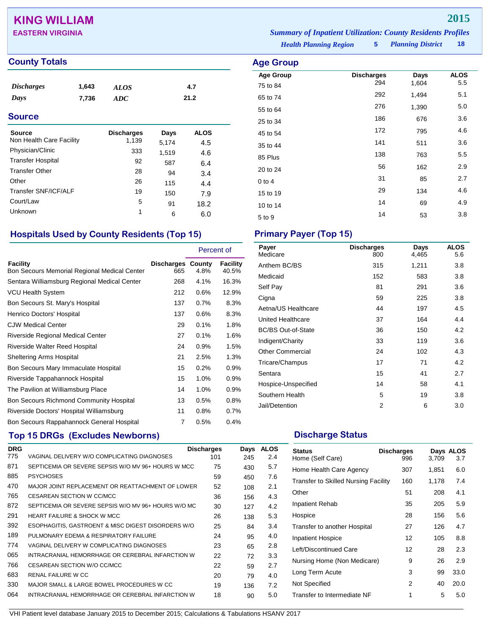# **KING WILLIAM 2015**

## **County Totals Age Group Age Group**

| <b>Discharges</b> | 1,643 | <b>ALOS</b> | 4.7  |  |
|-------------------|-------|-------------|------|--|
| Days              | 7,736 | ADC         | 21.2 |  |
| <b>Source</b>     |       |             |      |  |

| Source                   | <b>Discharges</b> | Days  | <b>ALOS</b> |
|--------------------------|-------------------|-------|-------------|
| Non Health Care Facility | 1,139             | 5,174 | 4.5         |
| Physician/Clinic         | 333               | 1.519 | 4.6         |
| <b>Transfer Hospital</b> | 92                | 587   | 6.4         |
| <b>Transfer Other</b>    | 28                | 94    | 3.4         |
| Other                    | 26                | 115   | 4.4         |
| Transfer SNF/ICF/ALF     | 19                | 150   | 7.9         |
| Court/Law                | 5                 | 91    | 18.2        |
| Unknown                  | 1                 | 6     | 6.0         |

# **Hospitals Used by County Residents (Top 15) Primary Payer (Top 15)**

|                                                          |                                 | Percent of |                   |
|----------------------------------------------------------|---------------------------------|------------|-------------------|
| Facility<br>Bon Secours Memorial Regional Medical Center | <b>Discharges County</b><br>665 | 4.8%       | Facility<br>40.5% |
| Sentara Williamsburg Regional Medical Center             | 268                             | 4.1%       | 16.3%             |
| VCU Health System                                        | 212                             | 0.6%       | 12.9%             |
| Bon Secours St. Mary's Hospital                          | 137                             | 0.7%       | 8.3%              |
| Henrico Doctors' Hospital                                | 137                             | 0.6%       | 8.3%              |
| <b>CJW Medical Center</b>                                | 29                              | 0.1%       | 1.8%              |
| <b>Riverside Regional Medical Center</b>                 | 27                              | 0.1%       | 1.6%              |
| Riverside Walter Reed Hospital                           | 24                              | 0.9%       | 1.5%              |
| Sheltering Arms Hospital                                 | 21                              | 2.5%       | 1.3%              |
| Bon Secours Mary Immaculate Hospital                     | 15                              | 0.2%       | 0.9%              |
| Riverside Tappahannock Hospital                          | 15                              | 1.0%       | 0.9%              |
| The Pavilion at Williamsburg Place                       | 14                              | 1.0%       | 0.9%              |
| Bon Secours Richmond Community Hospital                  | 13                              | 0.5%       | 0.8%              |
| Riverside Doctors' Hospital Williamsburg                 | 11                              | 0.8%       | 0.7%              |
| Bon Secours Rappahannock General Hospital                | 7                               | 0.5%       | 0.4%              |

# **Top 15 DRGs (Excludes Newborns) Discharge Status Discharge Status**

| <b>DRG</b> |                                                     | <b>Discharges</b> | Days | <b>ALOS</b> |
|------------|-----------------------------------------------------|-------------------|------|-------------|
| 775        | VAGINAL DELIVERY W/O COMPLICATING DIAGNOSES         | 101               | 245  | 2.4         |
| 871        | SEPTICEMIA OR SEVERE SEPSIS W/O MV 96+ HOURS W MCC  | 75                | 430  | 5.7         |
| 885        | <b>PSYCHOSES</b>                                    | 59                | 450  | 7.6         |
| 470        | MAJOR JOINT REPLACEMENT OR REATTACHMENT OF LOWER    | 52                | 108  | 2.1         |
| 765        | CESAREAN SECTION W CC/MCC                           | 36                | 156  | 4.3         |
| 872        | SEPTICEMIA OR SEVERE SEPSIS W/O MV 96+ HOURS W/O MC | 30                | 127  | 4.2         |
| 291        | <b>HEART FAILURE &amp; SHOCK W MCC</b>              | 26                | 138  | 5.3         |
| 392        | ESOPHAGITIS, GASTROENT & MISC DIGEST DISORDERS W/O  | 25                | 84   | 3.4         |
| 189        | PULMONARY EDEMA & RESPIRATORY FAILURE               | 24                | 95   | 4.0         |
| 774        | VAGINAL DELIVERY W COMPLICATING DIAGNOSES           | 23                | 65   | 2.8         |
| 065        | INTRACRANIAL HEMORRHAGE OR CEREBRAL INFARCTION W    | 22                | 72   | 3.3         |
| 766        | CESAREAN SECTION W/O CC/MCC                         | 22                | 59   | 2.7         |
| 683        | RENAL FAILURE W CC                                  | 20                | 79   | 4.0         |
| 330        | MAJOR SMALL & LARGE BOWEL PROCEDURES W CC           | 19                | 136  | 7.2         |
| 064        | INTRACRANIAL HEMORRHAGE OR CEREBRAL INFARCTION W    | 18                | 90   | 5.0         |

*Health Planning Region* **5** *Planning District* **18 EASTERN VIRGINIA** *Summary of Inpatient Utilization: County Residents Profiles*

| <b>Age Group</b> |                          |               |                    |
|------------------|--------------------------|---------------|--------------------|
| <b>Age Group</b> | <b>Discharges</b><br>294 | Days<br>1,604 | <b>ALOS</b><br>5.5 |
| 75 to 84         |                          |               |                    |
| 65 to 74         | 292                      | 1,494         | 5.1                |
| 55 to 64         | 276                      | 1,390         | 5.0                |
| 25 to 34         | 186                      | 676           | 3.6                |
| 45 to 54         | 172                      | 795           | 4.6                |
| 35 to 44         | 141                      | 511           | 3.6                |
| 85 Plus          | 138                      | 763           | 5.5                |
| 20 to 24         | 56                       | 162           | 2.9                |
| 0 to 4           | 31                       | 85            | 2.7                |
| 15 to 19         | 29                       | 134           | 4.6                |
| 10 to 14         | 14                       | 69            | 4.9                |
| 5 to 9           | 14                       | 53            | 3.8                |

| Payer<br>Medicare         | <b>Discharges</b><br>800 | Days<br>4,465 | <b>ALOS</b><br>5.6 |
|---------------------------|--------------------------|---------------|--------------------|
| Anthem BC/BS              | 315                      | 1,211         | 3.8                |
| Medicaid                  | 152                      | 583           | 3.8                |
| Self Pay                  | 81                       | 291           | 3.6                |
| Cigna                     | 59                       | 225           | 3.8                |
| Aetna/US Healthcare       | 44                       | 197           | 4.5                |
| United Healthcare         | 37                       | 164           | 4.4                |
| <b>BC/BS Out-of-State</b> | 36                       | 150           | 4.2                |
| Indigent/Charity          | 33                       | 119           | 3.6                |
| <b>Other Commercial</b>   | 24                       | 102           | 4.3                |
| Tricare/Champus           | 17                       | 71            | 4.2                |
| Sentara                   | 15                       | 41            | 2.7                |
| Hospice-Unspecified       | 14                       | 58            | 4.1                |
| Southern Health           | 5                        | 19            | 3.8                |
| Jail/Detention            | 2                        | 6             | 3.0                |

| <b>Status</b><br>Home (Self Care)           | <b>Discharges</b><br>996 | 3,709 | Days ALOS<br>3.7 |
|---------------------------------------------|--------------------------|-------|------------------|
| Home Health Care Agency                     | 307                      | 1,851 | 6.0              |
| <b>Transfer to Skilled Nursing Facility</b> | 160                      | 1,178 | 7.4              |
| Other                                       | 51                       | 208   | 4.1              |
| Inpatient Rehab                             | 35                       | 205   | 5.9              |
| Hospice                                     | 28                       | 156   | 5.6              |
| Transfer to another Hospital                | 27                       | 126   | 4.7              |
| <b>Inpatient Hospice</b>                    | 12                       | 105   | 8.8              |
| Left/Discontinued Care                      | 12                       | 28    | 2.3              |
| Nursing Home (Non Medicare)                 | 9                        | 26    | 2.9              |
| Long Term Acute                             | 3                        | 99    | 33.0             |
| Not Specified                               | 2                        | 40    | 20.0             |
| Transfer to Intermediate NF                 | 1                        | 5     | 5.0              |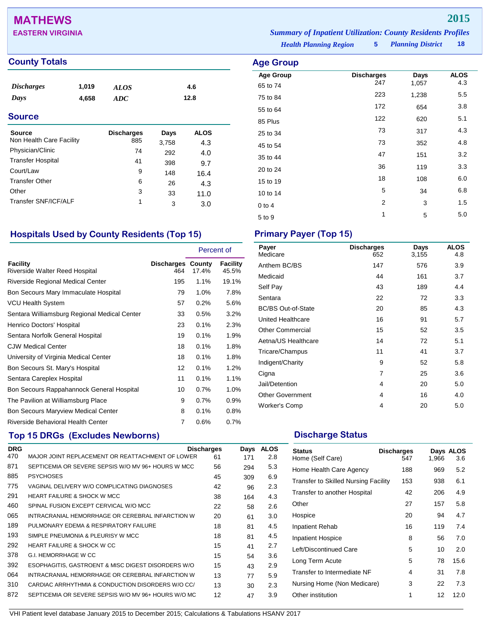# **MATHEWS 2015**

### **County Totals Age Group Age Group Age Group**

| <b>Discharges</b><br>1,019<br>Days<br>4,658<br><b>Source</b> |  | <b>ALOS</b><br>ADC |       | 4.6<br>12.8 |  |
|--------------------------------------------------------------|--|--------------------|-------|-------------|--|
|                                                              |  |                    |       |             |  |
| <b>Source</b>                                                |  | <b>Discharges</b>  | Days  | <b>ALOS</b> |  |
| Non Health Care Facility                                     |  | 885                | 3,758 | 4.3         |  |
| Physician/Clinic                                             |  | 74                 | 292   | 4.0         |  |
| <b>Transfer Hospital</b>                                     |  | 41                 | 398   | 9.7         |  |
| Court/Law                                                    |  | 9                  | 148   | 16.4        |  |
| <b>Transfer Other</b>                                        |  | 6                  | 26    | 4.3         |  |
| Other                                                        |  | 3                  | 33    | 11.0        |  |
| Transfer SNF/ICF/ALF                                         |  | 1                  | 3     | 3.0         |  |

## **Hospitals Used by County Residents (Top 15) Primary Payer (Top 15)**

|                                              |                                 | Percent of |                   |
|----------------------------------------------|---------------------------------|------------|-------------------|
| Facility<br>Riverside Walter Reed Hospital   | <b>Discharges County</b><br>464 | 17.4%      | Facility<br>45.5% |
| Riverside Regional Medical Center            | 195                             | $1.1\%$    | 19.1%             |
| Bon Secours Mary Immaculate Hospital         | 79                              | $1.0\%$    | 7.8%              |
| VCU Health System                            | 57                              | 0.2%       | 5.6%              |
| Sentara Williamsburg Regional Medical Center | 33                              | 0.5%       | 3.2%              |
| Henrico Doctors' Hospital                    | 23                              | $0.1\%$    | 2.3%              |
| Sentara Norfolk General Hospital             | 19                              | 0.1%       | 1.9%              |
| <b>CJW Medical Center</b>                    | 18                              | 0.1%       | 1.8%              |
| University of Virginia Medical Center        | 18                              | 0.1%       | 1.8%              |
| Bon Secours St. Mary's Hospital              | 12                              | 0.1%       | 1.2%              |
| Sentara Careplex Hospital                    | 11                              | 0.1%       | 1.1%              |
| Bon Secours Rappahannock General Hospital    | 10                              | 0.7%       | 1.0%              |
| The Pavilion at Williamsburg Place           | 9                               | 0.7%       | 0.9%              |
| <b>Bon Secours Maryview Medical Center</b>   | 8                               | 0.1%       | 0.8%              |
| Riverside Behavioral Health Center           | 7                               | 0.6%       | 0.7%              |

# **Top 15 DRGs (Excludes Newborns) Discharge Status Discharge Status**

| <b>DRG</b> | <b>Discharges</b>                                   |    |     | <b>ALOS</b> |
|------------|-----------------------------------------------------|----|-----|-------------|
| 470        | MAJOR JOINT REPLACEMENT OR REATTACHMENT OF LOWER    | 61 | 171 | 2.8         |
| 871        | SEPTICEMIA OR SEVERE SEPSIS W/O MV 96+ HOURS W MCC  | 56 | 294 | 5.3         |
| 885        | <b>PSYCHOSES</b>                                    | 45 | 309 | 6.9         |
| 775        | VAGINAL DELIVERY W/O COMPLICATING DIAGNOSES         | 42 | 96  | 2.3         |
| 291        | <b>HEART FAILURE &amp; SHOCK W MCC</b>              | 38 | 164 | 4.3         |
| 460        | SPINAL FUSION EXCEPT CERVICAL W/O MCC               | 22 | 58  | 2.6         |
| 065        | INTRACRANIAL HEMORRHAGE OR CEREBRAL INFARCTION W    | 20 | 61  | 3.0         |
| 189        | PULMONARY EDEMA & RESPIRATORY FAILURE               | 18 | 81  | 4.5         |
| 193        | SIMPLE PNEUMONIA & PLEURISY W MCC                   | 18 | 81  | 4.5         |
| 292        | <b>HEART FAILURE &amp; SHOCK W CC</b>               | 15 | 41  | 2.7         |
| 378        | G.I. HEMORRHAGE W CC                                | 15 | 54  | 3.6         |
| 392        | ESOPHAGITIS, GASTROENT & MISC DIGEST DISORDERS W/O  | 15 | 43  | 2.9         |
| 064        | INTRACRANIAL HEMORRHAGE OR CEREBRAL INFARCTION W    | 13 | 77  | 5.9         |
| 310        | CARDIAC ARRHYTHMIA & CONDUCTION DISORDERS W/O CC/   | 13 | 30  | 2.3         |
| 872        | SEPTICEMIA OR SEVERE SEPSIS W/O MV 96+ HOURS W/O MC | 12 | 47  | 3.9         |

*Health Planning Region* **5 EASTERN VIRGINIA** *Summary of Inpatient Utilization: County Residents Profiles*

*Planning District* **18**

| <b>Age Group</b>             |                          |               |                    |
|------------------------------|--------------------------|---------------|--------------------|
| <b>Age Group</b><br>65 to 74 | <b>Discharges</b><br>247 | Days<br>1,057 | <b>ALOS</b><br>4.3 |
| 75 to 84                     | 223                      | 1,238         | 5.5                |
| 55 to 64                     | 172                      | 654           | 3.8                |
| 85 Plus                      | 122                      | 620           | 5.1                |
| 25 to 34                     | 73                       | 317           | 4.3                |
| 45 to 54                     | 73                       | 352           | 4.8                |
| 35 to 44                     | 47                       | 151           | 3.2                |
| 20 to 24                     | 36                       | 119           | 3.3                |
| 15 to 19                     | 18                       | 108           | 6.0                |
| 10 to 14                     | 5                        | 34            | 6.8                |
| 0 to 4                       | 2                        | 3             | 1.5                |
| 5 to 9                       | 1                        | 5             | 5.0                |

| Payer<br>Medicare         | <b>Discharges</b><br>652 | Days<br>3,155 | <b>ALOS</b><br>4.8 |
|---------------------------|--------------------------|---------------|--------------------|
| Anthem BC/BS              | 147                      | 576           | 3.9                |
| Medicaid                  | 44                       | 161           | 3.7                |
| Self Pay                  | 43                       | 189           | 4.4                |
| Sentara                   | 22                       | 72            | 3.3                |
| <b>BC/BS Out-of-State</b> | 20                       | 85            | 4.3                |
| United Healthcare         | 16                       | 91            | 5.7                |
| <b>Other Commercial</b>   | 15                       | 52            | 3.5                |
| Aetna/US Healthcare       | 14                       | 72            | 5.1                |
| Tricare/Champus           | 11                       | 41            | 3.7                |
| Indigent/Charity          | 9                        | 52            | 5.8                |
| Cigna                     | 7                        | 25            | 3.6                |
| Jail/Detention            | 4                        | 20            | 5.0                |
| <b>Other Government</b>   | 4                        | 16            | 4.0                |
| <b>Worker's Comp</b>      | 4                        | 20            | 5.0                |

| <b>Status</b><br>Home (Self Care)    | <b>Discharges</b><br>547 | 1,966 | Days ALOS<br>3.6 |
|--------------------------------------|--------------------------|-------|------------------|
| Home Health Care Agency              | 188                      | 969   | 5.2              |
| Transfer to Skilled Nursing Facility | 153                      | 938   | 6.1              |
| Transfer to another Hospital         | 42                       | 206   | 4.9              |
| Other                                | 27                       | 157   | 5.8              |
| Hospice                              | 20                       | 94    | 4.7              |
| Inpatient Rehab                      | 16                       | 119   | 7.4              |
| <b>Inpatient Hospice</b>             | 8                        | 56    | 7.0              |
| Left/Discontinued Care               | 5                        | 10    | 2.0              |
| Long Term Acute                      | 5                        | 78    | 15.6             |
| Transfer to Intermediate NF          | 4                        | 31    | 7.8              |
| Nursing Home (Non Medicare)          | 3                        | 22    | 7.3              |
| Other institution                    | 1                        | 12    | 12.0             |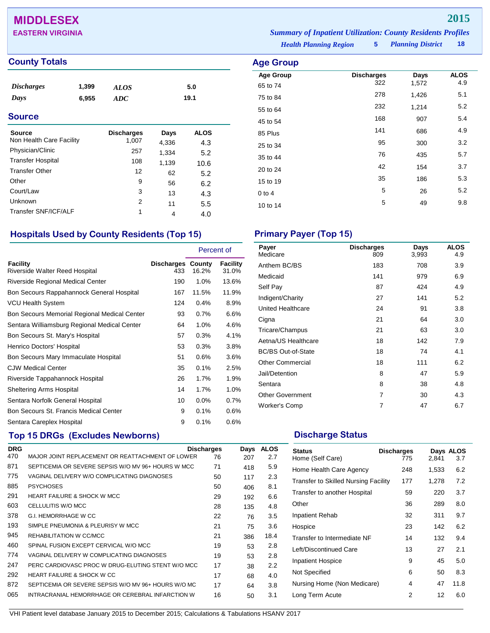# **MIDDLESEX 2015**

|  | <b>County Totals</b> |  |  |
|--|----------------------|--|--|
|  |                      |  |  |

| <i><b>Discharges</b></i><br>Days<br><b>Source</b> | 1,399<br>6,955 | <b>ALOS</b><br>ADC |                   | 5.0<br>19.1 |  |
|---------------------------------------------------|----------------|--------------------|-------------------|-------------|--|
| <b>Source</b>                                     |                | <b>Discharges</b>  | Days              | <b>ALOS</b> |  |
| Non Health Care Facility                          |                | 1,007              | 4,336             | 4.3         |  |
| Physician/Clinic                                  |                | つらつ                | $\sim$ 0.0 $\sim$ | - -         |  |

| Physician/Clinic         | 257 | 1,334 | 5.2  |  |
|--------------------------|-----|-------|------|--|
| <b>Transfer Hospital</b> | 108 | 1,139 | 10.6 |  |
| <b>Transfer Other</b>    | 12  | 62    | 5.2  |  |
| Other                    | 9   | 56    | 6.2  |  |
| Court/Law                | 3   | 13    | 4.3  |  |
| Unknown                  | 2   | 11    | 5.5  |  |
| Transfer SNF/ICF/ALF     | 1   | 4     | 4.0  |  |

## **Hospitals Used by County Residents (Top 15) Primary Payer (Top 15)**

|                                                   |                                 | Percent of |                   |
|---------------------------------------------------|---------------------------------|------------|-------------------|
| <b>Facility</b><br>Riverside Walter Reed Hospital | <b>Discharges County</b><br>433 | 16.2%      | Facility<br>31.0% |
| Riverside Regional Medical Center                 | 190                             | $1.0\%$    | 13.6%             |
| Bon Secours Rappahannock General Hospital         | 167                             | 11.5%      | 11.9%             |
| <b>VCU Health System</b>                          | 124                             | 0.4%       | 8.9%              |
| Bon Secours Memorial Regional Medical Center      | 93                              | 0.7%       | 6.6%              |
| Sentara Williamsburg Regional Medical Center      | 64                              | 1.0%       | 4.6%              |
| Bon Secours St. Mary's Hospital                   | 57                              | 0.3%       | 4.1%              |
| Henrico Doctors' Hospital                         | 53                              | 0.3%       | 3.8%              |
| Bon Secours Mary Immaculate Hospital              | 51                              | 0.6%       | 3.6%              |
| <b>CJW Medical Center</b>                         | 35                              | 0.1%       | 2.5%              |
| Riverside Tappahannock Hospital                   | 26                              | 1.7%       | 1.9%              |
| <b>Sheltering Arms Hospital</b>                   | 14                              | 1.7%       | 1.0%              |
| Sentara Norfolk General Hospital                  | 10                              | 0.0%       | 0.7%              |
| Bon Secours St. Francis Medical Center            | 9                               | 0.1%       | 0.6%              |
| Sentara Careplex Hospital                         | 9                               | 0.1%       | 0.6%              |

# **Top 15 DRGs (Excludes Newborns) Discharge Status Discharge Status**

| <b>DRG</b> |                                                     | <b>Discharges</b> | Days | <b>ALOS</b> |
|------------|-----------------------------------------------------|-------------------|------|-------------|
| 470        | MAJOR JOINT REPLACEMENT OR REATTACHMENT OF LOWER    | 76                | 207  | 2.7         |
| 871        | SEPTICEMIA OR SEVERE SEPSIS W/O MV 96+ HOURS W MCC  | 71                | 418  | 5.9         |
| 775        | VAGINAL DELIVERY W/O COMPLICATING DIAGNOSES         | 50                | 117  | 2.3         |
| 885        | <b>PSYCHOSES</b>                                    | 50                | 406  | 8.1         |
| 291        | <b>HEART FAILURE &amp; SHOCK W MCC</b>              | 29                | 192  | 6.6         |
| 603        | CELLULITIS W/O MCC                                  | 28                | 135  | 4.8         |
| 378        | G.I. HEMORRHAGE W CC                                | 22                | 76   | 3.5         |
| 193        | SIMPLE PNEUMONIA & PLEURISY W MCC                   | 21                | 75   | 3.6         |
| 945        | REHABILITATION W CC/MCC                             | 21                | 386  | 18.4        |
| 460        | SPINAL FUSION EXCEPT CERVICAL W/O MCC               | 19                | 53   | 2.8         |
| 774        | VAGINAL DELIVERY W COMPLICATING DIAGNOSES           | 19                | 53   | 2.8         |
| 247        | PERC CARDIOVASC PROC W DRUG-ELUTING STENT W/O MCC   | 17                | 38   | 2.2         |
| 292        | <b>HEART FAILURE &amp; SHOCK W CC</b>               | 17                | 68   | 4.0         |
| 872        | SEPTICEMIA OR SEVERE SEPSIS W/O MV 96+ HOURS W/O MC | 17                | 64   | 3.8         |
| 065        | INTRACRANIAL HEMORRHAGE OR CEREBRAL INFARCTION W    | 16                | 50   | 3.1         |

*Health Planning Region* **5** *Planning District* **18 EASTERN VIRGINIA** *Summary of Inpatient Utilization: County Residents Profiles*

## **Age Group Age Group Discharges Days ALOS**<br>65 to 74 322 1,572 4.9 65 to 74 <sup>322</sup> 1,572 4.9 75 to 84 <sup>278</sup> 1,426 5.1 55 to 64 <sup>232</sup> 1,214 5.2 45 to 54 <sup>168</sup> <sup>907</sup> 5.4 85 Plus <sup>141</sup> <sup>686</sup> 4.9 25 to 34 and 35 300 3.2 35 to 44 **5.7** to 435 **5.7** 20 to 24 **42** 154 3.7

15 to 19 186 186 186 15.3 0 to 4  $5$  26  $5$ . 10 to 14 **5** 49 9.8

| Payer<br>Medicare         | <b>Discharges</b><br>809 | Days<br>3,993 | <b>ALOS</b><br>4.9 |
|---------------------------|--------------------------|---------------|--------------------|
| Anthem BC/BS              | 183                      | 708           | 3.9                |
| Medicaid                  | 141                      | 979           | 6.9                |
| Self Pay                  | 87                       | 424           | 4.9                |
| Indigent/Charity          | 27                       | 141           | 5.2                |
| United Healthcare         | 24                       | 91            | 3.8                |
| Cigna                     | 21                       | 64            | 3.0                |
| Tricare/Champus           | 21                       | 63            | 3.0                |
| Aetna/US Healthcare       | 18                       | 142           | 7.9                |
| <b>BC/BS Out-of-State</b> | 18                       | 74            | 4.1                |
| <b>Other Commercial</b>   | 18                       | 111           | 6.2                |
| Jail/Detention            | 8                        | 47            | 5.9                |
| Sentara                   | 8                        | 38            | 4.8                |
| <b>Other Government</b>   | 7                        | 30            | 4.3                |
| <b>Worker's Comp</b>      | 7                        | 47            | 6.7                |

| <b>Status</b><br>Home (Self Care)           | <b>Discharges</b><br>775 | 2,841 | Days ALOS<br>3.7 |
|---------------------------------------------|--------------------------|-------|------------------|
| Home Health Care Agency                     | 248                      | 1,533 | 6.2              |
| <b>Transfer to Skilled Nursing Facility</b> | 177                      | 1,278 | 7.2              |
| Transfer to another Hospital                | 59                       | 220   | 3.7              |
| Other                                       | 36                       | 289   | 8.0              |
| Inpatient Rehab                             | 32                       | 311   | 9.7              |
| Hospice                                     | 23                       | 142   | 6.2              |
| Transfer to Intermediate NF                 | 14                       | 132   | 9.4              |
| Left/Discontinued Care                      | 13                       | 27    | 2.1              |
| <b>Inpatient Hospice</b>                    | 9                        | 45    | 5.0              |
| Not Specified                               | 6                        | 50    | 8.3              |
| Nursing Home (Non Medicare)                 | 4                        | 47    | 11.8             |
| Long Term Acute                             | 2                        | 12    | 6.0              |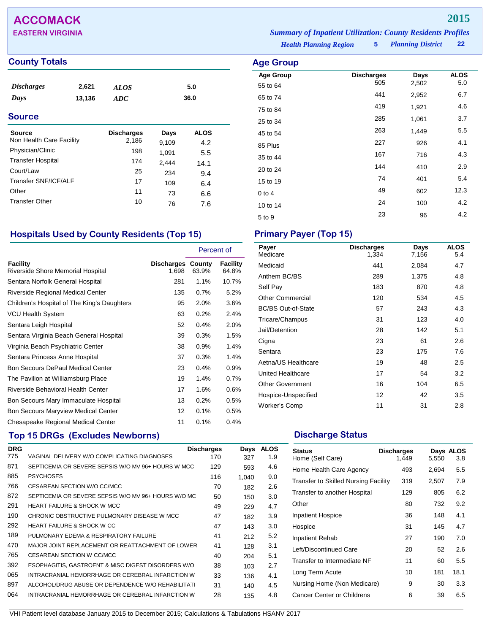## **County Totals Age Group**

| <b>Discharges</b><br>Days   | 2,621<br>13,136 | ALOS<br><b>ADC</b> |       | 5.0<br>36.0 |
|-----------------------------|-----------------|--------------------|-------|-------------|
| <b>Source</b>               |                 |                    |       |             |
| <b>Source</b>               |                 | <b>Discharges</b>  | Days  | <b>ALOS</b> |
| Non Health Care Facility    |                 | 2,186              | 9,109 | 4.2         |
| Physician/Clinic            |                 | 198                | 1,091 | 5.5         |
| <b>Transfer Hospital</b>    |                 | 174                | 2,444 | 14.1        |
| Court/Law                   |                 | 25                 | 234   | 9.4         |
| <b>Transfer SNF/ICF/ALF</b> |                 | 17                 | 109   | 6.4         |
| Other                       |                 | 11                 | 73    | 6.6         |
| <b>Transfer Other</b>       |                 | 10                 | 76    | 7.6         |

# **Hospitals Used by County Residents (Top 15) Primary Payer (Top 15)**

|                                                      |                                   | Percent of |                   |
|------------------------------------------------------|-----------------------------------|------------|-------------------|
| <b>Facility</b><br>Riverside Shore Memorial Hospital | <b>Discharges County</b><br>1,698 | 63.9%      | Facility<br>64.8% |
| Sentara Norfolk General Hospital                     | 281                               | 1.1%       | 10.7%             |
| Riverside Regional Medical Center                    | 135                               | 0.7%       | 5.2%              |
| Children's Hospital of The King's Daughters          | 95                                | 2.0%       | 3.6%              |
| <b>VCU Health System</b>                             | 63                                | 0.2%       | 2.4%              |
| Sentara Leigh Hospital                               | 52                                | 0.4%       | 2.0%              |
| Sentara Virginia Beach General Hospital              | 39                                | 0.3%       | 1.5%              |
| Virginia Beach Psychiatric Center                    | 38                                | 0.9%       | 1.4%              |
| Sentara Princess Anne Hospital                       | 37                                | 0.3%       | 1.4%              |
| <b>Bon Secours DePaul Medical Center</b>             | 23                                | 0.4%       | 0.9%              |
| The Pavilion at Williamsburg Place                   | 19                                | 1.4%       | 0.7%              |
| Riverside Behavioral Health Center                   | 17                                | 1.6%       | 0.6%              |
| Bon Secours Mary Immaculate Hospital                 | 13                                | 0.2%       | 0.5%              |
| <b>Bon Secours Maryview Medical Center</b>           | 12                                | 0.1%       | 0.5%              |
| Chesapeake Regional Medical Center                   | 11                                | 0.1%       | 0.4%              |

# **Top 15 DRGs (Excludes Newborns) Discharge Status Discharge Status**

| <b>DRG</b> |                                                     | <b>Discharges</b> | Days  | <b>ALOS</b> |
|------------|-----------------------------------------------------|-------------------|-------|-------------|
| 775        | VAGINAL DELIVERY W/O COMPLICATING DIAGNOSES         | 170               | 327   | 1.9         |
| 871        | SEPTICEMIA OR SEVERE SEPSIS W/O MV 96+ HOURS W MCC  | 129               | 593   | 4.6         |
| 885        | <b>PSYCHOSES</b>                                    | 116               | 1,040 | 9.0         |
| 766        | CESAREAN SECTION W/O CC/MCC                         | 70                | 182   | 2.6         |
| 872        | SEPTICEMIA OR SEVERE SEPSIS W/O MV 96+ HOURS W/O MC | 50                | 150   | 3.0         |
| 291        | <b>HEART FAILURE &amp; SHOCK W MCC</b>              | 49                | 229   | 4.7         |
| 190        | CHRONIC OBSTRUCTIVE PULMONARY DISEASE W MCC         | 47                | 182   | 3.9         |
| 292        | <b>HEART FAILURE &amp; SHOCK W CC</b>               | 47                | 143   | 3.0         |
| 189        | PULMONARY EDEMA & RESPIRATORY FAILURE               | 41                | 212   | 5.2         |
| 470        | MAJOR JOINT REPLACEMENT OR REATTACHMENT OF LOWER    | 41                | 128   | 3.1         |
| 765        | CESAREAN SECTION W CC/MCC                           | 40                | 204   | 5.1         |
| 392        | ESOPHAGITIS, GASTROENT & MISC DIGEST DISORDERS W/O  | 38                | 103   | 2.7         |
| 065        | INTRACRANIAL HEMORRHAGE OR CEREBRAL INFARCTION W    | 33                | 136   | 4.1         |
| 897        | ALCOHOL/DRUG ABUSE OR DEPENDENCE W/O REHABILITATI   | 31                | 140   | 4.5         |
| 064        | INTRACRANIAL HEMORRHAGE OR CEREBRAL INFARCTION W    | 28                | 135   | 4.8         |
|            |                                                     |                   |       |             |

| Payer<br>Medicare         | <b>Discharges</b><br>1,334 | Days<br>7,156 | <b>ALOS</b><br>5.4 |
|---------------------------|----------------------------|---------------|--------------------|
| Medicaid                  | 441                        | 2,084         | 4.7                |
| Anthem BC/BS              | 289                        | 1,375         | 4.8                |
| Self Pay                  | 183                        | 870           | 4.8                |
| <b>Other Commercial</b>   | 120                        | 534           | 4.5                |
| <b>BC/BS Out-of-State</b> | 57                         | 243           | 4.3                |
| Tricare/Champus           | 31                         | 123           | 4.0                |
| Jail/Detention            | 28                         | 142           | 5.1                |
| Cigna                     | 23                         | 61            | 2.6                |
| Sentara                   | 23                         | 175           | 7.6                |
| Aetna/US Healthcare       | 19                         | 48            | $2.5\,$            |
| United Healthcare         | 17                         | 54            | 3.2                |
| <b>Other Government</b>   | 16                         | 104           | 6.5                |
| Hospice-Unspecified       | 12                         | 42            | 3.5                |
| <b>Worker's Comp</b>      | 11                         | 31            | 2.8                |

| <b>Status</b><br>Home (Self Care)           | <b>Discharges</b><br>1,449 | 5,550 | Days ALOS<br>3.8 |
|---------------------------------------------|----------------------------|-------|------------------|
| Home Health Care Agency                     | 493                        | 2,694 | 5.5              |
| <b>Transfer to Skilled Nursing Facility</b> | 319                        | 2,507 | 7.9              |
| Transfer to another Hospital                | 129                        | 805   | 6.2              |
| Other                                       | 80                         | 732   | 9.2              |
| <b>Inpatient Hospice</b>                    | 36                         | 148   | 4.1              |
| Hospice                                     | 31                         | 145   | 4.7              |
| Inpatient Rehab                             | 27                         | 190   | 7.0              |
| Left/Discontinued Care                      | 20                         | 52    | 2.6              |
| Transfer to Intermediate NF                 | 11                         | 60    | 5.5              |
| Long Term Acute                             | 10                         | 181   | 18.1             |
| Nursing Home (Non Medicare)                 | 9                          | 30    | 3.3              |
| Cancer Center or Childrens                  | 6                          | 39    | 6.5              |

*Health Planning Region* **5**

| <b>Age Group</b> | <b>Discharges</b> | Days  | <b>ALOS</b> |
|------------------|-------------------|-------|-------------|
| 55 to 64         |                   |       | 5.0         |
| 65 to 74         | 441               | 2,952 | 6.7         |
| 75 to 84         | 419               | 1,921 | 4.6         |
| 25 to 34         | 285               | 1,061 | 3.7         |
| 45 to 54         | 263               | 1,449 | 5.5         |
| 85 Plus          | 227               | 926   | 4.1         |
| 35 to 44         | 167               | 716   | 4.3         |
| 20 to 24         | 144               | 410   | 2.9         |
| 15 to 19         | 74                | 401   | 5.4         |
| $0$ to 4         | 49                | 602   | 12.3        |
| 10 to 14         | 24                | 100   | 4.2         |
| 5 to 9           | 23                | 96    | 4.2         |
|                  |                   | 505   | 2,502       |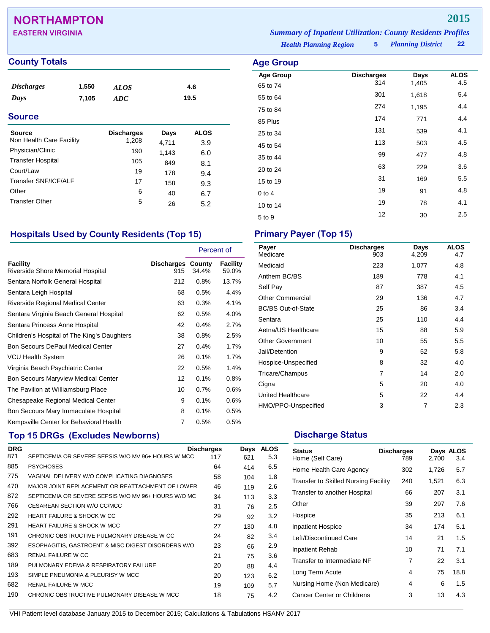# **NORTHAMPTON 2015**

### **County Totals Age Group**

| <b>Discharges</b><br>Days | 1,550<br>7,105 | <i>ALOS</i><br><b>ADC</b> |       | 4.6<br>19.5 |
|---------------------------|----------------|---------------------------|-------|-------------|
| <b>Source</b>             |                |                           |       |             |
| <b>Source</b>             |                | <b>Discharges</b>         | Days  | <b>ALOS</b> |
| Non Health Care Facility  |                | 1,208                     | 4,711 | 3.9         |
| Physician/Clinic          |                | 190                       | 1,143 | 6.0         |
| <b>Transfer Hospital</b>  |                | 105                       | 849   | 8.1         |
| Court/Law                 |                | 19                        | 178   | 9.4         |
| Transfer SNF/ICF/ALF      |                | 17                        | 158   | 9.3         |
| Other                     |                | 6                         | 40    | 6.7         |
| <b>Transfer Other</b>     |                | 5                         | 26    | 5.2         |

## **Hospitals Used by County Residents (Top 15) Primary Payer (Top 15)**

|                                               |                                 | Percent of |                   |
|-----------------------------------------------|---------------------------------|------------|-------------------|
| Facility<br>Riverside Shore Memorial Hospital | <b>Discharges County</b><br>915 | 34.4%      | Facility<br>59.0% |
| Sentara Norfolk General Hospital              | 212                             | 0.8%       | 13.7%             |
| Sentara Leigh Hospital                        | 68                              | 0.5%       | 4.4%              |
| <b>Riverside Regional Medical Center</b>      | 63                              | 0.3%       | 4.1%              |
| Sentara Virginia Beach General Hospital       | 62                              | 0.5%       | 4.0%              |
| Sentara Princess Anne Hospital                | 42                              | 0.4%       | 2.7%              |
| Children's Hospital of The King's Daughters   | 38                              | 0.8%       | 2.5%              |
| <b>Bon Secours DePaul Medical Center</b>      | 27                              | 0.4%       | 1.7%              |
| <b>VCU Health System</b>                      | 26                              | 0.1%       | 1.7%              |
| Virginia Beach Psychiatric Center             | 22                              | 0.5%       | 1.4%              |
| <b>Bon Secours Maryview Medical Center</b>    | 12                              | 0.1%       | 0.8%              |
| The Pavilion at Williamsburg Place            | 10                              | 0.7%       | 0.6%              |
| Chesapeake Regional Medical Center            | 9                               | 0.1%       | 0.6%              |
| Bon Secours Mary Immaculate Hospital          | 8                               | 0.1%       | 0.5%              |
| Kempsville Center for Behavioral Health       | $\overline{7}$                  | 0.5%       | 0.5%              |

## **Top 15 DRGs (Excludes Newborns) Discharge Status Discharge Status**

| <b>DRG</b> |                                                     | <b>Discharges</b> | Days | <b>ALOS</b> |
|------------|-----------------------------------------------------|-------------------|------|-------------|
| 871        | SEPTICEMIA OR SEVERE SEPSIS W/O MV 96+ HOURS W MCC  | 117               | 621  | 5.3         |
| 885        | <b>PSYCHOSES</b>                                    | 64                | 414  | 6.5         |
| 775        | VAGINAL DELIVERY W/O COMPLICATING DIAGNOSES         | 58                | 104  | 1.8         |
| 470        | MAJOR JOINT REPLACEMENT OR REATTACHMENT OF LOWER    | 46                | 119  | 2.6         |
| 872        | SEPTICEMIA OR SEVERE SEPSIS W/O MV 96+ HOURS W/O MC | 34                | 113  | 3.3         |
| 766        | CESAREAN SECTION W/O CC/MCC                         | 31                | 76   | 2.5         |
| 292        | <b>HEART FAILURE &amp; SHOCK W CC</b>               | 29                | 92   | 3.2         |
| 291        | <b>HEART FAILURE &amp; SHOCK W MCC</b>              | 27                | 130  | 4.8         |
| 191        | CHRONIC OBSTRUCTIVE PULMONARY DISEASE W CC          | 24                | 82   | 3.4         |
| 392        | ESOPHAGITIS, GASTROENT & MISC DIGEST DISORDERS W/O  | 23                | 66   | 2.9         |
| 683        | RENAL FAILURE W CC                                  | 21                | 75   | 3.6         |
| 189        | PULMONARY EDEMA & RESPIRATORY FAILURE               | 20                | 88   | 4.4         |
| 193        | SIMPLE PNEUMONIA & PLEURISY W MCC                   | 20                | 123  | 6.2         |
| 682        | <b>RENAL FAILURE W MCC</b>                          | 19                | 109  | 5.7         |
| 190        | CHRONIC OBSTRUCTIVE PULMONARY DISEASE W MCC         | 18                | 75   | 4.2         |

| Payer<br>Medicare         | <b>Discharges</b><br>903 | Days<br>4,209 | <b>ALOS</b><br>4.7 |
|---------------------------|--------------------------|---------------|--------------------|
| Medicaid                  | 223                      | 1,077         | 4.8                |
| Anthem BC/BS              | 189                      | 778           | 4.1                |
| Self Pay                  | 87                       | 387           | 4.5                |
| <b>Other Commercial</b>   | 29                       | 136           | 4.7                |
| <b>BC/BS Out-of-State</b> | 25                       | 86            | 3.4                |
| Sentara                   | 25                       | 110           | 4.4                |
| Aetna/US Healthcare       | 15                       | 88            | 5.9                |
| <b>Other Government</b>   | 10                       | 55            | 5.5                |
| Jail/Detention            | 9                        | 52            | 5.8                |
| Hospice-Unspecified       | 8                        | 32            | 4.0                |
| Tricare/Champus           | 7                        | 14            | 2.0                |
| Cigna                     | 5                        | 20            | 4.0                |
| United Healthcare         | 5                        | 22            | 4.4                |
| HMO/PPO-Unspecified       | 3                        | 7             | 2.3                |

| <b>Status</b><br>Home (Self Care)           | <b>Discharges</b><br>789 | 2,700 | Days ALOS<br>3.4 |
|---------------------------------------------|--------------------------|-------|------------------|
| Home Health Care Agency                     | 302                      | 1,726 | 5.7              |
| <b>Transfer to Skilled Nursing Facility</b> | 240                      | 1,521 | 6.3              |
| Transfer to another Hospital                | 66                       | 207   | 3.1              |
| Other                                       | 39                       | 297   | 7.6              |
| Hospice                                     | 35                       | 213   | 6.1              |
| <b>Inpatient Hospice</b>                    | 34                       | 174   | 5.1              |
| Left/Discontinued Care                      | 14                       | 21    | 1.5              |
| Inpatient Rehab                             | 10                       | 71    | 7.1              |
| Transfer to Intermediate NF                 | 7                        | 22    | 3.1              |
| Long Term Acute                             | 4                        | 75    | 18.8             |
| Nursing Home (Non Medicare)                 | 4                        | 6     | 1.5              |
| Cancer Center or Childrens                  | 3                        | 13    | 4.3              |

**Age Group Discharges Days ALOS** 65 to 74 <sup>314</sup> 1,405 4.5 55 to 64 5.4 75 to 84 <sup>274</sup> 1,195 4.4 85 Plus 174 771 4.4 25 to 34 <sup>131</sup> <sup>539</sup> 4.1 45 to 54 <sup>113</sup> <sup>503</sup> 4.5 35 to 44 <sup>99</sup> <sup>477</sup> 4.8 20 to 24 <sup>63</sup> <sup>229</sup> 3.6 15 to 19 169 5.5  $0$  to 4  $19$  91  $4.8$ 10 to 14 19 19 19 19 10 11 12 13 14.1  $5 \text{ to } 9$   $12$   $30$   $2.5$ 

*Health Planning Region* **5**

*Planning District* **22**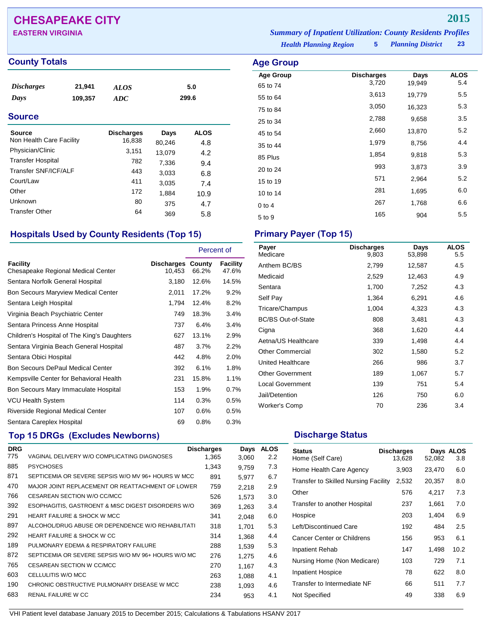# **CHESAPEAKE CITY 2015**

**EASTERN VIRGINIA** *Summary of Inpatient Utilization: County Residents Profiles*

### **County Totals Age Group**

| <i>Discharges</i> | 21,941  | <i>ALOS</i> | 5.0   |
|-------------------|---------|-------------|-------|
| Days              | 109,357 | ADC         | 299.6 |

### **Source**

| Source                   | <b>Discharges</b> | Days   | <b>ALOS</b> |
|--------------------------|-------------------|--------|-------------|
| Non Health Care Facility | 16,838            | 80,246 | 4.8         |
| Physician/Clinic         | 3,151             | 13,079 | 4.2         |
| <b>Transfer Hospital</b> | 782               | 7,336  | 9.4         |
| Transfer SNF/ICF/ALF     | 443               | 3,033  | 6.8         |
| Court/Law                | 411               | 3,035  | 7.4         |
| Other                    | 172               | 1,884  | 10.9        |
| Unknown                  | 80                | 375    | 4.7         |
| <b>Transfer Other</b>    | 64                | 369    | 5.8         |

## **Hospitals Used by County Residents (Top 15) Primary Payer (Top 15)**

|                                                |                             | Percent of |                   |
|------------------------------------------------|-----------------------------|------------|-------------------|
| Facility<br>Chesapeake Regional Medical Center | Discharges County<br>10,453 | 66.2%      | Facility<br>47.6% |
| Sentara Norfolk General Hospital               | 3,180                       | 12.6%      | 14.5%             |
| <b>Bon Secours Maryview Medical Center</b>     | 2,011                       | 17.2%      | 9.2%              |
| Sentara Leigh Hospital                         | 1,794                       | 12.4%      | 8.2%              |
| Virginia Beach Psychiatric Center              | 749                         | 18.3%      | 3.4%              |
| Sentara Princess Anne Hospital                 | 737                         | 6.4%       | 3.4%              |
| Children's Hospital of The King's Daughters    | 627                         | 13.1%      | 2.9%              |
| Sentara Virginia Beach General Hospital        | 487                         | 3.7%       | 2.2%              |
| Sentara Obici Hospital                         | 442                         | 4.8%       | 2.0%              |
| <b>Bon Secours DePaul Medical Center</b>       | 392                         | 6.1%       | 1.8%              |
| Kempsville Center for Behavioral Health        | 231                         | 15.8%      | 1.1%              |
| Bon Secours Mary Immaculate Hospital           | 153                         | 1.9%       | 0.7%              |
| VCU Health System                              | 114                         | 0.3%       | 0.5%              |
| Riverside Regional Medical Center              | 107                         | 0.6%       | 0.5%              |
| Sentara Careplex Hospital                      | 69                          | 0.8%       | 0.3%              |

# **Top 15 DRGs (Excludes Newborns) Discharge Status Discharge Status**

| <b>DRG</b> |                                                     | <b>Discharges</b> | Days  | <b>ALOS</b>      |
|------------|-----------------------------------------------------|-------------------|-------|------------------|
| 775        | VAGINAL DELIVERY W/O COMPLICATING DIAGNOSES         | 1.365             | 3,060 | $2.2\phantom{0}$ |
| 885        | <b>PSYCHOSES</b>                                    | 1,343             | 9.759 | 7.3              |
| 871        | SEPTICEMIA OR SEVERE SEPSIS W/O MV 96+ HOURS W MCC  | 891               | 5,977 | 6.7              |
| 470        | MAJOR JOINT REPLACEMENT OR REATTACHMENT OF LOWER    | 759               | 2.218 | 2.9              |
| 766        | CESAREAN SECTION W/O CC/MCC                         | 526               | 1,573 | 3.0              |
| 392        | ESOPHAGITIS, GASTROENT & MISC DIGEST DISORDERS W/O  | 369               | 1,263 | 3.4              |
| 291        | <b>HEART FAILURE &amp; SHOCK W MCC</b>              | 341               | 2.048 | 6.0              |
| 897        | ALCOHOL/DRUG ABUSE OR DEPENDENCE W/O REHABILITATI   | 318               | 1.701 | 5.3              |
| 292        | <b>HEART FAILURE &amp; SHOCK W CC</b>               | 314               | 1.368 | 4.4              |
| 189        | PULMONARY EDEMA & RESPIRATORY FAILURE               | 288               | 1.539 | 5.3              |
| 872        | SEPTICEMIA OR SEVERE SEPSIS W/O MV 96+ HOURS W/O MC | 276               | 1.275 | 4.6              |
| 765        | CESAREAN SECTION W CC/MCC                           | 270               | 1,167 | 4.3              |
| 603        | CELLULITIS W/O MCC                                  | 263               | 1.088 | 4.1              |
| 190        | CHRONIC OBSTRUCTIVE PULMONARY DISEASE W MCC         | 238               | 1.093 | 4.6              |
| 683        | RENAL FAILURE W CC                                  | 234               | 953   | 4.1              |

*Health Planning Region* **5**

| $\cdots$         |                   |        |             |
|------------------|-------------------|--------|-------------|
| <b>Age Group</b> | <b>Discharges</b> | Days   | <b>ALOS</b> |
| 65 to 74         | 3,720             | 19,949 | 5.4         |
| 55 to 64         | 3,613             | 19,779 | 5.5         |
| 75 to 84         | 3,050             | 16,323 | 5.3         |
| 25 to 34         | 2,788             | 9,658  | 3.5         |
| 45 to 54         | 2,660             | 13,870 | 5.2         |
| 35 to 44         | 1,979             | 8,756  | 4.4         |
| 85 Plus          | 1,854             | 9,818  | 5.3         |
| 20 to 24         | 993               | 3,873  | 3.9         |
| 15 to 19         | 571               | 2,964  | 5.2         |
| 10 to 14         | 281               | 1,695  | 6.0         |
| $0$ to 4         | 267               | 1,768  | 6.6         |
| 5 to 9           | 165               | 904    | 5.5         |
|                  |                   |        |             |

| Payer<br>Medicare         | <b>Discharges</b><br>9.803 | Days<br>53,898 | <b>ALOS</b><br>5.5 |
|---------------------------|----------------------------|----------------|--------------------|
| Anthem BC/BS              | 2,799                      | 12,587         | 4.5                |
| Medicaid                  | 2,529                      | 12,463         | 4.9                |
| Sentara                   | 1,700                      | 7,252          | 4.3                |
| Self Pay                  | 1,364                      | 6,291          | 4.6                |
| Tricare/Champus           | 1,004                      | 4,323          | 4.3                |
| <b>BC/BS Out-of-State</b> | 808                        | 3,481          | 4.3                |
| Cigna                     | 368                        | 1,620          | 4.4                |
| Aetna/US Healthcare       | 339                        | 1,498          | 4.4                |
| <b>Other Commercial</b>   | 302                        | 1,580          | 5.2                |
| United Healthcare         | 266                        | 986            | 3.7                |
| <b>Other Government</b>   | 189                        | 1,067          | 5.7                |
| <b>Local Government</b>   | 139                        | 751            | 5.4                |
| Jail/Detention            | 126                        | 750            | 6.0                |
| Worker's Comp             | 70                         | 236            | 3.4                |

| <b>Status</b><br>Home (Self Care)           | <b>Discharges</b><br>13,628 | 52,082 | Days ALOS<br>3.8 |
|---------------------------------------------|-----------------------------|--------|------------------|
| Home Health Care Agency                     | 3,903                       | 23,470 | 6.0              |
| <b>Transfer to Skilled Nursing Facility</b> | 2,532                       | 20,357 | 8.0              |
| Other                                       | 576                         | 4,217  | 7.3              |
| Transfer to another Hospital                | 237                         | 1,661  | 7.0              |
| Hospice                                     | 203                         | 1,404  | 6.9              |
| Left/Discontinued Care                      | 192                         | 484    | 2.5              |
| Cancer Center or Childrens                  | 156                         | 953    | 6.1              |
| Inpatient Rehab                             | 147                         | 1,498  | 10.2             |
| Nursing Home (Non Medicare)                 | 103                         | 729    | 7.1              |
| <b>Inpatient Hospice</b>                    | 78                          | 622    | 8.0              |
| Transfer to Intermediate NF                 | 66                          | 511    | 7.7              |
| Not Specified                               | 49                          | 338    | 6.9              |

VHI Patient level database January 2015 to December 2015; Calculations & Tabulations HSANV 2017

*Planning District* **23**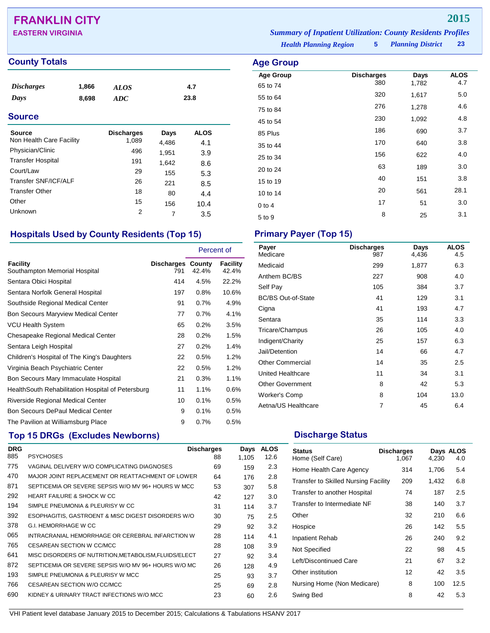# **FRANKLIN CITY 2015**

### **County Totals Age Group Age Group Age Group Age Group Age Group Age Group**

| <i>Discharges</i> | 1,866 | <b>ALOS</b> | 4.7  |
|-------------------|-------|-------------|------|
| Days              | 8,698 | ADC         | 23.8 |
|                   |       |             |      |

### **Source**

| Source<br>Non Health Care Facility | <b>Discharges</b><br>1,089 | Days<br>4,486 | ALOS<br>4.1 |
|------------------------------------|----------------------------|---------------|-------------|
| Physician/Clinic                   | 496                        | 1,951         | 3.9         |
| <b>Transfer Hospital</b>           | 191                        | 1,642         | 8.6         |
| Court/Law                          | 29                         | 155           | 5.3         |
| Transfer SNF/ICF/ALF               | 26                         | 221           | 8.5         |
| <b>Transfer Other</b>              | 18                         | 80            | 4.4         |
| Other                              | 15                         | 156           | 10.4        |
| Unknown                            | 2                          |               | 3.5         |

## **Hospitals Used by County Residents (Top 15) Primary Payer (Top 15)**

|                                                   |                                 | Percent of |                   |
|---------------------------------------------------|---------------------------------|------------|-------------------|
| Facility<br>Southampton Memorial Hospital         | <b>Discharges County</b><br>791 | 42.4%      | Facility<br>42.4% |
| Sentara Obici Hospital                            | 414                             | 4.5%       | 22.2%             |
| Sentara Norfolk General Hospital                  | 197                             | 0.8%       | 10.6%             |
| Southside Regional Medical Center                 | 91                              | 0.7%       | 4.9%              |
| <b>Bon Secours Maryview Medical Center</b>        | 77                              | 0.7%       | 4.1%              |
| <b>VCU Health System</b>                          | 65                              | 0.2%       | 3.5%              |
| Chesapeake Regional Medical Center                | 28                              | 0.2%       | 1.5%              |
| Sentara Leigh Hospital                            | 27                              | 0.2%       | 1.4%              |
| Children's Hospital of The King's Daughters       | 22                              | 0.5%       | 1.2%              |
| Virginia Beach Psychiatric Center                 | 22                              | 0.5%       | 1.2%              |
| Bon Secours Mary Immaculate Hospital              | 21                              | 0.3%       | 1.1%              |
| HealthSouth Rehabilitation Hospital of Petersburg | 11                              | 1.1%       | 0.6%              |
| Riverside Regional Medical Center                 | 10                              | 0.1%       | 0.5%              |
| <b>Bon Secours DePaul Medical Center</b>          | 9                               | 0.1%       | 0.5%              |
| The Pavilion at Williamsburg Place                | 9                               | 0.7%       | 0.5%              |

# **Top 15 DRGs (Excludes Newborns) Discharge Status Discharge Status**

| <b>DRG</b> |                                                       | <b>Discharges</b> | Days  | <b>ALOS</b> |  |
|------------|-------------------------------------------------------|-------------------|-------|-------------|--|
| 885        | <b>PSYCHOSES</b>                                      | 88                | 1,105 | 12.6        |  |
| 775        | VAGINAL DELIVERY W/O COMPLICATING DIAGNOSES           | 69                | 159   | 2.3         |  |
| 470        | MAJOR JOINT REPLACEMENT OR REATTACHMENT OF LOWER      | 64                | 176   | 2.8         |  |
| 871        | SEPTICEMIA OR SEVERE SEPSIS W/O MV 96+ HOURS W MCC    | 53                | 307   | 5.8         |  |
| 292        | <b>HEART FAILURE &amp; SHOCK W CC</b>                 | 42                | 127   | 3.0         |  |
| 194        | SIMPLE PNEUMONIA & PLEURISY W CC                      | 31                | 114   | 3.7         |  |
| 392        | ESOPHAGITIS, GASTROENT & MISC DIGEST DISORDERS W/O    | 30                | 75    | 2.5         |  |
| 378        | G.I. HEMORRHAGE W CC                                  | 29                | 92    | 3.2         |  |
| 065        | INTRACRANIAL HEMORRHAGE OR CEREBRAL INFARCTION W      | 28                | 114   | 4.1         |  |
| 765        | CESAREAN SECTION W CC/MCC                             | 28                | 108   | 3.9         |  |
| 641        | MISC DISORDERS OF NUTRITION, METABOLISM, FLUIDS/ELECT | 27                | 92    | 3.4         |  |
| 872        | SEPTICEMIA OR SEVERE SEPSIS W/O MV 96+ HOURS W/O MC   | 26                | 128   | 4.9         |  |
| 193        | SIMPLE PNEUMONIA & PLEURISY W MCC                     | 25                | 93    | 3.7         |  |
| 766        | CESAREAN SECTION W/O CC/MCC                           | 25                | 69    | 2.8         |  |
| 690        | KIDNEY & URINARY TRACT INFECTIONS W/O MCC             | 23                | 60    | 2.6         |  |
|            |                                                       |                   |       |             |  |

*Health Planning Region* **5** *Planning District* **23 EASTERN VIRGINIA** *Summary of Inpatient Utilization: County Residents Profiles*

| <b>Age Group</b>             |                          |               |                    |
|------------------------------|--------------------------|---------------|--------------------|
| <b>Age Group</b><br>65 to 74 | <b>Discharges</b><br>380 | Days<br>1,782 | <b>ALOS</b><br>4.7 |
| 55 to 64                     | 320                      | 1,617         | 5.0                |
| 75 to 84                     | 276                      | 1,278         | 4.6                |
| 45 to 54                     | 230                      | 1,092         | 4.8                |
| 85 Plus                      | 186                      | 690           | 3.7                |
| 35 to 44                     | 170                      | 640           | 3.8                |
| 25 to 34                     | 156                      | 622           | 4.0                |
| 20 to 24                     | 63                       | 189           | 3.0                |
| 15 to 19                     | 40                       | 151           | 3.8                |
| 10 to 14                     | 20                       | 561           | 28.1               |
| $0$ to 4                     | 17                       | 51            | 3.0                |
| 5 to 9                       | 8                        | 25            | 3.1                |

| Payer<br>Medicare         | <b>Discharges</b><br>987 | Days<br>4,436 | <b>ALOS</b><br>4.5 |
|---------------------------|--------------------------|---------------|--------------------|
| Medicaid                  | 299                      | 1,877         | 6.3                |
| Anthem BC/BS              | 227                      | 908           | 4.0                |
| Self Pay                  | 105                      | 384           | 3.7                |
| <b>BC/BS Out-of-State</b> | 41                       | 129           | 3.1                |
| Cigna                     | 41                       | 193           | 4.7                |
| Sentara                   | 35                       | 114           | 3.3                |
| Tricare/Champus           | 26                       | 105           | 4.0                |
| Indigent/Charity          | 25                       | 157           | 6.3                |
| Jail/Detention            | 14                       | 66            | 4.7                |
| <b>Other Commercial</b>   | 14                       | 35            | 2.5                |
| United Healthcare         | 11                       | 34            | 3.1                |
| <b>Other Government</b>   | 8                        | 42            | 5.3                |
| Worker's Comp             | 8                        | 104           | 13.0               |
| Aetna/US Healthcare       | 7                        | 45            | 6.4                |

| <b>Status</b><br>Home (Self Care)           | <b>Discharges</b><br>1,067 | 4,230 | Days ALOS<br>4.0 |
|---------------------------------------------|----------------------------|-------|------------------|
| Home Health Care Agency                     | 314                        | 1,706 | 5.4              |
| <b>Transfer to Skilled Nursing Facility</b> | 209                        | 1,432 | 6.8              |
| Transfer to another Hospital                | 74                         | 187   | 2.5              |
| Transfer to Intermediate NF                 | 38                         | 140   | 3.7              |
| Other                                       | 32                         | 210   | 6.6              |
| Hospice                                     | 26                         | 142   | 5.5              |
| Inpatient Rehab                             | 26                         | 240   | 9.2              |
| Not Specified                               | 22                         | 98    | 4.5              |
| Left/Discontinued Care                      | 21                         | 67    | 3.2              |
| Other institution                           | 12                         | 42    | 3.5              |
| Nursing Home (Non Medicare)                 | 8                          | 100   | 12.5             |
| Swing Bed                                   | 8                          | 42    | 5.3              |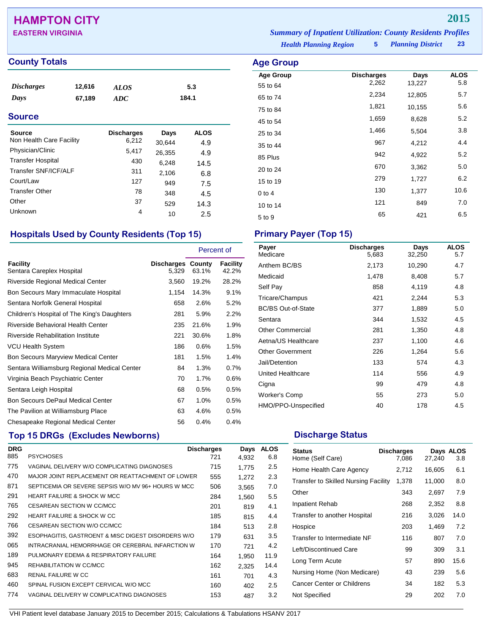# **HAMPTON CITY 2015**

### **County Totals Age Group**

| <i>Discharges</i> | 12,616 | ALOS | 5.3   |
|-------------------|--------|------|-------|
| Days              | 67,189 | ADC  | 184.1 |

### **Source**

| Source<br>Non Health Care Facility | <b>Discharges</b><br>6,212 | Days             | <b>ALOS</b> |
|------------------------------------|----------------------------|------------------|-------------|
| Physician/Clinic                   | 5,417                      | 30.644<br>26,355 | 4.9<br>4.9  |
| <b>Transfer Hospital</b>           | 430                        | 6,248            | 14.5        |
| Transfer SNF/ICF/ALF               | 311                        | 2,106            | 6.8         |
| Court/Law                          | 127                        | 949              | 7.5         |
| <b>Transfer Other</b>              | 78                         | 348              | 4.5         |
| Other                              | 37                         | 529              | 14.3        |
| Unknown                            | 4                          | 10               | 2.5         |

### **Hospitals Used by County Residents (Top 15) Primary Payer (Top 15)**

|                                              |                                   | Percent of |                   |
|----------------------------------------------|-----------------------------------|------------|-------------------|
| Facility<br>Sentara Careplex Hospital        | <b>Discharges County</b><br>5,329 | 63.1%      | Facility<br>42.2% |
| Riverside Regional Medical Center            | 3,560                             | 19.2%      | 28.2%             |
| Bon Secours Mary Immaculate Hospital         | 1,154                             | 14.3%      | 9.1%              |
| Sentara Norfolk General Hospital             | 658                               | 2.6%       | 5.2%              |
| Children's Hospital of The King's Daughters  | 281                               | 5.9%       | 2.2%              |
| Riverside Behavioral Health Center           | 235                               | 21.6%      | 1.9%              |
| <b>Riverside Rehabilitation Institute</b>    | 221                               | 30.6%      | 1.8%              |
| <b>VCU Health System</b>                     | 186                               | 0.6%       | 1.5%              |
| <b>Bon Secours Maryview Medical Center</b>   | 181                               | 1.5%       | 1.4%              |
| Sentara Williamsburg Regional Medical Center | 84                                | 1.3%       | 0.7%              |
| Virginia Beach Psychiatric Center            | 70                                | 1.7%       | 0.6%              |
| Sentara Leigh Hospital                       | 68                                | 0.5%       | 0.5%              |
| <b>Bon Secours DePaul Medical Center</b>     | 67                                | 1.0%       | 0.5%              |
| The Pavilion at Williamsburg Place           | 63                                | 4.6%       | 0.5%              |
| Chesapeake Regional Medical Center           | 56                                | 0.4%       | 0.4%              |

## **Top 15 DRGs (Excludes Newborns) Discharge Status Discharge Status**

| <b>DRG</b> |                                                    | <b>Discharges</b> | Days  | <b>ALOS</b> |
|------------|----------------------------------------------------|-------------------|-------|-------------|
| 885        | <b>PSYCHOSES</b>                                   | 721               | 4.932 | 6.8         |
| 775        | VAGINAL DELIVERY W/O COMPLICATING DIAGNOSES        | 715               | 1.775 | 2.5         |
| 470        | MAJOR JOINT REPLACEMENT OR REATTACHMENT OF LOWER   | 555               | 1,272 | 2.3         |
| 871        | SEPTICEMIA OR SEVERE SEPSIS W/O MV 96+ HOURS W MCC | 506               | 3,565 | 7.0         |
| 291        | <b>HEART FAILURE &amp; SHOCK W MCC</b>             | 284               | 1,560 | 5.5         |
| 765        | CESAREAN SECTION W CC/MCC                          | 201               | 819   | 4.1         |
| 292        | <b>HEART FAILURE &amp; SHOCK W CC</b>              | 185               | 815   | 4.4         |
| 766        | CESAREAN SECTION W/O CC/MCC                        | 184               | 513   | 2.8         |
| 392        | ESOPHAGITIS, GASTROENT & MISC DIGEST DISORDERS W/O | 179               | 631   | 3.5         |
| 065        | INTRACRANIAL HEMORRHAGE OR CEREBRAL INFARCTION W   | 170               | 721   | 4.2         |
| 189        | PULMONARY EDEMA & RESPIRATORY FAILURE              | 164               | 1.950 | 11.9        |
| 945        | REHABILITATION W CC/MCC                            | 162               | 2,325 | 14.4        |
| 683        | <b>RENAL FAILURE W CC</b>                          | 161               | 701   | 4.3         |
| 460        | SPINAL FUSION EXCEPT CERVICAL W/O MCC              | 160               | 402   | 2.5         |
| 774        | VAGINAL DELIVERY W COMPLICATING DIAGNOSES          | 153               | 487   | 3.2         |
|            |                                                    |                   |       |             |

*Health Planning Region* **5** *Planning District* **23 EASTERN VIRGINIA** *Summary of Inpatient Utilization: County Residents Profiles*

> **Age Group Discharges Days ALOS**<br>55 to 64 2,262 13,227 5.8 55 to 64 2,262 13,227 5.8 65 to 74 2,234 12,805 5.7 75 to 84 **1,821** 10,155 5.6 45 to 54 1,659 8,628 5.2 25 to 34 1,466 5,504 3.8 35 to 44 **967** 4,212 4.4 85 Plus <sup>942</sup> 4,922 5.2 20 to 24 <sup>670</sup> 3,362 5.0 15 to 19 <sup>279</sup> 1,727 6.2

0 to 4 130 1,377 10.6 10 to 14 <sup>121</sup> <sup>849</sup> 7.0 5 to 9 <sup>65</sup> <sup>421</sup> 6.5

| Payer<br>Medicare         | <b>Discharges</b><br>5,683 | Days<br>32,250 | <b>ALOS</b><br>5.7 |
|---------------------------|----------------------------|----------------|--------------------|
|                           |                            |                |                    |
| Anthem BC/BS              | 2,173                      | 10,290         | 4.7                |
| Medicaid                  | 1,478                      | 8,408          | 5.7                |
| Self Pay                  | 858                        | 4,119          | 4.8                |
| Tricare/Champus           | 421                        | 2,244          | 5.3                |
| <b>BC/BS Out-of-State</b> | 377                        | 1,889          | 5.0                |
| Sentara                   | 344                        | 1,532          | 4.5                |
| <b>Other Commercial</b>   | 281                        | 1,350          | 4.8                |
| Aetna/US Healthcare       | 237                        | 1,100          | 4.6                |
| <b>Other Government</b>   | 226                        | 1,264          | 5.6                |
| Jail/Detention            | 133                        | 574            | 4.3                |
| United Healthcare         | 114                        | 556            | 4.9                |
| Cigna                     | 99                         | 479            | 4.8                |
| Worker's Comp             | 55                         | 273            | 5.0                |
| HMO/PPO-Unspecified       | 40                         | 178            | 4.5                |

| <b>Status</b><br>Home (Self Care)           | <b>Discharges</b><br>7,086 | 27,240 | Days ALOS<br>3.8 |
|---------------------------------------------|----------------------------|--------|------------------|
| Home Health Care Agency                     | 2,712                      | 16,605 | 6.1              |
| <b>Transfer to Skilled Nursing Facility</b> | 1,378                      | 11,000 | 8.0              |
| Other                                       | 343                        | 2,697  | 7.9              |
| <b>Inpatient Rehab</b>                      | 268                        | 2,352  | 8.8              |
| Transfer to another Hospital                | 216                        | 3,026  | 14.0             |
| Hospice                                     | 203                        | 1,469  | 7.2              |
| Transfer to Intermediate NF                 | 116                        | 807    | 7.0              |
| Left/Discontinued Care                      | 99                         | 309    | 3.1              |
| Long Term Acute                             | 57                         | 890    | 15.6             |
| Nursing Home (Non Medicare)                 | 43                         | 239    | 5.6              |
| Cancer Center or Childrens                  | 34                         | 182    | 5.3              |
| Not Specified                               | 29                         | 202    | 7.0              |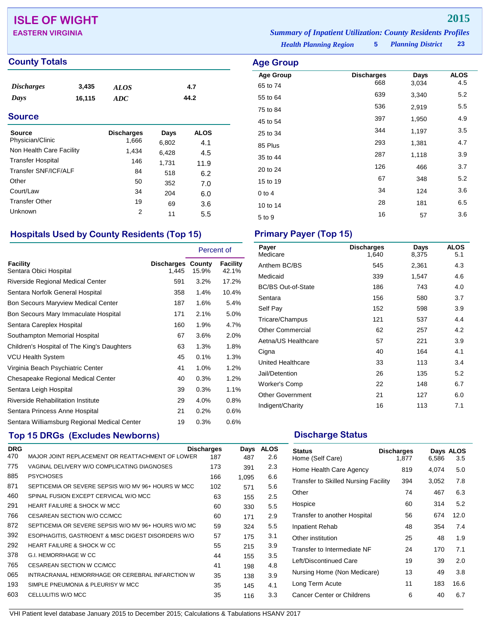# **ISLE OF WIGHT 2015**

## **County Totals Age Group**

| <b>Discharges</b> | 3,435  | <b>ALOS</b> | 4.7  |  |
|-------------------|--------|-------------|------|--|
| Days              | 16,115 | ADC         | 44.2 |  |
| <b>Source</b>     |        |             |      |  |

## Source **Discharges** Days ALOS Physician/Clinic 1,666 6,802 4.1<br>Non Health Care Facility 1,434 6.428 4.5 Non Health Care Facility 1,434 6,428 4.5 Transfer Hospital 146 1,731 11.9<br>Transfer SNF/ICF/ALF 1518 62 Transfer SNF/ICF/ALF 84 518 6.2<br>Other 50 352 7.0 Other 50 352 7.0 Court/Law <sup>34</sup> <sup>204</sup> 6.0 Transfer Other 19 69 3.6<br>
Unknown 2 11 5.5 Unknown 2 11 5.5

## **Hospitals Used by County Residents (Top 15) Primary Payer (Top 15)**

|                                              |                                   | Percent of |                   |
|----------------------------------------------|-----------------------------------|------------|-------------------|
| <b>Facility</b><br>Sentara Obici Hospital    | <b>Discharges County</b><br>1,445 | 15.9%      | Facility<br>42.1% |
| Riverside Regional Medical Center            | 591                               | 3.2%       | 17.2%             |
| Sentara Norfolk General Hospital             | 358                               | 1.4%       | 10.4%             |
| <b>Bon Secours Maryview Medical Center</b>   | 187                               | 1.6%       | 5.4%              |
| Bon Secours Mary Immaculate Hospital         | 171                               | 2.1%       | 5.0%              |
| Sentara Careplex Hospital                    | 160                               | 1.9%       | 4.7%              |
| Southampton Memorial Hospital                | 67                                | 3.6%       | 2.0%              |
| Children's Hospital of The King's Daughters  | 63                                | 1.3%       | 1.8%              |
| <b>VCU Health System</b>                     | 45                                | 0.1%       | 1.3%              |
| Virginia Beach Psychiatric Center            | 41                                | 1.0%       | 1.2%              |
| Chesapeake Regional Medical Center           | 40                                | 0.3%       | 1.2%              |
| Sentara Leigh Hospital                       | 39                                | 0.3%       | 1.1%              |
| <b>Riverside Rehabilitation Institute</b>    | 29                                | 4.0%       | 0.8%              |
| Sentara Princess Anne Hospital               | 21                                | 0.2%       | 0.6%              |
| Sentara Williamsburg Regional Medical Center | 19                                | 0.3%       | $0.6\%$           |

## **Top 15 DRGs (Excludes Newborns) Discharge Status Discharge Status**

| <b>DRG</b> |                                                     | <b>Discharges</b> | Days  | <b>ALOS</b> |
|------------|-----------------------------------------------------|-------------------|-------|-------------|
| 470        | MAJOR JOINT REPLACEMENT OR REATTACHMENT OF LOWER    | 187               | 487   | 2.6         |
| 775        | VAGINAL DELIVERY W/O COMPLICATING DIAGNOSES         | 173               | 391   | 2.3         |
| 885        | <b>PSYCHOSES</b>                                    | 166               | 1.095 | 6.6         |
| 871        | SEPTICEMIA OR SEVERE SEPSIS W/O MV 96+ HOURS W MCC  | 102               | 571   | 5.6         |
| 460        | SPINAL FUSION EXCEPT CERVICAL W/O MCC               | 63                | 155   | 2.5         |
| 291        | <b>HEART FAILURE &amp; SHOCK W MCC</b>              | 60                | 330   | 5.5         |
| 766        | CESAREAN SECTION W/O CC/MCC                         | 60                | 171   | 2.9         |
| 872        | SEPTICEMIA OR SEVERE SEPSIS W/O MV 96+ HOURS W/O MC | 59                | 324   | 5.5         |
| 392        | ESOPHAGITIS, GASTROENT & MISC DIGEST DISORDERS W/O  | 57                | 175   | 3.1         |
| 292        | HEART FAILURE & SHOCK W CC                          | 55                | 215   | 3.9         |
| 378        | <b>G.I. HEMORRHAGE W CC</b>                         | 44                | 155   | 3.5         |
| 765        | CESAREAN SECTION W CC/MCC                           | 41                | 198   | 4.8         |
| 065        | INTRACRANIAL HEMORRHAGE OR CEREBRAL INFARCTION W    | 35                | 138   | 3.9         |
| 193        | SIMPLE PNEUMONIA & PLEURISY W MCC                   | 35                | 145   | 4.1         |
| 603        | CELLULITIS W/O MCC                                  | 35                | 116   | 3.3         |
|            |                                                     |                   |       |             |

*Health Planning Region* **5** *Planning District* **23 EASTERN VIRGINIA** *Summary of Inpatient Utilization: County Residents Profiles*

| <b>Planning District</b> |  |  |  |
|--------------------------|--|--|--|
|                          |  |  |  |

| <b>Age Group</b> |                   |       |             |
|------------------|-------------------|-------|-------------|
| <b>Age Group</b> | <b>Discharges</b> | Days  | <b>ALOS</b> |
| 65 to 74         | 668               | 3,034 | 4.5         |
| 55 to 64         | 639               | 3,340 | 5.2         |
| 75 to 84         | 536               | 2,919 | 5.5         |
| 45 to 54         | 397               | 1,950 | 4.9         |
| 25 to 34         | 344               | 1,197 | 3.5         |
| 85 Plus          | 293               | 1,381 | 4.7         |
| 35 to 44         | 287               | 1,118 | 3.9         |
| 20 to 24         | 126               | 466   | 3.7         |
| 15 to 19         | 67                | 348   | 5.2         |
| $0$ to 4         | 34                | 124   | 3.6         |
| 10 to 14         | 28                | 181   | 6.5         |
| 5 to 9           | 16                | 57    | 3.6         |
|                  |                   |       |             |

| Payer<br>Medicare         | <b>Discharges</b><br>1,640 | Days<br>8,375 | <b>ALOS</b><br>5.1 |
|---------------------------|----------------------------|---------------|--------------------|
| Anthem BC/BS              | 545                        | 2,361         | 4.3                |
| Medicaid                  | 339                        | 1,547         | 4.6                |
| <b>BC/BS Out-of-State</b> | 186                        | 743           | 4.0                |
| Sentara                   | 156                        | 580           | 3.7                |
| Self Pay                  | 152                        | 598           | 3.9                |
| Tricare/Champus           | 121                        | 537           | 4.4                |
| <b>Other Commercial</b>   | 62                         | 257           | 4.2                |
| Aetna/US Healthcare       | 57                         | 221           | 3.9                |
| Cigna                     | 40                         | 164           | 4.1                |
| United Healthcare         | 33                         | 113           | 3.4                |
| Jail/Detention            | 26                         | 135           | 5.2                |
| Worker's Comp             | 22                         | 148           | 6.7                |
| <b>Other Government</b>   | 21                         | 127           | 6.0                |
| Indigent/Charity          | 16                         | 113           | 7.1                |

| <b>Status</b><br>Home (Self Care)           | <b>Discharges</b><br>1,877 | 6,586 | Days ALOS<br>3.5 |
|---------------------------------------------|----------------------------|-------|------------------|
| Home Health Care Agency                     | 819                        | 4,074 | 5.0              |
| <b>Transfer to Skilled Nursing Facility</b> | 394                        | 3,052 | 7.8              |
| Other                                       | 74                         | 467   | 6.3              |
| Hospice                                     | 60                         | 314   | 5.2              |
| Transfer to another Hospital                | 56                         | 674   | 12.0             |
| Inpatient Rehab                             | 48                         | 354   | 7.4              |
| Other institution                           | 25                         | 48    | 1.9              |
| Transfer to Intermediate NF                 | 24                         | 170   | 7.1              |
| Left/Discontinued Care                      | 19                         | 39    | 2.0              |
| Nursing Home (Non Medicare)                 | 13                         | 49    | 3.8              |
| Long Term Acute                             | 11                         | 183   | 16.6             |
| Cancer Center or Childrens                  | 6                          | 40    | 6.7              |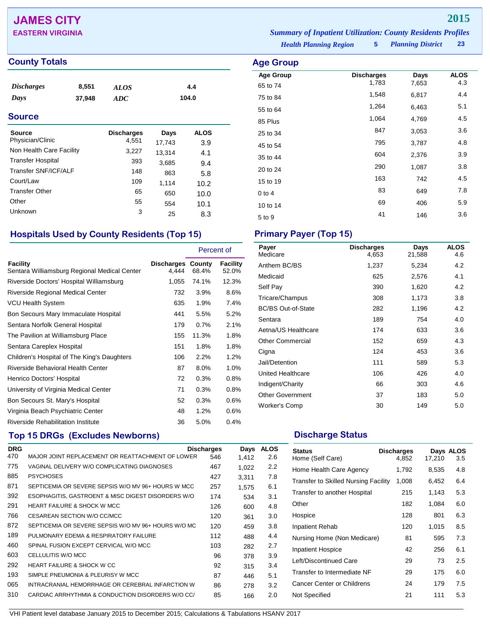# **JAMES CITY 2015**

### **County Totals Age Group**

| <i><b>Discharges</b></i><br>Days<br><b>Source</b> | 8,551<br>37,948 | <b>ALOS</b><br>ADC |        | 4.4<br>104.0  |  |
|---------------------------------------------------|-----------------|--------------------|--------|---------------|--|
| <b>Source</b><br>Physician/Clinic                 |                 | <b>Discharges</b>  | Days   | <b>ALOS</b>   |  |
|                                                   |                 | 4,551              | 17,743 | 3.9           |  |
| Non Health Care Facility                          |                 | 3,227              | 13,314 | 4.1           |  |
| <b>Transfer Hospital</b>                          |                 | २०२                | 0.005  | $\sim$ $\sim$ |  |

| 3,227 | 13,314 | 4.1  |
|-------|--------|------|
| 393   | 3,685  | 9.4  |
| 148   | 863    | 5.8  |
| 109   | 1.114  | 10.2 |
| 65    | 650    | 10.0 |
| 55    | 554    | 10.1 |
| 3     | 25     | 8.3  |
|       |        |      |

## **Hospitals Used by County Residents (Top 15) Primary Payer (Top 15)**

|                                                          |                     | Percent of      |                   |
|----------------------------------------------------------|---------------------|-----------------|-------------------|
| Facility<br>Sentara Williamsburg Regional Medical Center | Discharges<br>4,444 | County<br>68.4% | Facility<br>52.0% |
| Riverside Doctors' Hospital Williamsburg                 | 1,055               | 74.1%           | 12.3%             |
| <b>Riverside Regional Medical Center</b>                 | 732                 | $3.9\%$         | 8.6%              |
| <b>VCU Health System</b>                                 | 635                 | 1.9%            | 7.4%              |
| Bon Secours Mary Immaculate Hospital                     | 441                 | 5.5%            | 5.2%              |
| Sentara Norfolk General Hospital                         | 179                 | $0.7\%$         | 2.1%              |
| The Pavilion at Williamsburg Place                       | 155                 | 11.3%           | 1.8%              |
| Sentara Careplex Hospital                                | 151                 | 1.8%            | 1.8%              |
| Children's Hospital of The King's Daughters              | 106                 | 2.2%            | 1.2%              |
| Riverside Behavioral Health Center                       | 87                  | $8.0\%$         | 1.0%              |
| Henrico Doctors' Hospital                                | 72                  | 0.3%            | 0.8%              |
| University of Virginia Medical Center                    | 71                  | 0.3%            | 0.8%              |
| Bon Secours St. Mary's Hospital                          | 52                  | 0.3%            | 0.6%              |
| Virginia Beach Psychiatric Center                        | 48                  | 1.2%            | 0.6%              |
| Riverside Rehabilitation Institute                       | 36                  | 5.0%            | 0.4%              |

## **Top 15 DRGs (Excludes Newborns) Discharge Status Discharge Status**

| <b>DRG</b> |                                                     | <b>Discharges</b> | Days  | <b>ALOS</b> |
|------------|-----------------------------------------------------|-------------------|-------|-------------|
| 470        | MAJOR JOINT REPLACEMENT OR REATTACHMENT OF LOWER    | 546               | 1.412 | 2.6         |
| 775        | VAGINAL DELIVERY W/O COMPLICATING DIAGNOSES         | 467               | 1,022 | 2.2         |
| 885        | <b>PSYCHOSES</b>                                    | 427               | 3.311 | 7.8         |
| 871        | SEPTICEMIA OR SEVERE SEPSIS W/O MV 96+ HOURS W MCC  | 257               | 1.575 | 6.1         |
| 392        | ESOPHAGITIS, GASTROENT & MISC DIGEST DISORDERS W/O  | 174               | 534   | 3.1         |
| 291        | <b>HEART FAILURE &amp; SHOCK W MCC</b>              | 126               | 600   | 4.8         |
| 766        | CESAREAN SECTION W/O CC/MCC                         | 120               | 361   | 3.0         |
| 872        | SEPTICEMIA OR SEVERE SEPSIS W/O MV 96+ HOURS W/O MC | 120               | 459   | 3.8         |
| 189        | PULMONARY EDEMA & RESPIRATORY FAILURE               | 112               | 488   | 4.4         |
| 460        | SPINAL FUSION EXCEPT CERVICAL W/O MCC               | 103               | 282   | 2.7         |
| 603        | CELLULITIS W/O MCC                                  | 96                | 378   | 3.9         |
| 292        | <b>HEART FAILURE &amp; SHOCK W CC</b>               | 92                | 315   | 3.4         |
| 193        | SIMPLE PNEUMONIA & PLEURISY W MCC                   | 87                | 446   | 5.1         |
| 065        | INTRACRANIAL HEMORRHAGE OR CEREBRAL INFARCTION W    | 86                | 278   | 3.2         |
| 310        | CARDIAC ARRHYTHMIA & CONDUCTION DISORDERS W/O CC/   | 85                | 166   | 2.0         |
|            |                                                     |                   |       |             |

*Health Planning Region* **5** *Planning District* **23 EASTERN VIRGINIA** *Summary of Inpatient Utilization: County Residents Profiles*

# **Age Group Discharges Days ALOS**<br>65 to 74 1,783 7,653 4.3 65 to 74 1,783 7,653 4.3 75 to 84 1,548 6,817 4.4 55 to 64 1,264 6,463 5.1 85 Plus 1,064 4,769 4.5 25 to 34 and 3,053 and 3,053 and 3.6 45 to 54 <sup>795</sup> 3,787 4.8 35 to 44 <sup>604</sup> 2,376 3.9

20 to 24 <sup>290</sup> 1,087 3.8 15 to 19 163 163 163 163 165 0 to 4 83 649 7.8 10 to 14 69 406 5.9 5 to 9 146 3.6

| Payer<br>Medicare         | <b>Discharges</b><br>4,653 | Days<br>21,588 | <b>ALOS</b><br>4.6 |
|---------------------------|----------------------------|----------------|--------------------|
| Anthem BC/BS              | 1,237                      | 5,234          | 4.2                |
| Medicaid                  | 625                        | 2,576          | 4.1                |
| Self Pay                  | 390                        | 1,620          | 4.2                |
| Tricare/Champus           | 308                        | 1,173          | 3.8                |
| <b>BC/BS Out-of-State</b> | 282                        | 1,196          | 4.2                |
| Sentara                   | 189                        | 754            | 4.0                |
| Aetna/US Healthcare       | 174                        | 633            | 3.6                |
| <b>Other Commercial</b>   | 152                        | 659            | 4.3                |
| Cigna                     | 124                        | 453            | 3.6                |
| Jail/Detention            | 111                        | 589            | 5.3                |
| <b>United Healthcare</b>  | 106                        | 426            | 4.0                |
| Indigent/Charity          | 66                         | 303            | 4.6                |
| <b>Other Government</b>   | 37                         | 183            | 5.0                |
| <b>Worker's Comp</b>      | 30                         | 149            | 5.0                |

| <b>Status</b><br>Home (Self Care)           | <b>Discharges</b><br>4,852 | 17,210 | Days ALOS<br>3.5 |
|---------------------------------------------|----------------------------|--------|------------------|
| Home Health Care Agency                     | 1,792                      | 8,535  | 4.8              |
| <b>Transfer to Skilled Nursing Facility</b> | 1,008                      | 6,452  | 6.4              |
| Transfer to another Hospital                | 215                        | 1.143  | 5.3              |
| Other                                       | 182                        | 1.084  | 6.0              |
| Hospice                                     | 128                        | 801    | 6.3              |
| Inpatient Rehab                             | 120                        | 1.015  | 8.5              |
| Nursing Home (Non Medicare)                 | 81                         | 595    | 7.3              |
| <b>Inpatient Hospice</b>                    | 42                         | 256    | 6.1              |
| Left/Discontinued Care                      | 29                         | 73     | 2.5              |
| Transfer to Intermediate NF                 | 29                         | 175    | 6.0              |
| Cancer Center or Childrens                  | 24                         | 179    | 7.5              |
| Not Specified                               | 21                         | 111    | 5.3              |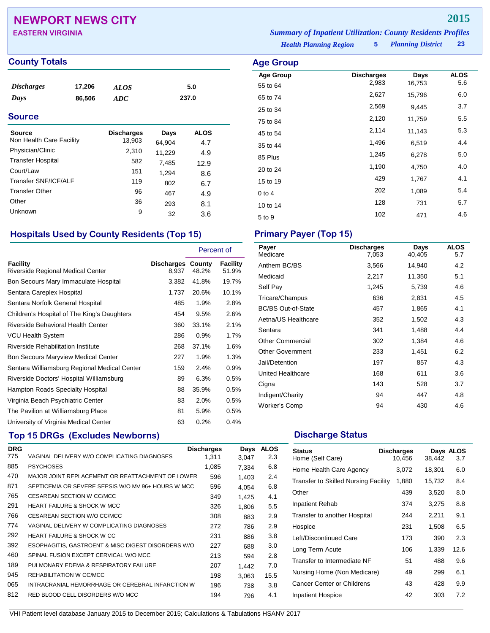# **NEWPORT NEWS CITY 2015**

## **County Totals Age Group**

| <i>Discharges</i> | 17,206 | ALOS | 5.0   |
|-------------------|--------|------|-------|
| Days              | 86.506 | ADC  | 237.0 |
|                   |        |      |       |

### **Source**

| Source<br>Non Health Care Facility | <b>Discharges</b><br>13,903 | Days<br>64,904 | <b>ALOS</b><br>4.7 |
|------------------------------------|-----------------------------|----------------|--------------------|
| Physician/Clinic                   | 2,310                       | 11,229         | 4.9                |
| <b>Transfer Hospital</b>           | 582                         | 7,485          | 12.9               |
| Court/Law                          | 151                         | 1,294          | 8.6                |
| Transfer SNF/ICF/ALF               | 119                         | 802            | 6.7                |
| <b>Transfer Other</b>              | 96                          | 467            | 4.9                |
| Other                              | 36                          | 293            | 8.1                |
| Unknown                            | 9                           | 32             | 3.6                |

## **Hospitals Used by County Residents (Top 15) Primary Payer (Top 15)**

|                                               |                                   | Percent of |                          |
|-----------------------------------------------|-----------------------------------|------------|--------------------------|
| Facility<br>Riverside Regional Medical Center | <b>Discharges County</b><br>8,937 | 48.2%      | <b>Facility</b><br>51.9% |
| Bon Secours Mary Immaculate Hospital          | 3,382                             | 41.8%      | 19.7%                    |
| Sentara Careplex Hospital                     | 1,737                             | 20.6%      | 10.1%                    |
| Sentara Norfolk General Hospital              | 485                               | 1.9%       | 2.8%                     |
| Children's Hospital of The King's Daughters   | 454                               | 9.5%       | 2.6%                     |
| Riverside Behavioral Health Center            | 360                               | 33.1%      | 2.1%                     |
| <b>VCU Health System</b>                      | 286                               | 0.9%       | 1.7%                     |
| <b>Riverside Rehabilitation Institute</b>     | 268                               | 37.1%      | 1.6%                     |
| <b>Bon Secours Maryview Medical Center</b>    | 227                               | 1.9%       | 1.3%                     |
| Sentara Williamsburg Regional Medical Center  | 159                               | 2.4%       | 0.9%                     |
| Riverside Doctors' Hospital Williamsburg      | 89                                | 6.3%       | 0.5%                     |
| Hampton Roads Specialty Hospital              | 88                                | 35.9%      | 0.5%                     |
| Virginia Beach Psychiatric Center             | 83                                | 2.0%       | 0.5%                     |
| The Pavilion at Williamsburg Place            | 81                                | 5.9%       | 0.5%                     |
| University of Virginia Medical Center         | 63                                | 0.2%       | 0.4%                     |

# **Top 15 DRGs (Excludes Newborns) Discharge Status Discharge Status**

| <b>DRG</b> |                                                    | <b>Discharges</b> | Days  | <b>ALOS</b> |
|------------|----------------------------------------------------|-------------------|-------|-------------|
| 775        | VAGINAL DELIVERY W/O COMPLICATING DIAGNOSES        | 1.311             | 3.047 | 2.3         |
| 885        | <b>PSYCHOSES</b>                                   | 1,085             | 7.334 | 6.8         |
| 470        | MAJOR JOINT REPLACEMENT OR REATTACHMENT OF LOWER   | 596               | 1.403 | 2.4         |
| 871        | SEPTICEMIA OR SEVERE SEPSIS W/O MV 96+ HOURS W MCC | 596               | 4.054 | 6.8         |
| 765        | <b>CESAREAN SECTION W CC/MCC</b>                   | 349               | 1.425 | 4.1         |
| 291        | <b>HEART FAILURE &amp; SHOCK W MCC</b>             | 326               | 1.806 | 5.5         |
| 766        | CESAREAN SECTION W/O CC/MCC                        | 308               | 883   | 2.9         |
| 774        | VAGINAL DELIVERY W COMPLICATING DIAGNOSES          | 272               | 786   | 2.9         |
| 292        | <b>HEART FAILURE &amp; SHOCK W CC</b>              | 231               | 886   | 3.8         |
| 392        | ESOPHAGITIS, GASTROENT & MISC DIGEST DISORDERS W/O | 227               | 688   | 3.0         |
| 460        | SPINAL FUSION EXCEPT CERVICAL W/O MCC              | 213               | 594   | 2.8         |
| 189        | PULMONARY EDEMA & RESPIRATORY FAILURE              | 207               | 1.442 | 7.0         |
| 945        | REHABILITATION W CC/MCC                            | 198               | 3.063 | 15.5        |
| 065        | INTRACRANIAL HEMORRHAGE OR CEREBRAL INFARCTION W   | 196               | 738   | 3.8         |
| 812        | RED BLOOD CELL DISORDERS W/O MCC                   | 194               | 796   | 4.1         |

*Planning District* **23 EASTERN VIRGINIA** *Summary of Inpatient Utilization: County Residents Profiles*

*Health Planning Region* **5**

| Age Group        |                   |        |             |
|------------------|-------------------|--------|-------------|
| <b>Age Group</b> | <b>Discharges</b> | Days   | <b>ALOS</b> |
| 55 to 64         | 2,983             | 16,753 | 5.6         |
| 65 to 74         | 2,627             | 15,796 | 6.0         |
| 25 to 34         | 2,569             | 9,445  | 3.7         |
| 75 to 84         | 2,120             | 11,759 | 5.5         |
| 45 to 54         | 2,114             | 11,143 | 5.3         |
| 35 to 44         | 1,496             | 6,519  | 4.4         |
| 85 Plus          | 1,245             | 6,278  | 5.0         |
| 20 to 24         | 1,190             | 4,750  | 4.0         |
| 15 to 19         | 429               | 1,767  | 4.1         |
| $0$ to 4         | 202               | 1,089  | 5.4         |
| 10 to 14         | 128               | 731    | 5.7         |
| 5 to 9           | 102               | 471    | 4.6         |
|                  |                   |        |             |

| Payer<br>Medicare         | <b>Discharges</b><br>7,053 | Days<br>40,405 | <b>ALOS</b><br>5.7 |
|---------------------------|----------------------------|----------------|--------------------|
| Anthem BC/BS              | 3,566                      | 14,940         | 4.2                |
| Medicaid                  | 2,217                      | 11,350         | 5.1                |
| Self Pay                  | 1,245                      | 5,739          | 4.6                |
| Tricare/Champus           | 636                        | 2,831          | 4.5                |
| <b>BC/BS Out-of-State</b> | 457                        | 1,865          | 4.1                |
| Aetna/US Healthcare       | 352                        | 1,502          | 4.3                |
| Sentara                   | 341                        | 1,488          | 4.4                |
| <b>Other Commercial</b>   | 302                        | 1,384          | 4.6                |
| <b>Other Government</b>   | 233                        | 1,451          | 6.2                |
| Jail/Detention            | 197                        | 857            | 4.3                |
| United Healthcare         | 168                        | 611            | 3.6                |
| Cigna                     | 143                        | 528            | 3.7                |
| Indigent/Charity          | 94                         | 447            | 4.8                |
| Worker's Comp             | 94                         | 430            | 4.6                |

| <b>Status</b><br>Home (Self Care)           | <b>Discharges</b><br>10,456 | 38,442 | Days ALOS<br>3.7 |
|---------------------------------------------|-----------------------------|--------|------------------|
| Home Health Care Agency                     | 3,072                       | 18,301 | 6.0              |
| <b>Transfer to Skilled Nursing Facility</b> | 1,880                       | 15,732 | 8.4              |
| Other                                       | 439                         | 3,520  | 8.0              |
| Inpatient Rehab                             | 374                         | 3,275  | 8.8              |
| Transfer to another Hospital                | 244                         | 2,211  | 9.1              |
| Hospice                                     | 231                         | 1,508  | 6.5              |
| Left/Discontinued Care                      | 173                         | 390    | 2.3              |
| Long Term Acute                             | 106                         | 1,339  | 12.6             |
| Transfer to Intermediate NF                 | 51                          | 488    | 9.6              |
| Nursing Home (Non Medicare)                 | 49                          | 299    | 6.1              |
| Cancer Center or Childrens                  | 43                          | 428    | 9.9              |
| Inpatient Hospice                           | 42                          | 303    | 7.2              |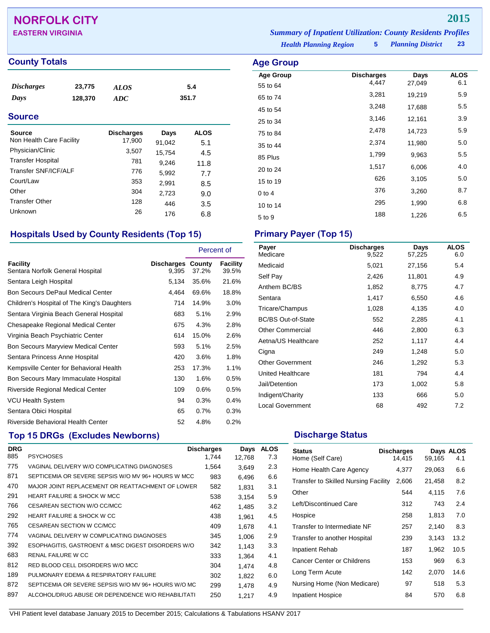# **NORFOLK CITY 2015**

## **County Totals Age Group Age Group Age Group**

| <i>Discharges</i> | 23,775  | <b>ALOS</b> | 5.4   |
|-------------------|---------|-------------|-------|
| Days              | 128,370 | ADC         | 351.7 |
|                   |         |             |       |

### **Source**

| Source<br>Non Health Care Facility | <b>Discharges</b><br>17,900 | Days<br>91,042 | <b>ALOS</b><br>5.1 |
|------------------------------------|-----------------------------|----------------|--------------------|
| Physician/Clinic                   | 3,507                       | 15,754         | 4.5                |
| <b>Transfer Hospital</b>           | 781                         | 9,246          | 11.8               |
| Transfer SNF/ICF/ALF               | 776                         | 5,992          | 7.7                |
| Court/Law                          | 353                         | 2,991          | 8.5                |
| Other                              | 304                         | 2,723          | 9.0                |
| <b>Transfer Other</b>              | 128                         | 446            | 3.5                |
| Unknown                            | 26                          | 176            | 6.8                |

# **Hospitals Used by County Residents (Top 15) Primary Payer (Top 15)**

|                                              |                     | Percent of      |                   |
|----------------------------------------------|---------------------|-----------------|-------------------|
| Facility<br>Sentara Norfolk General Hospital | Discharges<br>9,395 | County<br>37.2% | Facility<br>39.5% |
| Sentara Leigh Hospital                       | 5,134               | 35.6%           | 21.6%             |
| Bon Secours DePaul Medical Center            | 4,464               | 69.6%           | 18.8%             |
| Children's Hospital of The King's Daughters  | 714                 | 14.9%           | 3.0%              |
| Sentara Virginia Beach General Hospital      | 683                 | 5.1%            | 2.9%              |
| Chesapeake Regional Medical Center           | 675                 | 4.3%            | 2.8%              |
| Virginia Beach Psychiatric Center            | 614                 | 15.0%           | 2.6%              |
| <b>Bon Secours Maryview Medical Center</b>   | 593                 | 5.1%            | 2.5%              |
| Sentara Princess Anne Hospital               | 420                 | 3.6%            | 1.8%              |
| Kempsville Center for Behavioral Health      | 253                 | 17.3%           | 1.1%              |
| Bon Secours Mary Immaculate Hospital         | 130                 | 1.6%            | 0.5%              |
| Riverside Regional Medical Center            | 109                 | 0.6%            | 0.5%              |
| <b>VCU Health System</b>                     | 94                  | 0.3%            | 0.4%              |
| Sentara Obici Hospital                       | 65                  | 0.7%            | 0.3%              |
| Riverside Behavioral Health Center           | 52                  | 4.8%            | 0.2%              |

# **Top 15 DRGs (Excludes Newborns) Discharge Status Discharge Status**

| <b>DRG</b> |                                                     | <b>Discharges</b> | Days   | <b>ALOS</b> |
|------------|-----------------------------------------------------|-------------------|--------|-------------|
| 885        | <b>PSYCHOSES</b>                                    | 1.744             | 12.768 | 7.3         |
| 775        | VAGINAL DELIVERY W/O COMPLICATING DIAGNOSES         | 1,564             | 3,649  | 2.3         |
| 871        | SEPTICEMIA OR SEVERE SEPSIS W/O MV 96+ HOURS W MCC  | 983               | 6,496  | 6.6         |
| 470        | MAJOR JOINT REPLACEMENT OR REATTACHMENT OF LOWER    | 582               | 1.831  | 3.1         |
| 291        | <b>HEART FAILURE &amp; SHOCK W MCC</b>              | 538               | 3,154  | 5.9         |
| 766        | CESAREAN SECTION W/O CC/MCC                         | 462               | 1.485  | 3.2         |
| 292        | <b>HEART FAILURE &amp; SHOCK W CC</b>               | 438               | 1.961  | 4.5         |
| 765        | CESAREAN SECTION W CC/MCC                           | 409               | 1.678  | 4.1         |
| 774        | VAGINAL DELIVERY W COMPLICATING DIAGNOSES           | 345               | 1.006  | 2.9         |
| 392        | ESOPHAGITIS, GASTROENT & MISC DIGEST DISORDERS W/O  | 342               | 1.143  | 3.3         |
| 683        | <b>RENAL FAILURE W CC</b>                           | 333               | 1,364  | 4.1         |
| 812        | RED BLOOD CELL DISORDERS W/O MCC                    | 304               | 1.474  | 4.8         |
| 189        | PULMONARY EDEMA & RESPIRATORY FAILURE               | 302               | 1,822  | 6.0         |
| 872        | SEPTICEMIA OR SEVERE SEPSIS W/O MV 96+ HOURS W/O MC | 299               | 1.478  | 4.9         |
| 897        | ALCOHOL/DRUG ABUSE OR DEPENDENCE W/O REHABILITATI   | 250               | 1.217  | 4.9         |

*Health Planning Region* **5 EASTERN VIRGINIA** *Summary of Inpatient Utilization: County Residents Profiles*

*Planning District* **23**

| <b>Age Group</b> |                            |                |                    |
|------------------|----------------------------|----------------|--------------------|
| <b>Age Group</b> | <b>Discharges</b><br>4,447 | Days<br>27,049 | <b>ALOS</b><br>6.1 |
| 55 to 64         |                            |                |                    |
| 65 to 74         | 3,281                      | 19,219         | 5.9                |
| 45 to 54         | 3,248                      | 17,688         | 5.5                |
| 25 to 34         | 3,146                      | 12,161         | 3.9                |
| 75 to 84         | 2,478                      | 14,723         | 5.9                |
| 35 to 44         | 2,374                      | 11,980         | 5.0                |
| 85 Plus          | 1,799                      | 9,963          | 5.5                |
| 20 to 24         | 1,517                      | 6,006          | 4.0                |
| 15 to 19         | 626                        | 3,105          | 5.0                |
| $0$ to 4         | 376                        | 3,260          | 8.7                |
| 10 to 14         | 295                        | 1,990          | 6.8                |
| 5 to 9           | 188                        | 1,226          | 6.5                |

| Payer<br>Medicare         | <b>Discharges</b><br>9,522 | Days<br>57,225 | <b>ALOS</b><br>6.0 |
|---------------------------|----------------------------|----------------|--------------------|
| Medicaid                  | 5,021                      | 27,156         | 5.4                |
| Self Pay                  | 2,426                      | 11,801         | 4.9                |
| Anthem BC/BS              | 1,852                      | 8,775          | 4.7                |
| Sentara                   | 1,417                      | 6,550          | 4.6                |
| Tricare/Champus           | 1,028                      | 4,135          | 4.0                |
| <b>BC/BS Out-of-State</b> | 552                        | 2,285          | 4.1                |
| <b>Other Commercial</b>   | 446                        | 2,800          | 6.3                |
| Aetna/US Healthcare       | 252                        | 1,117          | 4.4                |
| Cigna                     | 249                        | 1,248          | 5.0                |
| <b>Other Government</b>   | 246                        | 1,292          | 5.3                |
| <b>United Healthcare</b>  | 181                        | 794            | 4.4                |
| Jail/Detention            | 173                        | 1,002          | 5.8                |
| Indigent/Charity          | 133                        | 666            | 5.0                |
| <b>Local Government</b>   | 68                         | 492            | 7.2                |

| <b>Status</b><br>Home (Self Care)           | <b>Discharges</b><br>14,415 | 59,165 | Days ALOS<br>4.1 |
|---------------------------------------------|-----------------------------|--------|------------------|
| Home Health Care Agency                     | 4,377                       | 29,063 | 6.6              |
| <b>Transfer to Skilled Nursing Facility</b> | 2,606                       | 21,458 | 8.2              |
| Other                                       | 544                         | 4,115  | 7.6              |
| Left/Discontinued Care                      | 312                         | 743    | 2.4              |
| Hospice                                     | 258                         | 1,813  | 7.0              |
| Transfer to Intermediate NF                 | 257                         | 2,140  | 8.3              |
| Transfer to another Hospital                | 239                         | 3,143  | 13.2             |
| Inpatient Rehab                             | 187                         | 1,962  | 10.5             |
| <b>Cancer Center or Childrens</b>           | 153                         | 969    | 6.3              |
| Long Term Acute                             | 142                         | 2,070  | 14.6             |
| Nursing Home (Non Medicare)                 | 97                          | 518    | 5.3              |
| <b>Inpatient Hospice</b>                    | 84                          | 570    | 6.8              |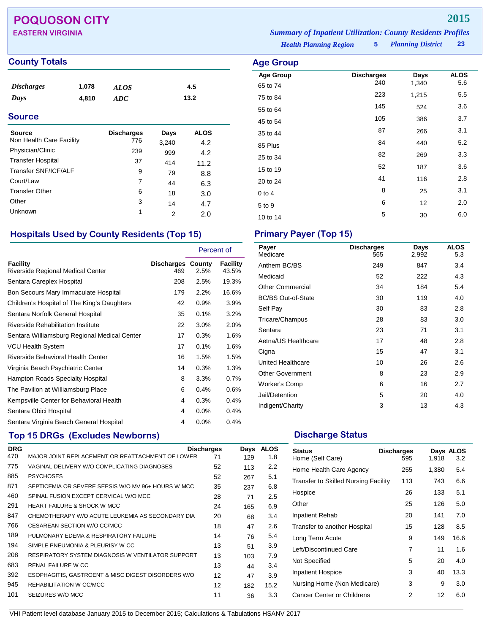# **POQUOSON CITY 2015**

## **County Totals Age Group**

| <i>Discharges</i> | 1,078 | <b>ALOS</b> | 4.5  |  |
|-------------------|-------|-------------|------|--|
| Days              | 4,810 | ADC         | 13.2 |  |

### **Source**

| Source                   | <b>Discharges</b> | Days  | <b>ALOS</b> |
|--------------------------|-------------------|-------|-------------|
| Non Health Care Facility | 776               | 3,240 | 4.2         |
| Physician/Clinic         | 239               | 999   | 4.2         |
| <b>Transfer Hospital</b> | 37                | 414   | 11.2        |
| Transfer SNF/ICF/ALF     | 9                 | 79    | 8.8         |
| Court/Law                | 7                 | 44    | 6.3         |
| <b>Transfer Other</b>    | 6                 | 18    | 3.0         |
| Other                    | 3                 | 14    | 4.7         |
| Unknown                  | 1                 | 2     | 2.0         |

## **Hospitals Used by County Residents (Top 15) Primary Payer (Top 15)**

|                                               |                          | Percent of |                   |
|-----------------------------------------------|--------------------------|------------|-------------------|
| Facility<br>Riverside Regional Medical Center | Discharges County<br>469 | 2.5%       | Facility<br>43.5% |
| Sentara Careplex Hospital                     | 208                      | 2.5%       | 19.3%             |
| Bon Secours Mary Immaculate Hospital          | 179                      | 2.2%       | 16.6%             |
| Children's Hospital of The King's Daughters   | 42                       | $0.9\%$    | 3.9%              |
| Sentara Norfolk General Hospital              | 35                       | 0.1%       | 3.2%              |
| Riverside Rehabilitation Institute            | 22                       | $3.0\%$    | 2.0%              |
| Sentara Williamsburg Regional Medical Center  | 17                       | 0.3%       | 1.6%              |
| <b>VCU Health System</b>                      | 17                       | $0.1\%$    | 1.6%              |
| Riverside Behavioral Health Center            | 16                       | 1.5%       | 1.5%              |
| Virginia Beach Psychiatric Center             | 14                       | 0.3%       | 1.3%              |
| Hampton Roads Specialty Hospital              | 8                        | $3.3\%$    | 0.7%              |
| The Pavilion at Williamsburg Place            | 6                        | 0.4%       | 0.6%              |
| Kempsville Center for Behavioral Health       | 4                        | 0.3%       | 0.4%              |
| Sentara Obici Hospital                        | 4                        | $0.0\%$    | 0.4%              |
| Sentara Virginia Beach General Hospital       | 4                        | $0.0\%$    | 0.4%              |

# **Top 15 DRGs (Excludes Newborns) Discharge Status Discharge Status**

| <b>DRG</b> |                                                    | <b>Discharges</b> | Days | <b>ALOS</b> |
|------------|----------------------------------------------------|-------------------|------|-------------|
| 470        | MAJOR JOINT REPLACEMENT OR REATTACHMENT OF LOWER   | 71                | 129  | 1.8         |
| 775        | VAGINAL DELIVERY W/O COMPLICATING DIAGNOSES        | 52                | 113  | 2.2         |
| 885        | <b>PSYCHOSES</b>                                   | 52                | 267  | 5.1         |
| 871        | SEPTICEMIA OR SEVERE SEPSIS W/O MV 96+ HOURS W MCC | 35                | 237  | 6.8         |
| 460        | SPINAL FUSION EXCEPT CERVICAL W/O MCC              | 28                | 71   | 2.5         |
| 291        | <b>HEART FAILURE &amp; SHOCK W MCC</b>             | 24                | 165  | 6.9         |
| 847        | CHEMOTHERAPY W/O ACUTE LEUKEMIA AS SECONDARY DIA   | 20                | 68   | 3.4         |
| 766        | CESAREAN SECTION W/O CC/MCC                        | 18                | 47   | 2.6         |
| 189        | PULMONARY EDEMA & RESPIRATORY FAILURE              | 14                | 76   | 5.4         |
| 194        | SIMPLE PNEUMONIA & PLEURISY W CC                   | 13                | 51   | 3.9         |
| 208        | RESPIRATORY SYSTEM DIAGNOSIS W VENTILATOR SUPPORT  | 13                | 103  | 7.9         |
| 683        | RENAL FAILURE W CC                                 | 13                | 44   | 3.4         |
| 392        | ESOPHAGITIS, GASTROENT & MISC DIGEST DISORDERS W/O | 12                | 47   | 3.9         |
| 945        | REHABILITATION W CC/MCC                            | 12                | 182  | 15.2        |
| 101        | SEIZURES W/O MCC                                   | 11                | 36   | 3.3         |
|            |                                                    |                   |      |             |

### *Planning District* **23 EASTERN VIRGINIA** *Summary of Inpatient Utilization: County Residents Profiles*

*Health Planning Region* **5**

| Age Group        |                          |               |                    |
|------------------|--------------------------|---------------|--------------------|
| <b>Age Group</b> | <b>Discharges</b><br>240 | Days<br>1,340 | <b>ALOS</b><br>5.6 |
| 65 to 74         | 223                      | 1,215         | 5.5                |
| 75 to 84         |                          |               |                    |
| 55 to 64         | 145                      | 524           | 3.6                |
| 45 to 54         | 105                      | 386           | 3.7                |
| 35 to 44         | 87                       | 266           | 3.1                |
| 85 Plus          | 84                       | 440           | 5.2                |
| 25 to 34         | 82                       | 269           | 3.3                |
| 15 to 19         | 52                       | 187           | 3.6                |
| 20 to 24         | 41                       | 116           | 2.8                |
| $0$ to 4         | 8                        | 25            | 3.1                |
| 5 to 9           | 6                        | 12            | 2.0                |
| 10 to 14         | 5                        | 30            | 6.0                |

| Payer<br>Medicare         | <b>Discharges</b><br>565 | Days<br>2,992 | <b>ALOS</b><br>5.3 |
|---------------------------|--------------------------|---------------|--------------------|
| Anthem BC/BS              | 249                      | 847           | 3.4                |
| Medicaid                  | 52                       | 222           | 4.3                |
| <b>Other Commercial</b>   | 34                       | 184           | 5.4                |
| <b>BC/BS Out-of-State</b> | 30                       | 119           | 4.0                |
| Self Pay                  | 30                       | 83            | 2.8                |
| Tricare/Champus           | 28                       | 83            | 3.0                |
| Sentara                   | 23                       | 71            | 3.1                |
| Aetna/US Healthcare       | 17                       | 48            | 2.8                |
| Cigna                     | 15                       | 47            | 3.1                |
| United Healthcare         | 10                       | 26            | 2.6                |
| <b>Other Government</b>   | 8                        | 23            | 2.9                |
| <b>Worker's Comp</b>      | 6                        | 16            | 2.7                |
| Jail/Detention            | 5                        | 20            | 4.0                |
| Indigent/Charity          | 3                        | 13            | 4.3                |

| <b>Status</b><br>Home (Self Care)           | <b>Discharges</b><br>595 | 1,918 | Days ALOS<br>3.2 |
|---------------------------------------------|--------------------------|-------|------------------|
| Home Health Care Agency                     | 255                      | 1,380 | 5.4              |
| <b>Transfer to Skilled Nursing Facility</b> | 113                      | 743   | 6.6              |
| Hospice                                     | 26                       | 133   | 5.1              |
| Other                                       | 25                       | 126   | 5.0              |
| Inpatient Rehab                             | 20                       | 141   | 7.0              |
| Transfer to another Hospital                | 15                       | 128   | 8.5              |
| Long Term Acute                             | 9                        | 149   | 16.6             |
| Left/Discontinued Care                      | 7                        | 11    | 1.6              |
| Not Specified                               | 5                        | 20    | 4.0              |
| <b>Inpatient Hospice</b>                    | 3                        | 40    | 13.3             |
| Nursing Home (Non Medicare)                 | 3                        | 9     | 3.0              |
| Cancer Center or Childrens                  | 2                        | 12    | 6.0              |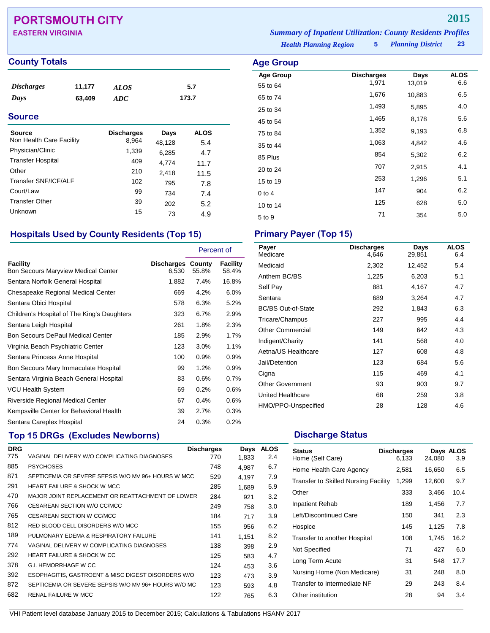# **PORTSMOUTH CITY 2015**

### **County Totals Age Group**

| <i>Discharges</i> | 11,177 | <b>ALOS</b> | 5.7   |
|-------------------|--------|-------------|-------|
| Days              | 63,409 | ADC         | 173.7 |

### **Source**

| Source<br>Non Health Care Facility | <b>Discharges</b><br>8,964 | Days<br>48,128 | <b>ALOS</b><br>5.4 |
|------------------------------------|----------------------------|----------------|--------------------|
| Physician/Clinic                   | 1,339                      | 6,285          | 4.7                |
| <b>Transfer Hospital</b>           | 409                        | 4,774          | 11.7               |
| Other                              | 210                        | 2,418          | 11.5               |
| Transfer SNF/ICF/ALF               | 102                        | 795            | 7.8                |
| Court/Law                          | 99                         | 734            | 7.4                |
| <b>Transfer Other</b>              | 39                         | 202            | 5.2                |
| Unknown                            | 15                         | 73             | 4.9                |

### **Hospitals Used by County Residents (Top 15) Primary Payer (Top 15)**

|                                                        |                                   | Percent of |                          |
|--------------------------------------------------------|-----------------------------------|------------|--------------------------|
| Facility<br><b>Bon Secours Maryview Medical Center</b> | <b>Discharges County</b><br>6,530 | 55.8%      | <b>Facility</b><br>58.4% |
| Sentara Norfolk General Hospital                       | 1,882                             | 7.4%       | 16.8%                    |
| Chesapeake Regional Medical Center                     | 669                               | 4.2%       | 6.0%                     |
| Sentara Obici Hospital                                 | 578                               | 6.3%       | 5.2%                     |
| Children's Hospital of The King's Daughters            | 323                               | 6.7%       | 2.9%                     |
| Sentara Leigh Hospital                                 | 261                               | 1.8%       | 2.3%                     |
| <b>Bon Secours DePaul Medical Center</b>               | 185                               | 2.9%       | 1.7%                     |
| Virginia Beach Psychiatric Center                      | 123                               | 3.0%       | 1.1%                     |
| Sentara Princess Anne Hospital                         | 100                               | 0.9%       | 0.9%                     |
| Bon Secours Mary Immaculate Hospital                   | 99                                | 1.2%       | 0.9%                     |
| Sentara Virginia Beach General Hospital                | 83                                | 0.6%       | 0.7%                     |
| VCU Health System                                      | 69                                | 0.2%       | 0.6%                     |
| Riverside Regional Medical Center                      | 67                                | 0.4%       | 0.6%                     |
| Kempsville Center for Behavioral Health                | 39                                | 2.7%       | 0.3%                     |
| Sentara Careplex Hospital                              | 24                                | 0.3%       | 0.2%                     |

## **Top 15 DRGs (Excludes Newborns) Discharge Status Discharge Status**

| <b>DRG</b> |                                                     | <b>Discharges</b> | Days  | <b>ALOS</b> |
|------------|-----------------------------------------------------|-------------------|-------|-------------|
| 775        | VAGINAL DELIVERY W/O COMPLICATING DIAGNOSES         | 770               | 1,833 | 2.4         |
| 885        | <b>PSYCHOSES</b>                                    | 748               | 4.987 | 6.7         |
| 871        | SEPTICEMIA OR SEVERE SEPSIS W/O MV 96+ HOURS W MCC  | 529               | 4.197 | 7.9         |
| 291        | <b>HEART FAILURE &amp; SHOCK W MCC</b>              | 285               | 1,689 | 5.9         |
| 470        | MAJOR JOINT REPLACEMENT OR REATTACHMENT OF LOWER    | 284               | 921   | 3.2         |
| 766        | CESAREAN SECTION W/O CC/MCC                         | 249               | 758   | 3.0         |
| 765        | CESAREAN SECTION W CC/MCC                           | 184               | 717   | 3.9         |
| 812        | RED BLOOD CELL DISORDERS W/O MCC                    | 155               | 956   | 6.2         |
| 189        | PULMONARY EDEMA & RESPIRATORY FAILURE               | 141               | 1.151 | 8.2         |
| 774        | VAGINAL DELIVERY W COMPLICATING DIAGNOSES           | 138               | 398   | 2.9         |
| 292        | <b>HEART FAILURE &amp; SHOCK W CC</b>               | 125               | 583   | 4.7         |
| 378        | <b>G.I. HEMORRHAGE W CC</b>                         | 124               | 453   | 3.6         |
| 392        | ESOPHAGITIS, GASTROENT & MISC DIGEST DISORDERS W/O  | 123               | 473   | 3.9         |
| 872        | SEPTICEMIA OR SEVERE SEPSIS W/O MV 96+ HOURS W/O MC | 123               | 593   | 4.8         |
| 682        | <b>RENAL FAILURE W MCC</b>                          | 122               | 765   | 6.3         |
|            |                                                     |                   |       |             |

*Health Planning Region* **5** *Planning District* **23 EASTERN VIRGINIA** *Summary of Inpatient Utilization: County Residents Profiles*

> **Age Group Discharges Days ALOS**<br>55 to 64 1,971 13,019 6.6 55 to 64 1,971 13,019 6.6 65 to 74 1,676 10,883 6.5 25 to 34 1,493 5,895 4.0 45 to 54 1,465 8,178 5.6 75 to 84 1,352 9,193 6.8 35 to 44 1,063 4,842 4.6 85 Plus <sup>854</sup> 5,302 6.2 20 to 24 <sup>707</sup> 2,915 4.1 15 to 19 <sup>253</sup> 1,296 5.1 0 to 4 147 904 6.2 10 to 14 <sup>125</sup> <sup>628</sup> 5.0 5 to 9 <sup>71</sup> <sup>354</sup> 5.0

| Payer<br>Medicare         | <b>Discharges</b><br>4,646 | Days<br>29,851 | <b>ALOS</b><br>6.4 |
|---------------------------|----------------------------|----------------|--------------------|
| Medicaid                  | 2,302                      | 12,452         | 5.4                |
| Anthem BC/BS              | 1,225                      | 6,203          | 5.1                |
| Self Pay                  | 881                        | 4,167          | 4.7                |
| Sentara                   | 689                        | 3,264          | 4.7                |
| <b>BC/BS Out-of-State</b> | 292                        | 1,843          | 6.3                |
| Tricare/Champus           | 227                        | 995            | 4.4                |
| <b>Other Commercial</b>   | 149                        | 642            | 4.3                |
| Indigent/Charity          | 141                        | 568            | 4.0                |
| Aetna/US Healthcare       | 127                        | 608            | 4.8                |
| Jail/Detention            | 123                        | 684            | 5.6                |
| Cigna                     | 115                        | 469            | 4.1                |
| <b>Other Government</b>   | 93                         | 903            | 9.7                |
| United Healthcare         | 68                         | 259            | 3.8                |
| HMO/PPO-Unspecified       | 28                         | 128            | 4.6                |

| <b>Status</b><br>Home (Self Care)           | <b>Discharges</b><br>6,133 | 24,080 | Days ALOS<br>3.9 |
|---------------------------------------------|----------------------------|--------|------------------|
| Home Health Care Agency                     | 2,581                      | 16,650 | 6.5              |
| <b>Transfer to Skilled Nursing Facility</b> | 1,299                      | 12,600 | 9.7              |
| Other                                       | 333                        | 3,466  | 10.4             |
| Inpatient Rehab                             | 189                        | 1,456  | 7.7              |
| Left/Discontinued Care                      | 150                        | 341    | 2.3              |
| Hospice                                     | 145                        | 1,125  | 7.8              |
| Transfer to another Hospital                | 108                        | 1,745  | 16.2             |
| Not Specified                               | 71                         | 427    | 6.0              |
| Long Term Acute                             | 31                         | 548    | 17.7             |
| Nursing Home (Non Medicare)                 | 31                         | 248    | 8.0              |
| Transfer to Intermediate NF                 | 29                         | 243    | 8.4              |
| Other institution                           | 28                         | 94     | 3.4              |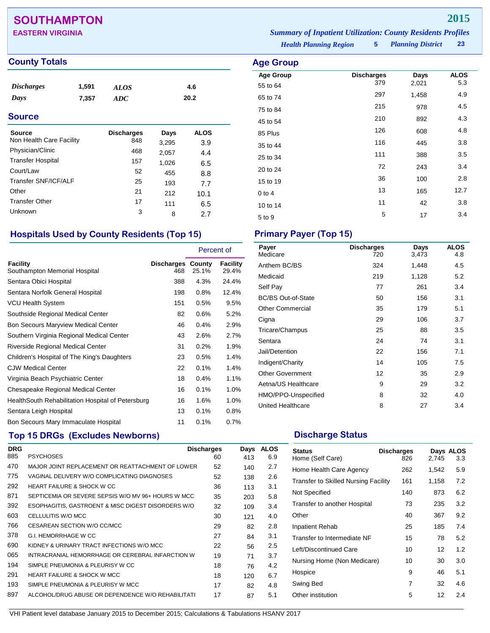# **SOUTHAMPTON 2015**

**EASTERN VIRGINIA** *Summary of Inpatient Utilization: County Residents Profiles*

### **County Totals Age Group**

| <i>Discharges</i> | 1,591 | <b>ALOS</b> | 4.6  |
|-------------------|-------|-------------|------|
| Days              | 7,357 | ADC         | 20.2 |
|                   |       |             |      |

### **Source**

| Source<br>Non Health Care Facility | <b>Discharges</b><br>848 | Days           | <b>ALOS</b> |
|------------------------------------|--------------------------|----------------|-------------|
| Physician/Clinic                   | 468                      | 3,295<br>2,057 | 3.9<br>4.4  |
| <b>Transfer Hospital</b>           | 157                      | 1,026          | 6.5         |
| Court/Law                          | 52                       | 455            | 8.8         |
| Transfer SNF/ICF/ALF               | 25                       | 193            | 7.7         |
| Other                              | 21                       | 212            | 10.1        |
| <b>Transfer Other</b>              | 17                       | 111            | 6.5         |
| Unknown                            | 3                        | 8              | 2.7         |

## **Hospitals Used by County Residents (Top 15) Primary Payer (Top 15)**

|                                                    |                                 | Percent of |                   |
|----------------------------------------------------|---------------------------------|------------|-------------------|
| <b>Facility</b><br>Southampton Memorial Hospital   | <b>Discharges County</b><br>468 | 25.1%      | Facility<br>29.4% |
| Sentara Obici Hospital                             | 388                             | 4.3%       | 24.4%             |
| Sentara Norfolk General Hospital                   | 198                             | 0.8%       | 12.4%             |
| <b>VCU Health System</b>                           | 151                             | 0.5%       | 9.5%              |
| Southside Regional Medical Center                  | 82                              | 0.6%       | 5.2%              |
| <b>Bon Secours Maryview Medical Center</b>         | 46                              | 0.4%       | 2.9%              |
| Southern Virginia Regional Medical Center          | 43                              | 2.6%       | 2.7%              |
| Riverside Regional Medical Center                  | 31                              | 0.2%       | 1.9%              |
| Children's Hospital of The King's Daughters        | 23                              | 0.5%       | 1.4%              |
| <b>CJW Medical Center</b>                          | 22                              | 0.1%       | 1.4%              |
| Virginia Beach Psychiatric Center                  | 18                              | 0.4%       | 1.1%              |
| Chesapeake Regional Medical Center                 | 16                              | 0.1%       | 1.0%              |
| Health South Rehabilitation Hospital of Petersburg | 16                              | 1.6%       | 1.0%              |
| Sentara Leigh Hospital                             | 13                              | 0.1%       | 0.8%              |
| Bon Secours Mary Immaculate Hospital               | 11                              | 0.1%       | 0.7%              |
|                                                    |                                 |            |                   |

# **Top 15 DRGs (Excludes Newborns) Discharge Status Discharge Status**

| <b>DRG</b> |                                                    | <b>Discharges</b> | Days | <b>ALOS</b> |
|------------|----------------------------------------------------|-------------------|------|-------------|
| 885        | <b>PSYCHOSES</b>                                   | 60                | 413  | 6.9         |
| 470        | MAJOR JOINT REPLACEMENT OR REATTACHMENT OF LOWER   | 52                | 140  | 2.7         |
| 775        | VAGINAL DELIVERY W/O COMPLICATING DIAGNOSES        | 52                | 138  | 2.6         |
| 292        | <b>HEART FAILURE &amp; SHOCK W CC</b>              | 36                | 113  | 3.1         |
| 871        | SEPTICEMIA OR SEVERE SEPSIS W/O MV 96+ HOURS W MCC | 35                | 203  | 5.8         |
| 392        | ESOPHAGITIS, GASTROENT & MISC DIGEST DISORDERS W/O | 32                | 109  | 3.4         |
| 603        | CELLULITIS W/O MCC                                 | 30                | 121  | 4.0         |
| 766        | CESAREAN SECTION W/O CC/MCC                        | 29                | 82   | 2.8         |
| 378        | <b>G.I. HEMORRHAGE W CC</b>                        | 27                | 84   | 3.1         |
| 690        | KIDNEY & URINARY TRACT INFECTIONS W/O MCC          | 22                | 56   | 2.5         |
| 065        | INTRACRANIAL HEMORRHAGE OR CEREBRAL INFARCTION W   | 19                | 71   | 3.7         |
| 194        | SIMPLE PNEUMONIA & PLEURISY W CC                   | 18                | 76   | 4.2         |
| 291        | <b>HEART FAILURE &amp; SHOCK W MCC</b>             | 18                | 120  | 6.7         |
| 193        | SIMPLE PNEUMONIA & PLEURISY W MCC                  | 17                | 82   | 4.8         |
| 897        | ALCOHOL/DRUG ABUSE OR DEPENDENCE W/O REHABILITATI  | 17                | 87   | 5.1         |
|            |                                                    |                   |      |             |

0 to 4  $13$  165  $12.7$ 10 to 14 11 12 3.8

*Health Planning Region* **5**

**Age Group Discharges Days ALOS**<br>55 to 64 379 2,021 5.3 55 to 64 <sup>379</sup> 2,021 5.3 65 to 74 <sup>297</sup> 1,458 4.9 75 to 84 <sup>215</sup> <sup>978</sup> 4.5 45 to 54 <sup>210</sup> <sup>892</sup> 4.3 85 Plus <sup>126</sup> <sup>608</sup> 4.8 35 to 44 <sup>116</sup> <sup>445</sup> 3.8 25 to 34 <sup>111</sup> <sup>388</sup> 3.5 20 to 24 3.4 15 to 19 2.8

| Payer<br>Medicare         | <b>Discharges</b><br>720 | Days<br>3,473 | <b>ALOS</b><br>4.8 |
|---------------------------|--------------------------|---------------|--------------------|
| Anthem BC/BS              | 324                      | 1,448         | 4.5                |
| Medicaid                  | 219                      | 1,128         | 5.2                |
| Self Pay                  | 77                       | 261           | 3.4                |
| <b>BC/BS Out-of-State</b> | 50                       | 156           | 3.1                |
| <b>Other Commercial</b>   | 35                       | 179           | 5.1                |
| Cigna                     | 29                       | 106           | 3.7                |
| Tricare/Champus           | 25                       | 88            | 3.5                |
| Sentara                   | 24                       | 74            | 3.1                |
| Jail/Detention            | 22                       | 156           | 7.1                |
| Indigent/Charity          | 14                       | 105           | 7.5                |
| <b>Other Government</b>   | 12                       | 35            | 2.9                |
| Aetna/US Healthcare       | 9                        | 29            | 3.2                |
| HMO/PPO-Unspecified       | 8                        | 32            | 4.0                |
| United Healthcare         | 8                        | 27            | 3.4                |

 $5$  to 9  $5$  17  $3.4$ 

| <b>Status</b><br>Home (Self Care)           | <b>Discharges</b><br>826 | 2,745 | Days ALOS<br>3.3 |
|---------------------------------------------|--------------------------|-------|------------------|
| Home Health Care Agency                     | 262                      | 1,542 | 5.9              |
| <b>Transfer to Skilled Nursing Facility</b> | 161                      | 1,158 | 7.2              |
| Not Specified                               | 140                      | 873   | 6.2              |
| Transfer to another Hospital                | 73                       | 235   | 3.2              |
| Other                                       | 40                       | 367   | 9.2              |
| Inpatient Rehab                             | 25                       | 185   | 7.4              |
| Transfer to Intermediate NF                 | 15                       | 78    | 5.2              |
| Left/Discontinued Care                      | 10                       | 12    | 1.2              |
| Nursing Home (Non Medicare)                 | 10                       | 30    | 3.0              |
| Hospice                                     | 9                        | 46    | 5.1              |
| Swing Bed                                   | 7                        | 32    | 4.6              |
| Other institution                           | 5                        | 12    | 2.4              |

*Planning District* **23**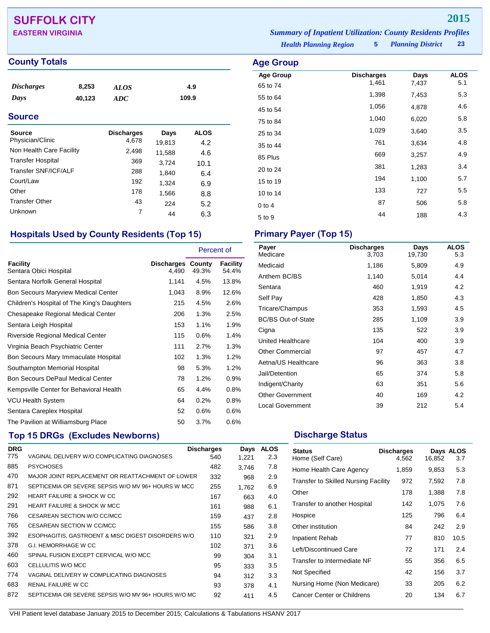# **SUFFOLK CITY 2015**

### **County Totals Age Group**

| <b>Discharges</b> | 8,253  | <b>ALOS</b> | 4.9   |  |
|-------------------|--------|-------------|-------|--|
| Days              | 40,123 | ADC.        | 109.9 |  |
| <b>Source</b>     |        |             |       |  |

## Source **Discharges** Days ALOS Physician/Clinic 4,678 19,813 4.2<br>Non Health Care Facility 2,498 11.588 4.6 Non Health Care Facility 2,498 11,588 4.6 Transfer Hospital 369 3,724 10.1<br>Transfer SNF/ICF/ALF 288 1 840 6 4 Transfer SNF/ICF/ALF 288 1,840 6.4<br>Court/Law 192 1.324 6.9 Court/Law 192 1,324 6.9<br>Other 178 1566 8.8 Other 178 1,566 8.8 Transfer Other  $\begin{array}{cccc} 43 & 224 & 5.2 \\ 21 & 63 & 224 \end{array}$ Unknown 7 44 6.3

## **Hospitals Used by County Residents (Top 15) Primary Payer (Top 15)**

|                                             |                                   | Percent of |                   |
|---------------------------------------------|-----------------------------------|------------|-------------------|
| <b>Facility</b><br>Sentara Obici Hospital   | <b>Discharges County</b><br>4.490 | 49.3%      | Facility<br>54.4% |
| Sentara Norfolk General Hospital            | 1,141                             | 4.5%       | 13.8%             |
| <b>Bon Secours Maryview Medical Center</b>  | 1,043                             | 8.9%       | 12.6%             |
| Children's Hospital of The King's Daughters | 215                               | 4.5%       | 2.6%              |
| Chesapeake Regional Medical Center          | 206                               | 1.3%       | 2.5%              |
| Sentara Leigh Hospital                      | 153                               | 1.1%       | 1.9%              |
| <b>Riverside Regional Medical Center</b>    | 115                               | 0.6%       | 1.4%              |
| Virginia Beach Psychiatric Center           | 111                               | 2.7%       | 1.3%              |
| Bon Secours Mary Immaculate Hospital        | 102                               | 1.3%       | 1.2%              |
| Southampton Memorial Hospital               | 98                                | 5.3%       | 1.2%              |
| <b>Bon Secours DePaul Medical Center</b>    | 78                                | 1.2%       | 0.9%              |
| Kempsville Center for Behavioral Health     | 65                                | 4.4%       | 0.8%              |
| <b>VCU Health System</b>                    | 64                                | 0.2%       | 0.8%              |
| Sentara Careplex Hospital                   | 52                                | 0.6%       | 0.6%              |
| The Pavilion at Williamsburg Place          | 50                                | 3.7%       | 0.6%              |

## **Top 15 DRGs (Excludes Newborns) Discharge Status Discharge Status**

| <b>DRG</b> |                                                     | <b>Discharges</b> | Days  | <b>ALOS</b> |
|------------|-----------------------------------------------------|-------------------|-------|-------------|
| 775        | VAGINAL DELIVERY W/O COMPLICATING DIAGNOSES         | 540               | 1,221 | 2.3         |
| 885        | <b>PSYCHOSES</b>                                    | 482               | 3.746 | 7.8         |
| 470        | MAJOR JOINT REPLACEMENT OR REATTACHMENT OF LOWER    | 332               | 968   | 2.9         |
| 871        | SEPTICEMIA OR SEVERE SEPSIS W/O MV 96+ HOURS W MCC  | 255               | 1.762 | 6.9         |
| 292        | <b>HEART FAILURE &amp; SHOCK W CC</b>               | 167               | 663   | 4.0         |
| 291        | <b>HEART FAILURE &amp; SHOCK W MCC</b>              | 161               | 988   | 6.1         |
| 766        | CESAREAN SECTION W/O CC/MCC                         | 159               | 437   | 2.8         |
| 765        | CESAREAN SECTION W CC/MCC                           | 155               | 586   | 3.8         |
| 392        | ESOPHAGITIS, GASTROENT & MISC DIGEST DISORDERS W/O  | 110               | 321   | 2.9         |
| 378        | G.I. HEMORRHAGE W CC                                | 102               | 371   | 3.6         |
| 460        | SPINAL FUSION EXCEPT CERVICAL W/O MCC               | 99                | 304   | 3.1         |
| 603        | CELLULITIS W/O MCC                                  | 95                | 333   | 3.5         |
| 774        | VAGINAL DELIVERY W COMPLICATING DIAGNOSES           | 94                | 312   | 3.3         |
| 683        | RENAL FAILURE W CC                                  | 93                | 378   | 4.1         |
| 872        | SEPTICEMIA OR SEVERE SEPSIS W/O MV 96+ HOURS W/O MC | 92                | 411   | 4.5         |
|            |                                                     |                   |       |             |

*Health Planning Region* **5** *Planning District* **23 EASTERN VIRGINIA** *Summary of Inpatient Utilization: County Residents Profiles*

| <b>Age Group</b> |                   |       |             |
|------------------|-------------------|-------|-------------|
| <b>Age Group</b> | <b>Discharges</b> | Days  | <b>ALOS</b> |
| 65 to 74         | 1,461             | 7,437 | 5.1         |
| 55 to 64         | 1,398             | 7,453 | 5.3         |
| 45 to 54         | 1,056             | 4,878 | 4.6         |
| 75 to 84         | 1,040             | 6,020 | 5.8         |
| 25 to 34         | 1,029             | 3,640 | 3.5         |
| 35 to 44         | 761               | 3,634 | 4.8         |
| 85 Plus          | 669               | 3,257 | 4.9         |
| 20 to 24         | 381               | 1,283 | 3.4         |
| 15 to 19         | 194               | 1,100 | 5.7         |
| 10 to 14         | 133               | 727   | 5.5         |
| $0$ to 4         | 87                | 506   | 5.8         |
| 5 to 9           | 44                | 188   | 4.3         |

| Payer<br>Medicare         | <b>Discharges</b><br>3.703 | Days<br>19,730 | <b>ALOS</b><br>5.3 |
|---------------------------|----------------------------|----------------|--------------------|
| Medicaid                  | 1,186                      | 5,809          | 4.9                |
| Anthem BC/BS              | 1,140                      | 5,014          | 4.4                |
| Sentara                   | 460                        | 1,919          | 4.2                |
| Self Pay                  | 428                        | 1,850          | 4.3                |
| Tricare/Champus           | 353                        | 1,593          | 4.5                |
| <b>BC/BS Out-of-State</b> | 285                        | 1,109          | 3.9                |
| Cigna                     | 135                        | 522            | 3.9                |
| United Healthcare         | 104                        | 400            | 3.9                |
| <b>Other Commercial</b>   | 97                         | 457            | 4.7                |
| Aetna/US Healthcare       | 96                         | 363            | 3.8                |
| Jail/Detention            | 65                         | 374            | 5.8                |
| Indigent/Charity          | 63                         | 351            | 5.6                |
| <b>Other Government</b>   | 40                         | 169            | 4.2                |
| <b>Local Government</b>   | 39                         | 212            | 5.4                |

| <b>Status</b><br>Home (Self Care)           | <b>Discharges</b><br>4,562 | 16,852 | Days ALOS<br>3.7 |
|---------------------------------------------|----------------------------|--------|------------------|
| Home Health Care Agency                     | 1,859                      | 9,853  | 5.3              |
| <b>Transfer to Skilled Nursing Facility</b> | 972                        | 7,592  | 7.8              |
| Other                                       | 178                        | 1,388  | 7.8              |
| Transfer to another Hospital                | 142                        | 1,075  | 7.6              |
| Hospice                                     | 125                        | 796    | 6.4              |
| Other institution                           | 84                         | 242    | 2.9              |
| Inpatient Rehab                             | 77                         | 810    | 10.5             |
| Left/Discontinued Care                      | 72                         | 171    | 2.4              |
| Transfer to Intermediate NF                 | 55                         | 356    | 6.5              |
| Not Specified                               | 42                         | 156    | 3.7              |
| Nursing Home (Non Medicare)                 | 33                         | 205    | 6.2              |
| Cancer Center or Childrens                  | 20                         | 134    | 6.7              |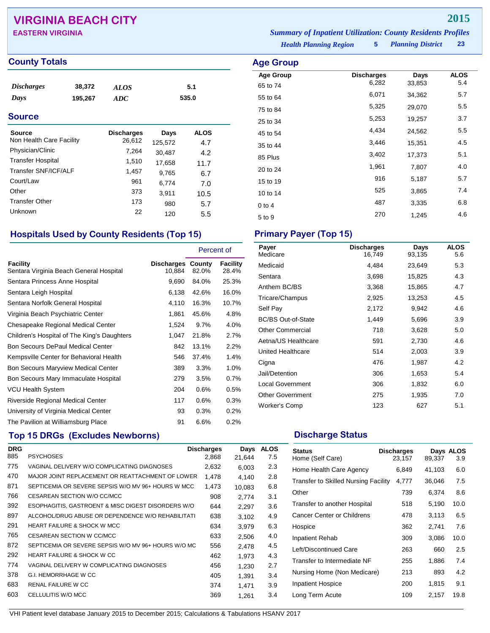# **VIRGINIA BEACH CITY 2015**

### **County Totals Age Group**

| <b>Discharges</b> | 38,372  | <b>ALOS</b> | 5.1   |
|-------------------|---------|-------------|-------|
| Days              | 195,267 | ADC         | 535.0 |
|                   |         |             |       |

### **Source**

| Source<br>Non Health Care Facility | <b>Discharges</b><br>26,612 | Days<br>125,572 | <b>ALOS</b><br>4.7 |
|------------------------------------|-----------------------------|-----------------|--------------------|
| Physician/Clinic                   | 7,264                       | 30,487          | 4.2                |
| <b>Transfer Hospital</b>           | 1,510                       | 17,658          | 11.7               |
| Transfer SNF/ICF/ALF               | 1,457                       | 9,765           | 6.7                |
| Court/Law                          | 961                         | 6,774           | 7.0                |
| Other                              | 373                         | 3,911           | 10.5               |
| <b>Transfer Other</b>              | 173                         | 980             | 5.7                |
| Unknown                            | 22                          | 120             | 5.5                |

# **Hospitals Used by County Residents (Top 15) Primary Payer (Top 15)**

|                                                     |                                    | Percent of |                   |
|-----------------------------------------------------|------------------------------------|------------|-------------------|
| Facility<br>Sentara Virginia Beach General Hospital | <b>Discharges County</b><br>10,884 | 82.0%      | Facility<br>28.4% |
| Sentara Princess Anne Hospital                      | 9,690                              | 84.0%      | 25.3%             |
| Sentara Leigh Hospital                              | 6,138                              | 42.6%      | 16.0%             |
| Sentara Norfolk General Hospital                    | 4,110                              | 16.3%      | 10.7%             |
| Virginia Beach Psychiatric Center                   | 1,861                              | 45.6%      | 4.8%              |
| Chesapeake Regional Medical Center                  | 1,524                              | 9.7%       | 4.0%              |
| Children's Hospital of The King's Daughters         | 1,047                              | 21.8%      | 2.7%              |
| <b>Bon Secours DePaul Medical Center</b>            | 842                                | 13.1%      | 2.2%              |
| Kempsville Center for Behavioral Health             | 546                                | 37.4%      | 1.4%              |
| <b>Bon Secours Maryview Medical Center</b>          | 389                                | 3.3%       | 1.0%              |
| Bon Secours Mary Immaculate Hospital                | 279                                | 3.5%       | 0.7%              |
| <b>VCU Health System</b>                            | 204                                | 0.6%       | 0.5%              |
| Riverside Regional Medical Center                   | 117                                | 0.6%       | 0.3%              |
| University of Virginia Medical Center               | 93                                 | 0.3%       | 0.2%              |
| The Pavilion at Williamsburg Place                  | 91                                 | 6.6%       | 0.2%              |

# **Top 15 DRGs (Excludes Newborns) Discharge Status Discharge Status**

| <b>DRG</b> |                                                     | <b>Discharges</b> | Days   | <b>ALOS</b> |
|------------|-----------------------------------------------------|-------------------|--------|-------------|
| 885        | <b>PSYCHOSES</b>                                    | 2,868             | 21.644 | 7.5         |
| 775        | VAGINAL DELIVERY W/O COMPLICATING DIAGNOSES         | 2,632             | 6,003  | 2.3         |
| 470        | MAJOR JOINT REPLACEMENT OR REATTACHMENT OF LOWER    | 1,478             | 4.140  | 2.8         |
| 871        | SEPTICEMIA OR SEVERE SEPSIS W/O MV 96+ HOURS W MCC  | 1.473             | 10,083 | 6.8         |
| 766        | CESAREAN SECTION W/O CC/MCC                         | 908               | 2.774  | 3.1         |
| 392        | ESOPHAGITIS, GASTROENT & MISC DIGEST DISORDERS W/O  | 644               | 2,297  | 3.6         |
| 897        | ALCOHOL/DRUG ABUSE OR DEPENDENCE W/O REHABILITATI   | 638               | 3,102  | 4.9         |
| 291        | <b>HEART FAILURE &amp; SHOCK W MCC</b>              | 634               | 3.979  | 6.3         |
| 765        | CESAREAN SECTION W CC/MCC                           | 633               | 2,506  | 4.0         |
| 872        | SEPTICEMIA OR SEVERE SEPSIS W/O MV 96+ HOURS W/O MC | 556               | 2.478  | 4.5         |
| 292        | <b>HEART FAILURE &amp; SHOCK W CC</b>               | 462               | 1,973  | 4.3         |
| 774        | VAGINAL DELIVERY W COMPLICATING DIAGNOSES           | 456               | 1.230  | 2.7         |
| 378        | <b>G.I. HEMORRHAGE W CC</b>                         | 405               | 1.391  | 3.4         |
| 683        | RENAL FAILURE W CC                                  | 374               | 1.471  | 3.9         |
| 603        | CELLULITIS W/O MCC                                  | 369               | 1.261  | 3.4         |

*Planning District* **23 EASTERN VIRGINIA** *Summary of Inpatient Utilization: County Residents Profiles*

*Health Planning Region* **5**

| <b>\ge Group</b> |                   |        |             |
|------------------|-------------------|--------|-------------|
| <b>Age Group</b> | <b>Discharges</b> | Days   | <b>ALOS</b> |
| 65 to 74         | 6,282             | 33,853 | 5.4         |
| 55 to 64         | 6,071             | 34,362 | 5.7         |
| 75 to 84         | 5,325             | 29,070 | 5.5         |
| 25 to 34         | 5,253             | 19,257 | 3.7         |
| 45 to 54         | 4,434             | 24,562 | 5.5         |
| 35 to 44         | 3,446             | 15,351 | 4.5         |
| 85 Plus          | 3,402             | 17,373 | 5.1         |
| 20 to 24         | 1,961             | 7,807  | 4.0         |
| 15 to 19         | 916               | 5,187  | 5.7         |
| 10 to 14         | 525               | 3,865  | 7.4         |
| $0$ to 4         | 487               | 3,335  | 6.8         |
| 5 to 9           | 270               | 1,245  | 4.6         |
|                  |                   |        |             |

| Payer<br>Medicare         | <b>Discharges</b><br>16.749 | Days<br>93,135 | <b>ALOS</b><br>5.6 |
|---------------------------|-----------------------------|----------------|--------------------|
| Medicaid                  | 4,484                       | 23,649         | 5.3                |
| Sentara                   | 3,698                       | 15,825         | 4.3                |
| Anthem BC/BS              | 3,368                       | 15,865         | 4.7                |
| Tricare/Champus           | 2,925                       | 13,253         | 4.5                |
| Self Pay                  | 2,172                       | 9,942          | 4.6                |
| <b>BC/BS Out-of-State</b> | 1,449                       | 5,696          | 3.9                |
| <b>Other Commercial</b>   | 718                         | 3,628          | 5.0                |
| Aetna/US Healthcare       | 591                         | 2,730          | 4.6                |
| United Healthcare         | 514                         | 2,003          | 3.9                |
| Cigna                     | 476                         | 1,987          | 4.2                |
| Jail/Detention            | 306                         | 1,653          | 5.4                |
| <b>Local Government</b>   | 306                         | 1,832          | 6.0                |
| <b>Other Government</b>   | 275                         | 1,935          | 7.0                |
| Worker's Comp             | 123                         | 627            | 5.1                |

| <b>Status</b><br>Home (Self Care)           | <b>Discharges</b><br>23,157 | 89,337 | Days ALOS<br>3.9 |
|---------------------------------------------|-----------------------------|--------|------------------|
| Home Health Care Agency                     | 6,849                       | 41,103 | 6.0              |
| <b>Transfer to Skilled Nursing Facility</b> | 4,777                       | 36,046 | 7.5              |
| Other                                       | 739                         | 6,374  | 8.6              |
| Transfer to another Hospital                | 518                         | 5,190  | 10.0             |
| Cancer Center or Childrens                  | 478                         | 3,113  | 6.5              |
| Hospice                                     | 362                         | 2,741  | 7.6              |
| Inpatient Rehab                             | 309                         | 3,086  | 10.0             |
| Left/Discontinued Care                      | 263                         | 660    | 2.5              |
| Transfer to Intermediate NF                 | 255                         | 1,886  | 7.4              |
| Nursing Home (Non Medicare)                 | 213                         | 893    | 4.2              |
| <b>Inpatient Hospice</b>                    | 200                         | 1,815  | 9.1              |
| Long Term Acute                             | 109                         | 2,157  | 19.8             |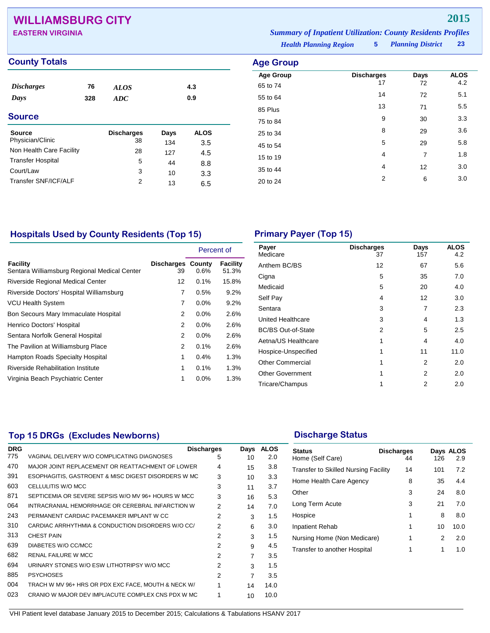# **WILLIAMSBURG CITY 2015**

| <b>EASTERN VIRGINIA</b> | <b>Summary of Inpatient Utilization: County Residents Profiles</b> |  |                            |      |
|-------------------------|--------------------------------------------------------------------|--|----------------------------|------|
|                         | <b>Health Planning Region</b>                                      |  | <b>5</b> Planning District | - 23 |

| <b>County Totals</b>        |     |                   |      |             | <b>Age Group</b> |                   |      |             |
|-----------------------------|-----|-------------------|------|-------------|------------------|-------------------|------|-------------|
|                             |     |                   |      |             | <b>Age Group</b> | <b>Discharges</b> | Days | <b>ALOS</b> |
| <b>Discharges</b>           | 76  | <b>ALOS</b>       |      | 4.3         | 65 to 74         | 17                | 72   | 4.2         |
| Days                        | 328 | ADC               |      | 0.9         | 55 to 64         | 14                | 72   | 5.1         |
|                             |     |                   |      |             | 85 Plus          | 13                | 71   | 5.5         |
| <b>Source</b>               |     |                   |      |             | 75 to 84         | 9                 | 30   | 3.3         |
| <b>Source</b>               |     | <b>Discharges</b> | Days | <b>ALOS</b> | 25 to 34         | 8                 | 29   | 3.6         |
| Physician/Clinic            |     | 38                | 134  | 3.5         | 45 to 54         | 5                 | 29   | 5.8         |
| Non Health Care Facility    |     | 28                | 127  | 4.5         |                  | $\overline{4}$    | 7    | 1.8         |
| <b>Transfer Hospital</b>    |     | 5                 | 44   | 8.8         | 15 to 19         |                   |      |             |
| Court/Law                   |     | 3                 | 10   | 3.3         | 35 to 44         | 4                 | 12   | 3.0         |
| <b>Transfer SNF/ICF/ALF</b> |     | 2                 | 13   | 6.5         | 20 to 24         | $\overline{2}$    | 6    | 3.0         |
|                             |     |                   |      |             |                  |                   |      |             |

## **Hospitals Used by County Residents (Top 15) Primary Payer (Top 15)**

|                                                                 |                                | Percent of |                   |
|-----------------------------------------------------------------|--------------------------------|------------|-------------------|
| <b>Facility</b><br>Sentara Williamsburg Regional Medical Center | <b>Discharges County</b><br>39 | $0.6\%$    | Facility<br>51.3% |
| <b>Riverside Regional Medical Center</b>                        | 12                             | 0.1%       | 15.8%             |
| Riverside Doctors' Hospital Williamsburg                        | 7                              | 0.5%       | 9.2%              |
| <b>VCU Health System</b>                                        | 7                              | $0.0\%$    | 9.2%              |
| Bon Secours Mary Immaculate Hospital                            | 2                              | $0.0\%$    | 2.6%              |
| Henrico Doctors' Hospital                                       | 2                              | $0.0\%$    | 2.6%              |
| Sentara Norfolk General Hospital                                | 2                              | $0.0\%$    | 2.6%              |
| The Pavilion at Williamsburg Place                              | 2                              | 0.1%       | 2.6%              |
| Hampton Roads Specialty Hospital                                | 1                              | $0.4\%$    | 1.3%              |
| Riverside Rehabilitation Institute                              | 1                              | $0.1\%$    | 1.3%              |
| Virginia Beach Psychiatric Center                               | 1                              | $0.0\%$    | 1.3%              |

| Payer<br>Medicare         | <b>Discharges</b><br>37 | Days<br>157 | <b>ALOS</b><br>4.2 |
|---------------------------|-------------------------|-------------|--------------------|
| Anthem BC/BS              | 12                      | 67          | 5.6                |
| Cigna                     | 5                       | 35          | 7.0                |
| Medicaid                  | 5                       | 20          | 4.0                |
| Self Pay                  | 4                       | 12          | 3.0                |
| Sentara                   | 3                       | 7           | 2.3                |
| United Healthcare         | 3                       | 4           | 1.3                |
| <b>BC/BS Out-of-State</b> | 2                       | 5           | 2.5                |
| Aetna/US Healthcare       | 1                       | 4           | 4.0                |
| Hospice-Unspecified       | 1                       | 11          | 11.0               |
| <b>Other Commercial</b>   | 1                       | 2           | 2.0                |
| <b>Other Government</b>   | 1                       | 2           | 2.0                |
| Tricare/Champus           | 1                       | 2           | 2.0                |

## **Top 15 DRGs (Excludes Newborns) Discharge Status Discharge Status**

| <b>DRG</b> |                                                     | <b>Discharges</b> | Days           | <b>ALOS</b> |  |
|------------|-----------------------------------------------------|-------------------|----------------|-------------|--|
| 775        | VAGINAL DELIVERY W/O COMPLICATING DIAGNOSES         | 5                 | 10             | 2.0         |  |
| 470        | MAJOR JOINT REPLACEMENT OR REATTACHMENT OF LOWER    | 4                 | 15             | 3.8         |  |
| 391        | ESOPHAGITIS, GASTROENT & MISC DIGEST DISORDERS W MC | 3                 | 10             | 3.3         |  |
| 603        | CELLULITIS W/O MCC                                  | 3                 | 11             | 3.7         |  |
| 871        | SEPTICEMIA OR SEVERE SEPSIS W/O MV 96+ HOURS W MCC  | 3                 | 16             | 5.3         |  |
| 064        | INTRACRANIAL HEMORRHAGE OR CEREBRAL INFARCTION W    | 2                 | 14             | 7.0         |  |
| 243        | PERMANENT CARDIAC PACEMAKER IMPLANT W CC            | 2                 | 3              | 1.5         |  |
| 310        | CARDIAC ARRHYTHMIA & CONDUCTION DISORDERS W/O CC/   | 2                 | 6              | 3.0         |  |
| 313        | <b>CHEST PAIN</b>                                   | 2                 | 3              | 1.5         |  |
| 639        | DIABETES W/O CC/MCC                                 | 2                 | 9              | 4.5         |  |
| 682        | <b>RENAL FAILURE W MCC</b>                          | 2                 | $\overline{7}$ | 3.5         |  |
| 694        | URINARY STONES W/O ESW LITHOTRIPSY W/O MCC          | 2                 | 3              | 1.5         |  |
| 885        | <b>PSYCHOSES</b>                                    | 2                 | $\overline{7}$ | 3.5         |  |
| 004        | TRACH W MV 96+ HRS OR PDX EXC FACE, MOUTH & NECK W/ |                   | 14             | 14.0        |  |
| 023        | CRANIO W MAJOR DEV IMPL/ACUTE COMPLEX CNS PDX W MC  |                   | 10             | 10.0        |  |

| <b>Status</b><br>Home (Self Care)           | <b>Discharges</b><br>44 | 126 | Days ALOS<br>2.9 |
|---------------------------------------------|-------------------------|-----|------------------|
| <b>Transfer to Skilled Nursing Facility</b> | 14                      | 101 | 7.2              |
| Home Health Care Agency                     | 8                       | 35  | 4.4              |
| Other                                       | 3                       | 24  | 8.0              |
| Long Term Acute                             | 3                       | 21  | 7.0              |
| Hospice                                     | 1                       | 8   | 8.0              |
| <b>Inpatient Rehab</b>                      | 1                       | 10  | 10.0             |
| Nursing Home (Non Medicare)                 | 1                       | 2   | 2.0              |
| Transfer to another Hospital                | 1                       | 1   | 1.0              |
|                                             |                         |     |                  |
|                                             |                         |     |                  |